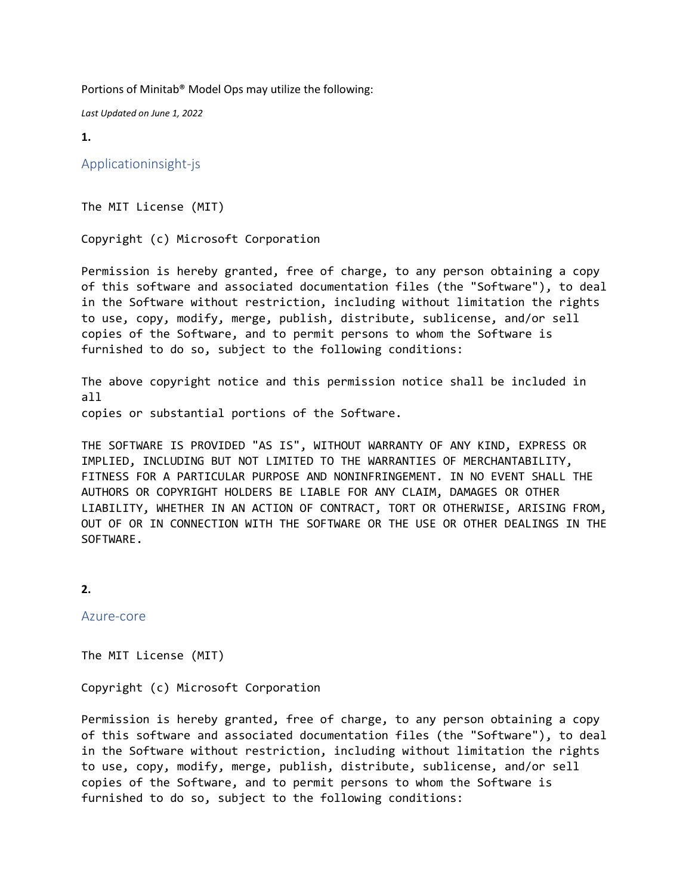Portions of Minitab® Model Ops may utilize the following:

*Last Updated on June 1, 2022*

**1.**

Applicationinsight-js

The MIT License (MIT)

Copyright (c) Microsoft Corporation

Permission is hereby granted, free of charge, to any person obtaining a copy of this software and associated documentation files (the "Software"), to deal in the Software without restriction, including without limitation the rights to use, copy, modify, merge, publish, distribute, sublicense, and/or sell copies of the Software, and to permit persons to whom the Software is furnished to do so, subject to the following conditions:

The above copyright notice and this permission notice shall be included in all

copies or substantial portions of the Software.

THE SOFTWARE IS PROVIDED "AS IS", WITHOUT WARRANTY OF ANY KIND, EXPRESS OR IMPLIED, INCLUDING BUT NOT LIMITED TO THE WARRANTIES OF MERCHANTABILITY, FITNESS FOR A PARTICULAR PURPOSE AND NONINFRINGEMENT. IN NO EVENT SHALL THE AUTHORS OR COPYRIGHT HOLDERS BE LIABLE FOR ANY CLAIM, DAMAGES OR OTHER LIABILITY, WHETHER IN AN ACTION OF CONTRACT, TORT OR OTHERWISE, ARISING FROM, OUT OF OR IN CONNECTION WITH THE SOFTWARE OR THE USE OR OTHER DEALINGS IN THE SOFTWARE.

```
2.
```
Azure-core

The MIT License (MIT)

Copyright (c) Microsoft Corporation

Permission is hereby granted, free of charge, to any person obtaining a copy of this software and associated documentation files (the "Software"), to deal in the Software without restriction, including without limitation the rights to use, copy, modify, merge, publish, distribute, sublicense, and/or sell copies of the Software, and to permit persons to whom the Software is furnished to do so, subject to the following conditions: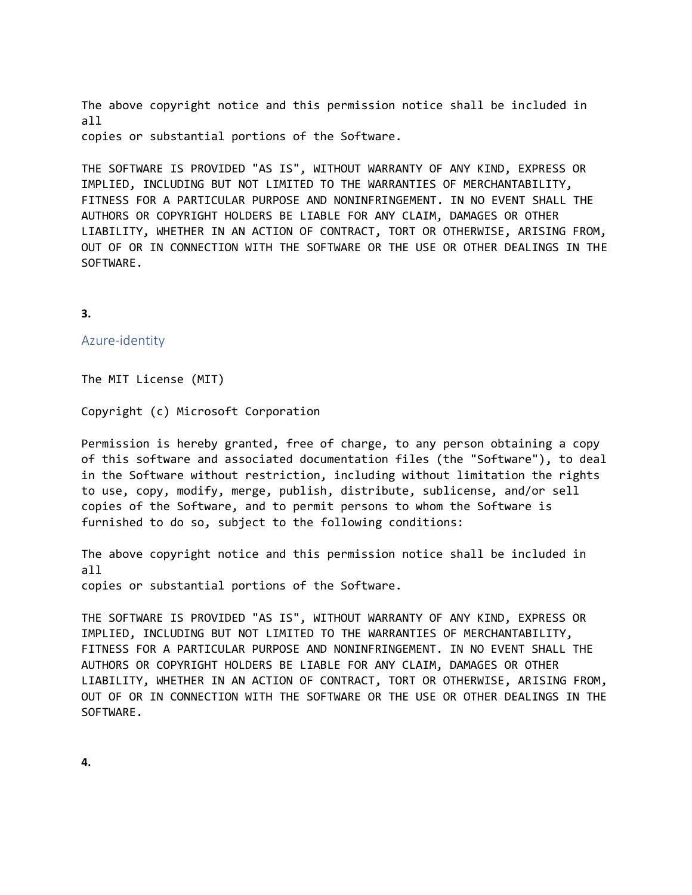The above copyright notice and this permission notice shall be included in all copies or substantial portions of the Software.

THE SOFTWARE IS PROVIDED "AS IS", WITHOUT WARRANTY OF ANY KIND, EXPRESS OR IMPLIED, INCLUDING BUT NOT LIMITED TO THE WARRANTIES OF MERCHANTABILITY, FITNESS FOR A PARTICULAR PURPOSE AND NONINFRINGEMENT. IN NO EVENT SHALL THE AUTHORS OR COPYRIGHT HOLDERS BE LIABLE FOR ANY CLAIM, DAMAGES OR OTHER LIABILITY, WHETHER IN AN ACTION OF CONTRACT, TORT OR OTHERWISE, ARISING FROM, OUT OF OR IN CONNECTION WITH THE SOFTWARE OR THE USE OR OTHER DEALINGS IN THE SOFTWARE.

#### **3.**

Azure-identity

The MIT License (MIT)

Copyright (c) Microsoft Corporation

Permission is hereby granted, free of charge, to any person obtaining a copy of this software and associated documentation files (the "Software"), to deal in the Software without restriction, including without limitation the rights to use, copy, modify, merge, publish, distribute, sublicense, and/or sell copies of the Software, and to permit persons to whom the Software is furnished to do so, subject to the following conditions:

The above copyright notice and this permission notice shall be included in all

copies or substantial portions of the Software.

THE SOFTWARE IS PROVIDED "AS IS", WITHOUT WARRANTY OF ANY KIND, EXPRESS OR IMPLIED, INCLUDING BUT NOT LIMITED TO THE WARRANTIES OF MERCHANTABILITY, FITNESS FOR A PARTICULAR PURPOSE AND NONINFRINGEMENT. IN NO EVENT SHALL THE AUTHORS OR COPYRIGHT HOLDERS BE LIABLE FOR ANY CLAIM, DAMAGES OR OTHER LIABILITY, WHETHER IN AN ACTION OF CONTRACT, TORT OR OTHERWISE, ARISING FROM, OUT OF OR IN CONNECTION WITH THE SOFTWARE OR THE USE OR OTHER DEALINGS IN THE SOFTWARE.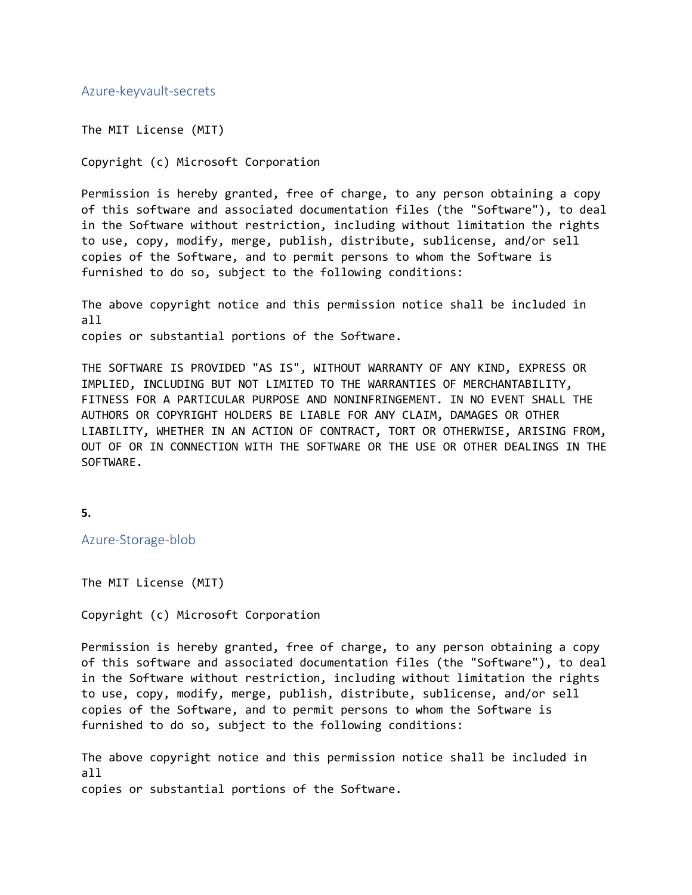### Azure-keyvault-secrets

The MIT License (MIT)

Copyright (c) Microsoft Corporation

Permission is hereby granted, free of charge, to any person obtaining a copy of this software and associated documentation files (the "Software"), to deal in the Software without restriction, including without limitation the rights to use, copy, modify, merge, publish, distribute, sublicense, and/or sell copies of the Software, and to permit persons to whom the Software is furnished to do so, subject to the following conditions:

The above copyright notice and this permission notice shall be included in all copies or substantial portions of the Software.

THE SOFTWARE IS PROVIDED "AS IS", WITHOUT WARRANTY OF ANY KIND, EXPRESS OR IMPLIED, INCLUDING BUT NOT LIMITED TO THE WARRANTIES OF MERCHANTABILITY, FITNESS FOR A PARTICULAR PURPOSE AND NONINFRINGEMENT. IN NO EVENT SHALL THE AUTHORS OR COPYRIGHT HOLDERS BE LIABLE FOR ANY CLAIM, DAMAGES OR OTHER LIABILITY, WHETHER IN AN ACTION OF CONTRACT, TORT OR OTHERWISE, ARISING FROM, OUT OF OR IN CONNECTION WITH THE SOFTWARE OR THE USE OR OTHER DEALINGS IN THE SOFTWARE.

**5.**

Azure-Storage-blob

The MIT License (MIT)

Copyright (c) Microsoft Corporation

Permission is hereby granted, free of charge, to any person obtaining a copy of this software and associated documentation files (the "Software"), to deal in the Software without restriction, including without limitation the rights to use, copy, modify, merge, publish, distribute, sublicense, and/or sell copies of the Software, and to permit persons to whom the Software is furnished to do so, subject to the following conditions:

The above copyright notice and this permission notice shall be included in all copies or substantial portions of the Software.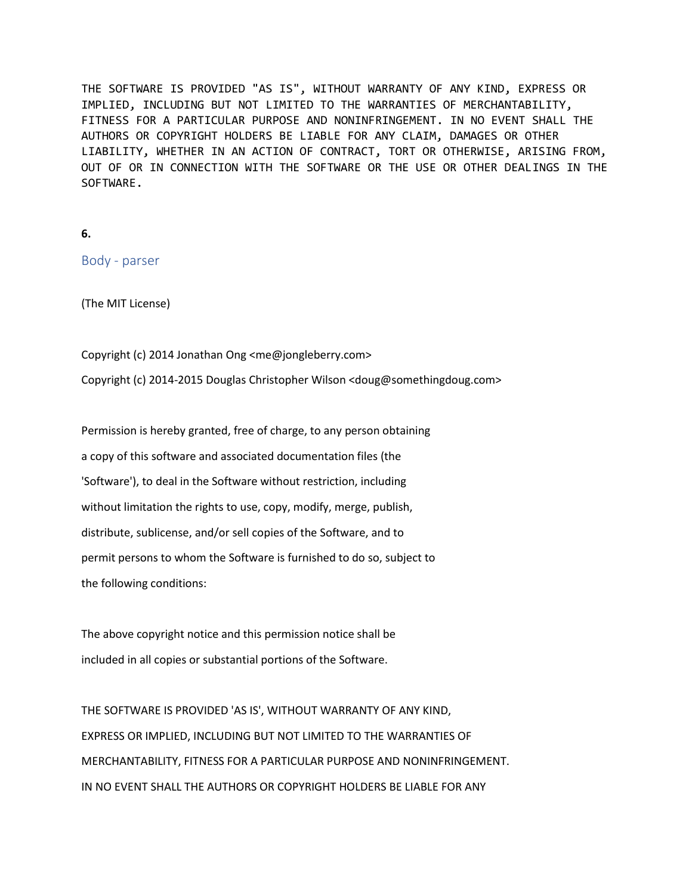THE SOFTWARE IS PROVIDED "AS IS", WITHOUT WARRANTY OF ANY KIND, EXPRESS OR IMPLIED, INCLUDING BUT NOT LIMITED TO THE WARRANTIES OF MERCHANTABILITY, FITNESS FOR A PARTICULAR PURPOSE AND NONINFRINGEMENT. IN NO EVENT SHALL THE AUTHORS OR COPYRIGHT HOLDERS BE LIABLE FOR ANY CLAIM, DAMAGES OR OTHER LIABILITY, WHETHER IN AN ACTION OF CONTRACT, TORT OR OTHERWISE, ARISING FROM, OUT OF OR IN CONNECTION WITH THE SOFTWARE OR THE USE OR OTHER DEALINGS IN THE SOFTWARE.

```
6.
```
Body - parser

(The MIT License)

Copyright (c) 2014 Jonathan Ong <me@jongleberry.com> Copyright (c) 2014-2015 Douglas Christopher Wilson <doug@somethingdoug.com>

Permission is hereby granted, free of charge, to any person obtaining a copy of this software and associated documentation files (the 'Software'), to deal in the Software without restriction, including without limitation the rights to use, copy, modify, merge, publish, distribute, sublicense, and/or sell copies of the Software, and to permit persons to whom the Software is furnished to do so, subject to the following conditions:

The above copyright notice and this permission notice shall be included in all copies or substantial portions of the Software.

THE SOFTWARE IS PROVIDED 'AS IS', WITHOUT WARRANTY OF ANY KIND, EXPRESS OR IMPLIED, INCLUDING BUT NOT LIMITED TO THE WARRANTIES OF MERCHANTABILITY, FITNESS FOR A PARTICULAR PURPOSE AND NONINFRINGEMENT. IN NO EVENT SHALL THE AUTHORS OR COPYRIGHT HOLDERS BE LIABLE FOR ANY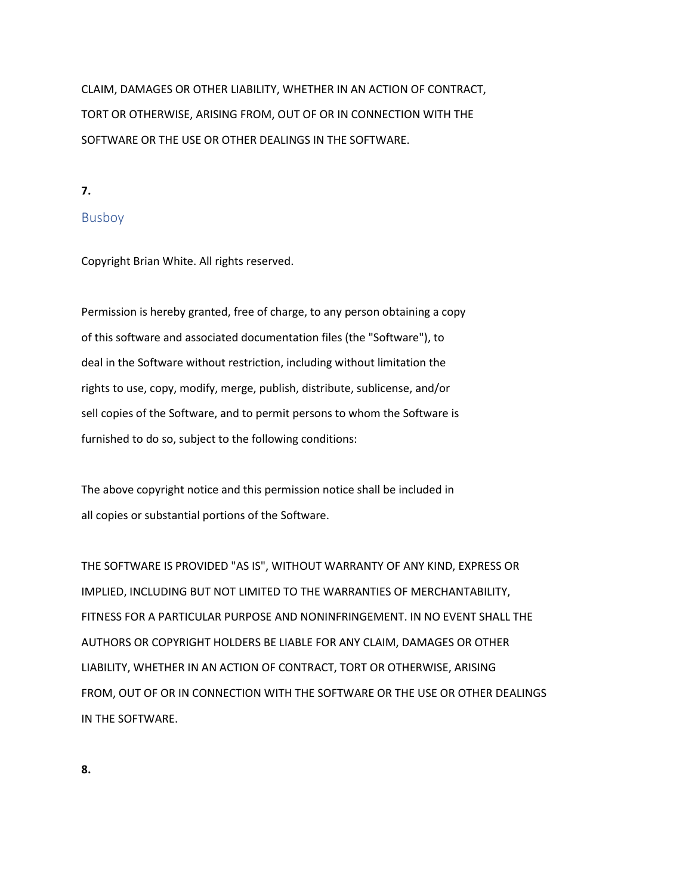CLAIM, DAMAGES OR OTHER LIABILITY, WHETHER IN AN ACTION OF CONTRACT, TORT OR OTHERWISE, ARISING FROM, OUT OF OR IN CONNECTION WITH THE SOFTWARE OR THE USE OR OTHER DEALINGS IN THE SOFTWARE.

**7.**

## Busboy

Copyright Brian White. All rights reserved.

Permission is hereby granted, free of charge, to any person obtaining a copy of this software and associated documentation files (the "Software"), to deal in the Software without restriction, including without limitation the rights to use, copy, modify, merge, publish, distribute, sublicense, and/or sell copies of the Software, and to permit persons to whom the Software is furnished to do so, subject to the following conditions:

The above copyright notice and this permission notice shall be included in all copies or substantial portions of the Software.

THE SOFTWARE IS PROVIDED "AS IS", WITHOUT WARRANTY OF ANY KIND, EXPRESS OR IMPLIED, INCLUDING BUT NOT LIMITED TO THE WARRANTIES OF MERCHANTABILITY, FITNESS FOR A PARTICULAR PURPOSE AND NONINFRINGEMENT. IN NO EVENT SHALL THE AUTHORS OR COPYRIGHT HOLDERS BE LIABLE FOR ANY CLAIM, DAMAGES OR OTHER LIABILITY, WHETHER IN AN ACTION OF CONTRACT, TORT OR OTHERWISE, ARISING FROM, OUT OF OR IN CONNECTION WITH THE SOFTWARE OR THE USE OR OTHER DEALINGS IN THE SOFTWARE.

**8.**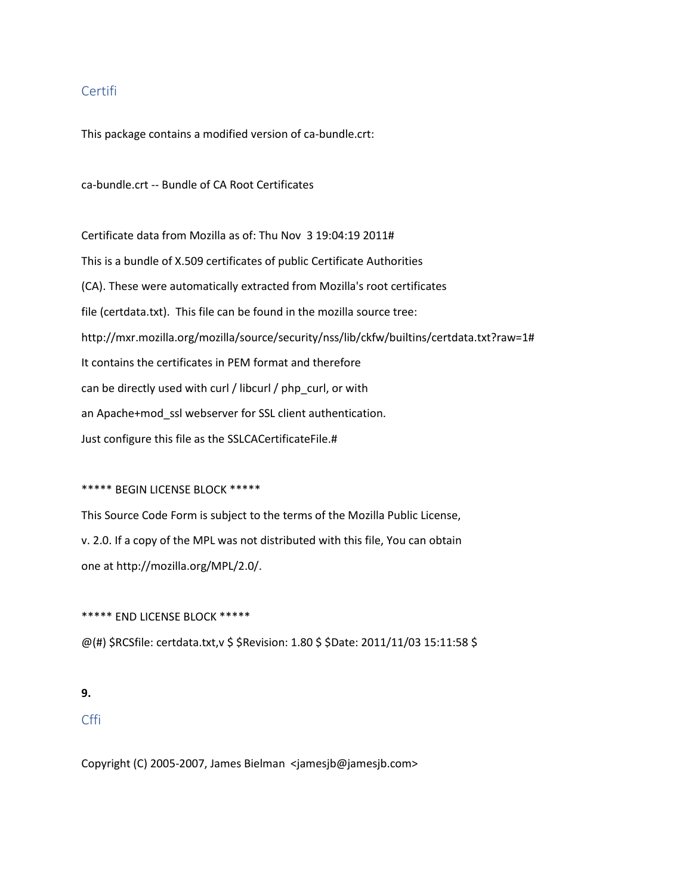### Certifi

This package contains a modified version of ca-bundle.crt:

ca-bundle.crt -- Bundle of CA Root Certificates

Certificate data from Mozilla as of: Thu Nov 3 19:04:19 2011# This is a bundle of X.509 certificates of public Certificate Authorities (CA). These were automatically extracted from Mozilla's root certificates file (certdata.txt). This file can be found in the mozilla source tree: http://mxr.mozilla.org/mozilla/source/security/nss/lib/ckfw/builtins/certdata.txt?raw=1# It contains the certificates in PEM format and therefore can be directly used with curl / libcurl / php\_curl, or with an Apache+mod\_ssl webserver for SSL client authentication. Just configure this file as the SSLCACertificateFile.#

#### \*\*\*\*\* BEGIN LICENSE BLOCK \*\*\*\*\*

This Source Code Form is subject to the terms of the Mozilla Public License, v. 2.0. If a copy of the MPL was not distributed with this file, You can obtain one at http://mozilla.org/MPL/2.0/.

\*\*\*\*\* END LICENSE BLOCK \*\*\*\*\*

@(#) \$RCSfile: certdata.txt,v \$ \$Revision: 1.80 \$ \$Date: 2011/11/03 15:11:58 \$

#### **9.**

### Cffi

Copyright (C) 2005-2007, James Bielman <jamesjb@jamesjb.com>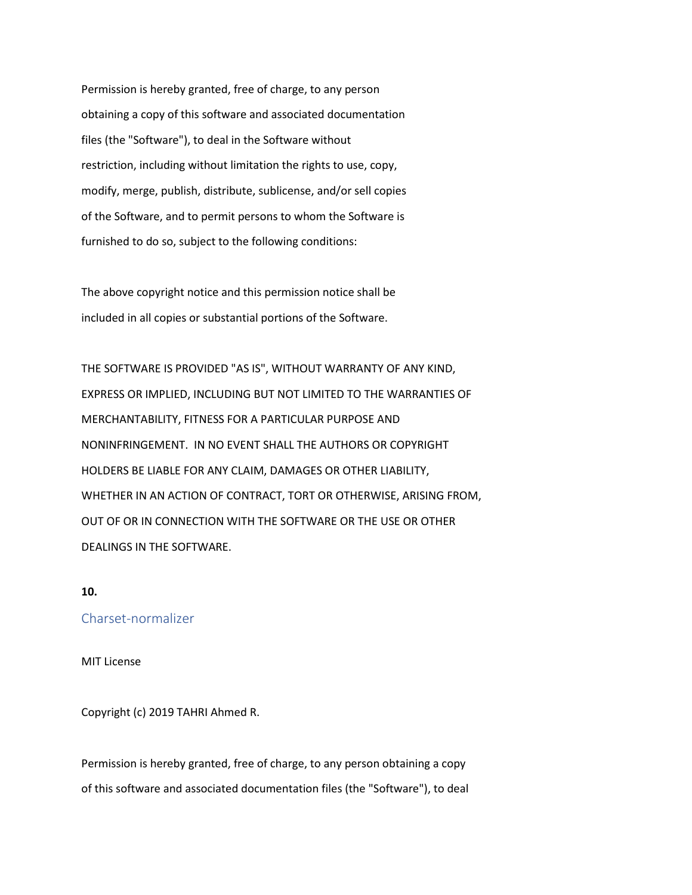Permission is hereby granted, free of charge, to any person obtaining a copy of this software and associated documentation files (the "Software"), to deal in the Software without restriction, including without limitation the rights to use, copy, modify, merge, publish, distribute, sublicense, and/or sell copies of the Software, and to permit persons to whom the Software is furnished to do so, subject to the following conditions:

The above copyright notice and this permission notice shall be included in all copies or substantial portions of the Software.

THE SOFTWARE IS PROVIDED "AS IS", WITHOUT WARRANTY OF ANY KIND, EXPRESS OR IMPLIED, INCLUDING BUT NOT LIMITED TO THE WARRANTIES OF MERCHANTABILITY, FITNESS FOR A PARTICULAR PURPOSE AND NONINFRINGEMENT. IN NO EVENT SHALL THE AUTHORS OR COPYRIGHT HOLDERS BE LIABLE FOR ANY CLAIM, DAMAGES OR OTHER LIABILITY, WHETHER IN AN ACTION OF CONTRACT, TORT OR OTHERWISE, ARISING FROM, OUT OF OR IN CONNECTION WITH THE SOFTWARE OR THE USE OR OTHER DEALINGS IN THE SOFTWARE.

### **10.**

#### Charset-normalizer

#### MIT License

Copyright (c) 2019 TAHRI Ahmed R.

Permission is hereby granted, free of charge, to any person obtaining a copy of this software and associated documentation files (the "Software"), to deal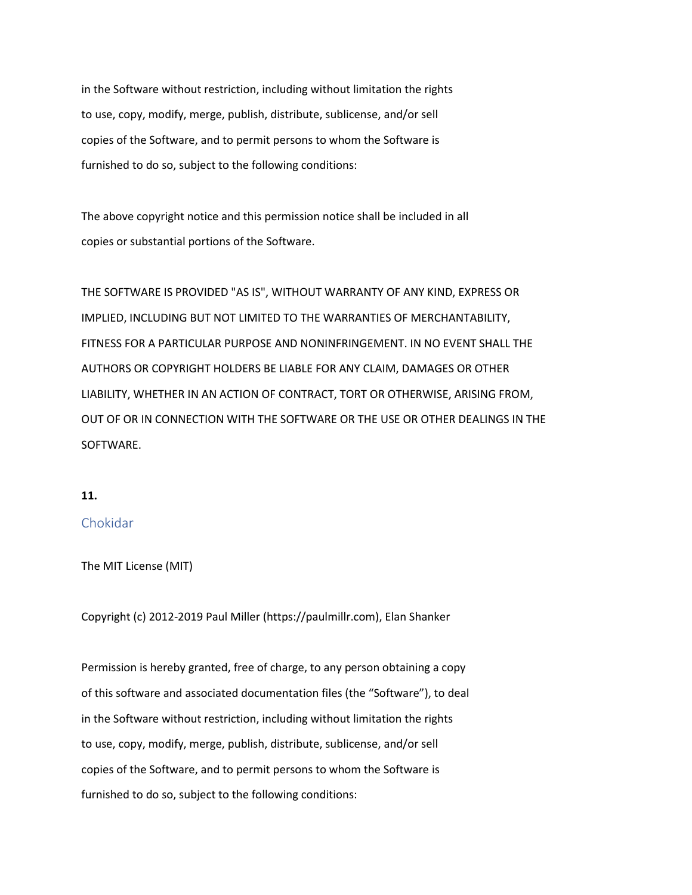in the Software without restriction, including without limitation the rights to use, copy, modify, merge, publish, distribute, sublicense, and/or sell copies of the Software, and to permit persons to whom the Software is furnished to do so, subject to the following conditions:

The above copyright notice and this permission notice shall be included in all copies or substantial portions of the Software.

THE SOFTWARE IS PROVIDED "AS IS", WITHOUT WARRANTY OF ANY KIND, EXPRESS OR IMPLIED, INCLUDING BUT NOT LIMITED TO THE WARRANTIES OF MERCHANTABILITY, FITNESS FOR A PARTICULAR PURPOSE AND NONINFRINGEMENT. IN NO EVENT SHALL THE AUTHORS OR COPYRIGHT HOLDERS BE LIABLE FOR ANY CLAIM, DAMAGES OR OTHER LIABILITY, WHETHER IN AN ACTION OF CONTRACT, TORT OR OTHERWISE, ARISING FROM, OUT OF OR IN CONNECTION WITH THE SOFTWARE OR THE USE OR OTHER DEALINGS IN THE SOFTWARE.

### **11.**

### Chokidar

The MIT License (MIT)

Copyright (c) 2012-2019 Paul Miller (https://paulmillr.com), Elan Shanker

Permission is hereby granted, free of charge, to any person obtaining a copy of this software and associated documentation files (the "Software"), to deal in the Software without restriction, including without limitation the rights to use, copy, modify, merge, publish, distribute, sublicense, and/or sell copies of the Software, and to permit persons to whom the Software is furnished to do so, subject to the following conditions: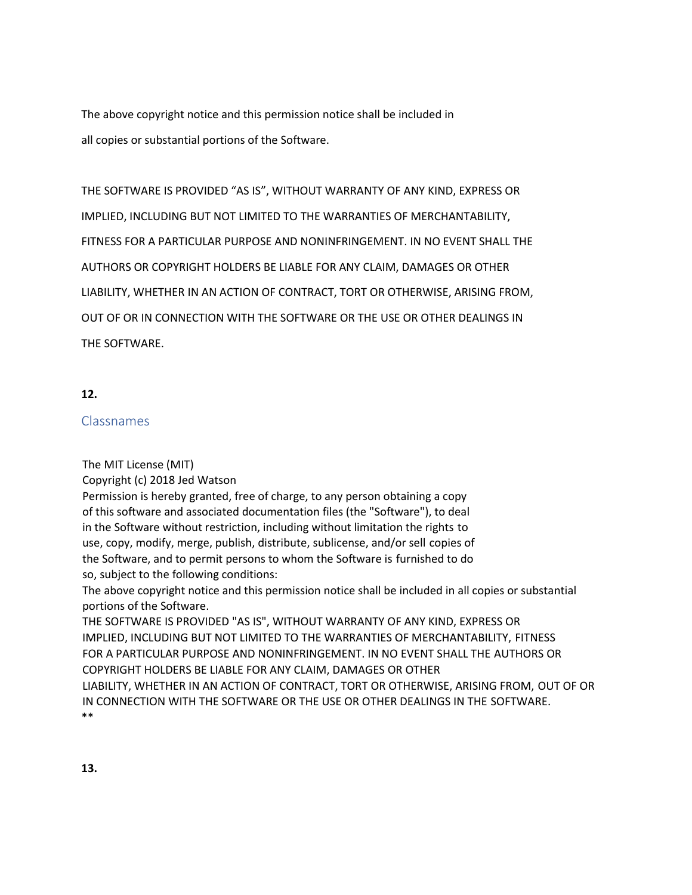The above copyright notice and this permission notice shall be included in all copies or substantial portions of the Software.

THE SOFTWARE IS PROVIDED "AS IS", WITHOUT WARRANTY OF ANY KIND, EXPRESS OR IMPLIED, INCLUDING BUT NOT LIMITED TO THE WARRANTIES OF MERCHANTABILITY, FITNESS FOR A PARTICULAR PURPOSE AND NONINFRINGEMENT. IN NO EVENT SHALL THE AUTHORS OR COPYRIGHT HOLDERS BE LIABLE FOR ANY CLAIM, DAMAGES OR OTHER LIABILITY, WHETHER IN AN ACTION OF CONTRACT, TORT OR OTHERWISE, ARISING FROM, OUT OF OR IN CONNECTION WITH THE SOFTWARE OR THE USE OR OTHER DEALINGS IN THE SOFTWARE.

## **12.**

## Classnames

The MIT License (MIT)

Copyright (c) 2018 Jed Watson

Permission is hereby granted, free of charge, to any person obtaining a copy of this software and associated documentation files (the "Software"), to deal in the Software without restriction, including without limitation the rights to use, copy, modify, merge, publish, distribute, sublicense, and/or sell copies of the Software, and to permit persons to whom the Software is furnished to do so, subject to the following conditions:

The above copyright notice and this permission notice shall be included in all copies or substantial portions of the Software.

THE SOFTWARE IS PROVIDED "AS IS", WITHOUT WARRANTY OF ANY KIND, EXPRESS OR IMPLIED, INCLUDING BUT NOT LIMITED TO THE WARRANTIES OF MERCHANTABILITY, FITNESS FOR A PARTICULAR PURPOSE AND NONINFRINGEMENT. IN NO EVENT SHALL THE AUTHORS OR COPYRIGHT HOLDERS BE LIABLE FOR ANY CLAIM, DAMAGES OR OTHER

LIABILITY, WHETHER IN AN ACTION OF CONTRACT, TORT OR OTHERWISE, ARISING FROM, OUT OF OR IN CONNECTION WITH THE SOFTWARE OR THE USE OR OTHER DEALINGS IN THE SOFTWARE. \*\*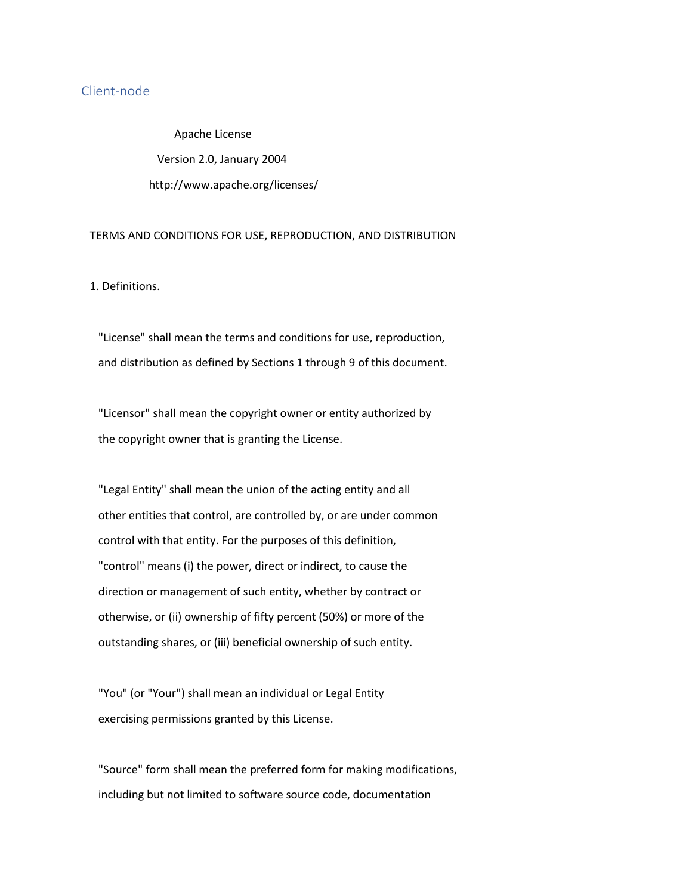## Client-node

Apache License Version 2.0, January 2004 http://www.apache.org/licenses/

#### TERMS AND CONDITIONS FOR USE, REPRODUCTION, AND DISTRIBUTION

1. Definitions.

 "License" shall mean the terms and conditions for use, reproduction, and distribution as defined by Sections 1 through 9 of this document.

 "Licensor" shall mean the copyright owner or entity authorized by the copyright owner that is granting the License.

 "Legal Entity" shall mean the union of the acting entity and all other entities that control, are controlled by, or are under common control with that entity. For the purposes of this definition, "control" means (i) the power, direct or indirect, to cause the direction or management of such entity, whether by contract or otherwise, or (ii) ownership of fifty percent (50%) or more of the outstanding shares, or (iii) beneficial ownership of such entity.

 "You" (or "Your") shall mean an individual or Legal Entity exercising permissions granted by this License.

 "Source" form shall mean the preferred form for making modifications, including but not limited to software source code, documentation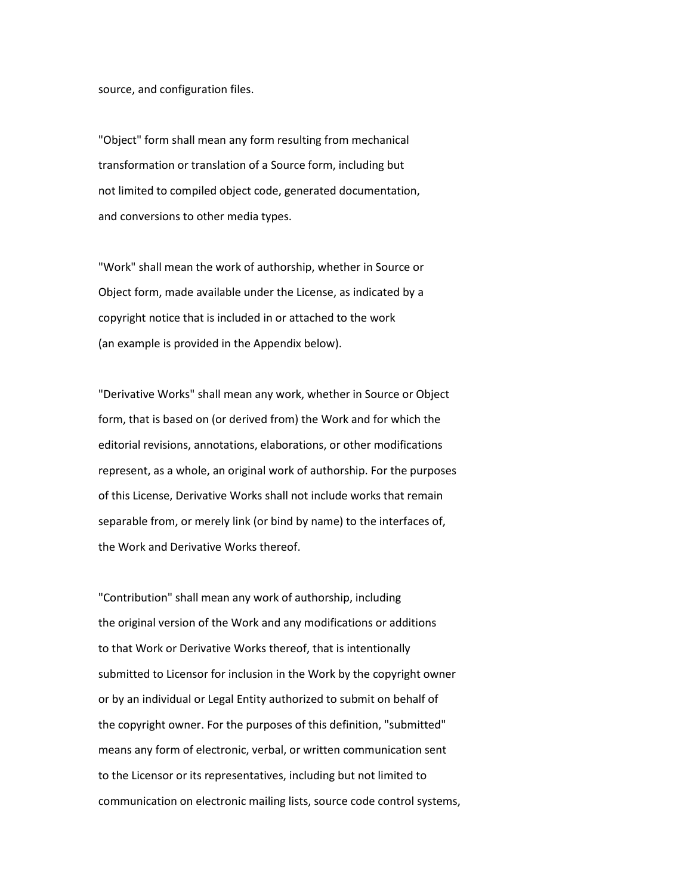source, and configuration files.

 "Object" form shall mean any form resulting from mechanical transformation or translation of a Source form, including but not limited to compiled object code, generated documentation, and conversions to other media types.

 "Work" shall mean the work of authorship, whether in Source or Object form, made available under the License, as indicated by a copyright notice that is included in or attached to the work (an example is provided in the Appendix below).

 "Derivative Works" shall mean any work, whether in Source or Object form, that is based on (or derived from) the Work and for which the editorial revisions, annotations, elaborations, or other modifications represent, as a whole, an original work of authorship. For the purposes of this License, Derivative Works shall not include works that remain separable from, or merely link (or bind by name) to the interfaces of, the Work and Derivative Works thereof.

 "Contribution" shall mean any work of authorship, including the original version of the Work and any modifications or additions to that Work or Derivative Works thereof, that is intentionally submitted to Licensor for inclusion in the Work by the copyright owner or by an individual or Legal Entity authorized to submit on behalf of the copyright owner. For the purposes of this definition, "submitted" means any form of electronic, verbal, or written communication sent to the Licensor or its representatives, including but not limited to communication on electronic mailing lists, source code control systems,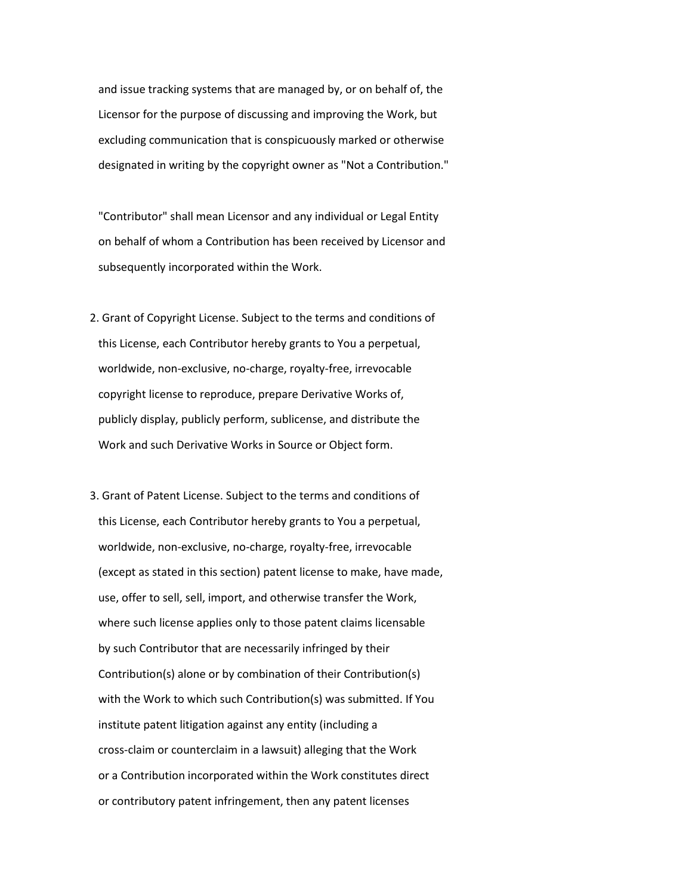and issue tracking systems that are managed by, or on behalf of, the Licensor for the purpose of discussing and improving the Work, but excluding communication that is conspicuously marked or otherwise designated in writing by the copyright owner as "Not a Contribution."

 "Contributor" shall mean Licensor and any individual or Legal Entity on behalf of whom a Contribution has been received by Licensor and subsequently incorporated within the Work.

- 2. Grant of Copyright License. Subject to the terms and conditions of this License, each Contributor hereby grants to You a perpetual, worldwide, non-exclusive, no-charge, royalty-free, irrevocable copyright license to reproduce, prepare Derivative Works of, publicly display, publicly perform, sublicense, and distribute the Work and such Derivative Works in Source or Object form.
- 3. Grant of Patent License. Subject to the terms and conditions of this License, each Contributor hereby grants to You a perpetual, worldwide, non-exclusive, no-charge, royalty-free, irrevocable (except as stated in this section) patent license to make, have made, use, offer to sell, sell, import, and otherwise transfer the Work, where such license applies only to those patent claims licensable by such Contributor that are necessarily infringed by their Contribution(s) alone or by combination of their Contribution(s) with the Work to which such Contribution(s) was submitted. If You institute patent litigation against any entity (including a cross-claim or counterclaim in a lawsuit) alleging that the Work or a Contribution incorporated within the Work constitutes direct or contributory patent infringement, then any patent licenses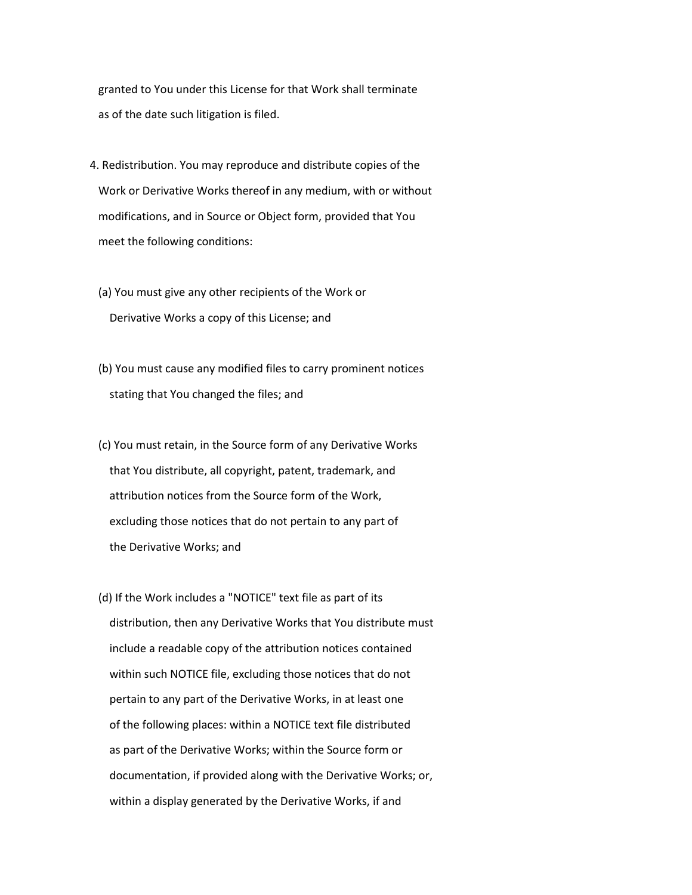granted to You under this License for that Work shall terminate as of the date such litigation is filed.

- 4. Redistribution. You may reproduce and distribute copies of the Work or Derivative Works thereof in any medium, with or without modifications, and in Source or Object form, provided that You meet the following conditions:
	- (a) You must give any other recipients of the Work or Derivative Works a copy of this License; and
	- (b) You must cause any modified files to carry prominent notices stating that You changed the files; and
	- (c) You must retain, in the Source form of any Derivative Works that You distribute, all copyright, patent, trademark, and attribution notices from the Source form of the Work, excluding those notices that do not pertain to any part of the Derivative Works; and
	- (d) If the Work includes a "NOTICE" text file as part of its distribution, then any Derivative Works that You distribute must include a readable copy of the attribution notices contained within such NOTICE file, excluding those notices that do not pertain to any part of the Derivative Works, in at least one of the following places: within a NOTICE text file distributed as part of the Derivative Works; within the Source form or documentation, if provided along with the Derivative Works; or, within a display generated by the Derivative Works, if and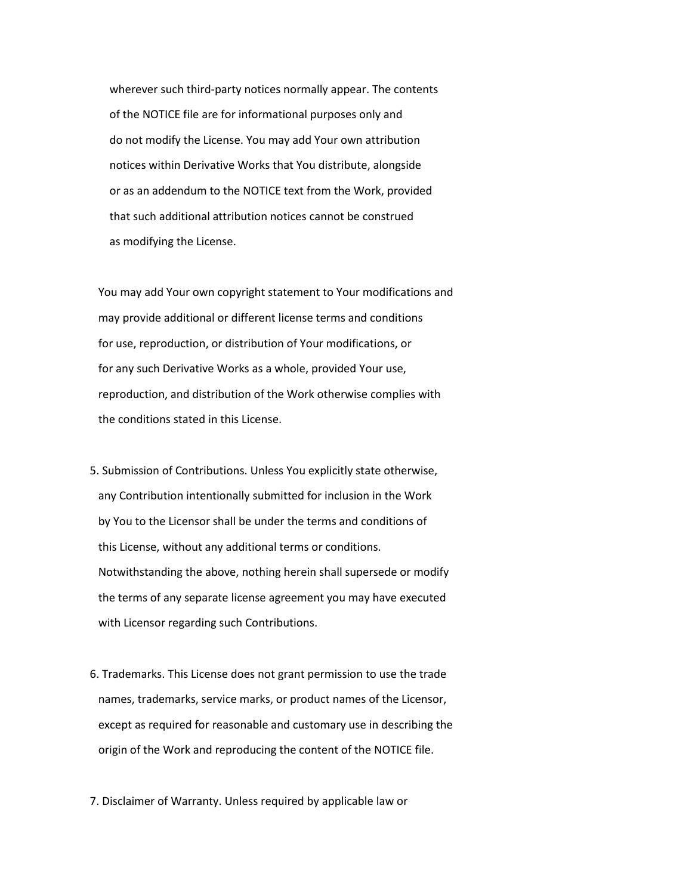wherever such third-party notices normally appear. The contents of the NOTICE file are for informational purposes only and do not modify the License. You may add Your own attribution notices within Derivative Works that You distribute, alongside or as an addendum to the NOTICE text from the Work, provided that such additional attribution notices cannot be construed as modifying the License.

 You may add Your own copyright statement to Your modifications and may provide additional or different license terms and conditions for use, reproduction, or distribution of Your modifications, or for any such Derivative Works as a whole, provided Your use, reproduction, and distribution of the Work otherwise complies with the conditions stated in this License.

- 5. Submission of Contributions. Unless You explicitly state otherwise, any Contribution intentionally submitted for inclusion in the Work by You to the Licensor shall be under the terms and conditions of this License, without any additional terms or conditions. Notwithstanding the above, nothing herein shall supersede or modify the terms of any separate license agreement you may have executed with Licensor regarding such Contributions.
- 6. Trademarks. This License does not grant permission to use the trade names, trademarks, service marks, or product names of the Licensor, except as required for reasonable and customary use in describing the origin of the Work and reproducing the content of the NOTICE file.

7. Disclaimer of Warranty. Unless required by applicable law or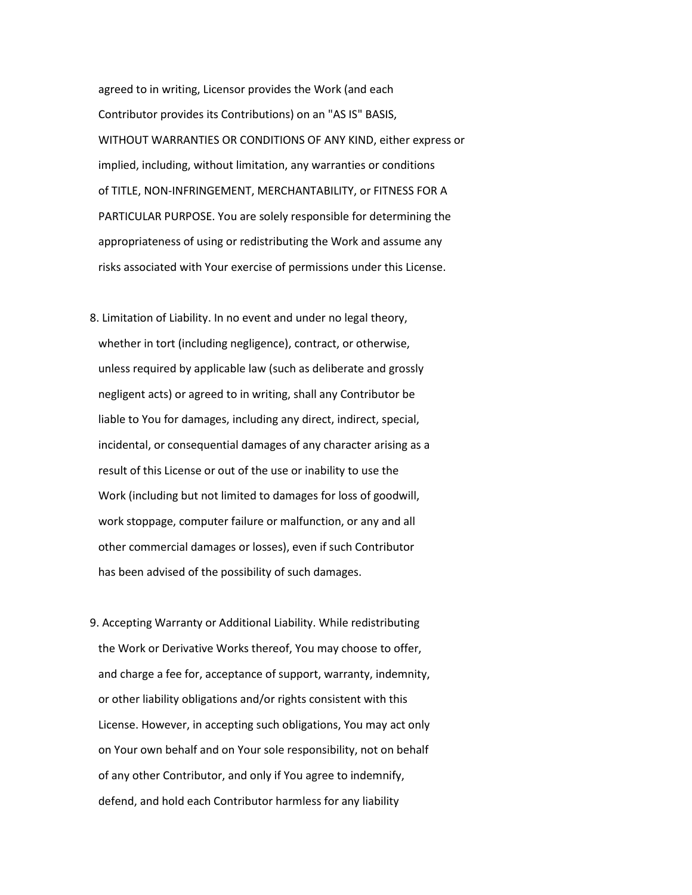agreed to in writing, Licensor provides the Work (and each Contributor provides its Contributions) on an "AS IS" BASIS, WITHOUT WARRANTIES OR CONDITIONS OF ANY KIND, either express or implied, including, without limitation, any warranties or conditions of TITLE, NON-INFRINGEMENT, MERCHANTABILITY, or FITNESS FOR A PARTICULAR PURPOSE. You are solely responsible for determining the appropriateness of using or redistributing the Work and assume any risks associated with Your exercise of permissions under this License.

- 8. Limitation of Liability. In no event and under no legal theory, whether in tort (including negligence), contract, or otherwise, unless required by applicable law (such as deliberate and grossly negligent acts) or agreed to in writing, shall any Contributor be liable to You for damages, including any direct, indirect, special, incidental, or consequential damages of any character arising as a result of this License or out of the use or inability to use the Work (including but not limited to damages for loss of goodwill, work stoppage, computer failure or malfunction, or any and all other commercial damages or losses), even if such Contributor has been advised of the possibility of such damages.
- 9. Accepting Warranty or Additional Liability. While redistributing the Work or Derivative Works thereof, You may choose to offer, and charge a fee for, acceptance of support, warranty, indemnity, or other liability obligations and/or rights consistent with this License. However, in accepting such obligations, You may act only on Your own behalf and on Your sole responsibility, not on behalf of any other Contributor, and only if You agree to indemnify, defend, and hold each Contributor harmless for any liability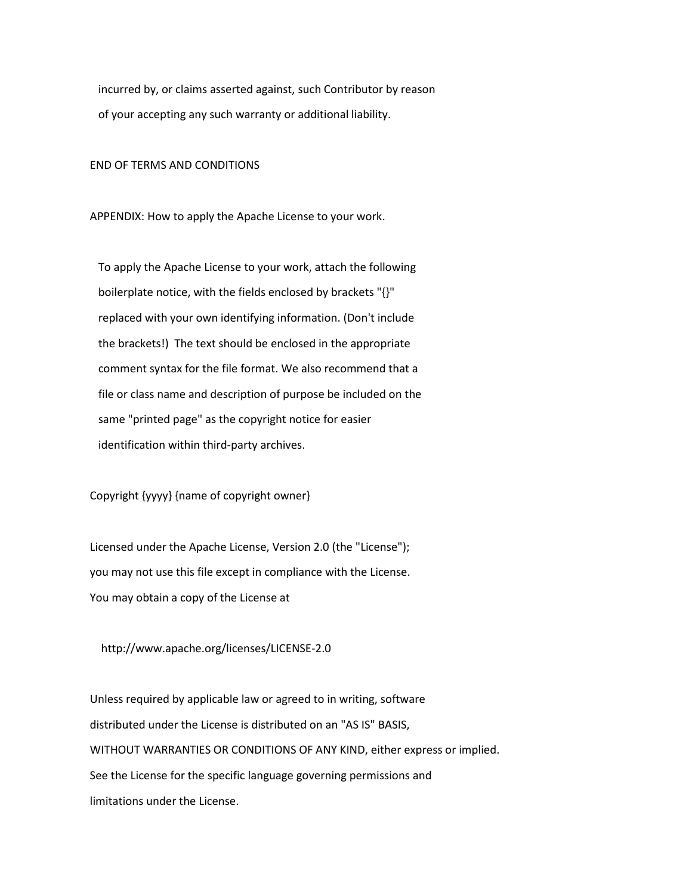incurred by, or claims asserted against, such Contributor by reason of your accepting any such warranty or additional liability.

END OF TERMS AND CONDITIONS

APPENDIX: How to apply the Apache License to your work.

 To apply the Apache License to your work, attach the following boilerplate notice, with the fields enclosed by brackets "{}" replaced with your own identifying information. (Don't include the brackets!) The text should be enclosed in the appropriate comment syntax for the file format. We also recommend that a file or class name and description of purpose be included on the same "printed page" as the copyright notice for easier identification within third-party archives.

Copyright {yyyy} {name of copyright owner}

 Licensed under the Apache License, Version 2.0 (the "License"); you may not use this file except in compliance with the License. You may obtain a copy of the License at

http://www.apache.org/licenses/LICENSE-2.0

 Unless required by applicable law or agreed to in writing, software distributed under the License is distributed on an "AS IS" BASIS, WITHOUT WARRANTIES OR CONDITIONS OF ANY KIND, either express or implied. See the License for the specific language governing permissions and limitations under the License.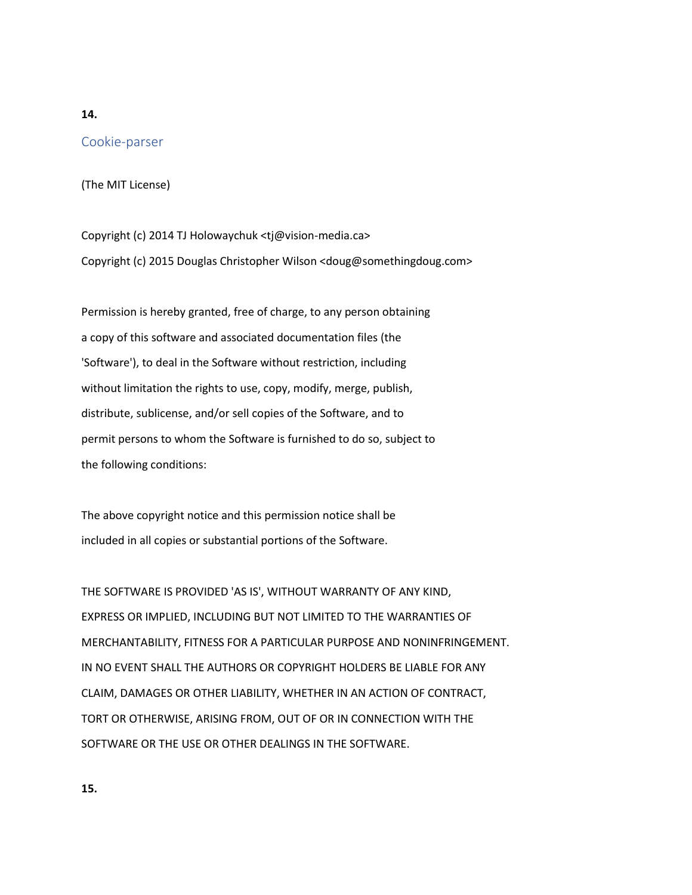### **14.**

# Cookie-parser

(The MIT License)

Copyright (c) 2014 TJ Holowaychuk <tj@vision-media.ca> Copyright (c) 2015 Douglas Christopher Wilson <doug@somethingdoug.com>

Permission is hereby granted, free of charge, to any person obtaining a copy of this software and associated documentation files (the 'Software'), to deal in the Software without restriction, including without limitation the rights to use, copy, modify, merge, publish, distribute, sublicense, and/or sell copies of the Software, and to permit persons to whom the Software is furnished to do so, subject to the following conditions:

The above copyright notice and this permission notice shall be included in all copies or substantial portions of the Software.

THE SOFTWARE IS PROVIDED 'AS IS', WITHOUT WARRANTY OF ANY KIND, EXPRESS OR IMPLIED, INCLUDING BUT NOT LIMITED TO THE WARRANTIES OF MERCHANTABILITY, FITNESS FOR A PARTICULAR PURPOSE AND NONINFRINGEMENT. IN NO EVENT SHALL THE AUTHORS OR COPYRIGHT HOLDERS BE LIABLE FOR ANY CLAIM, DAMAGES OR OTHER LIABILITY, WHETHER IN AN ACTION OF CONTRACT, TORT OR OTHERWISE, ARISING FROM, OUT OF OR IN CONNECTION WITH THE SOFTWARE OR THE USE OR OTHER DEALINGS IN THE SOFTWARE.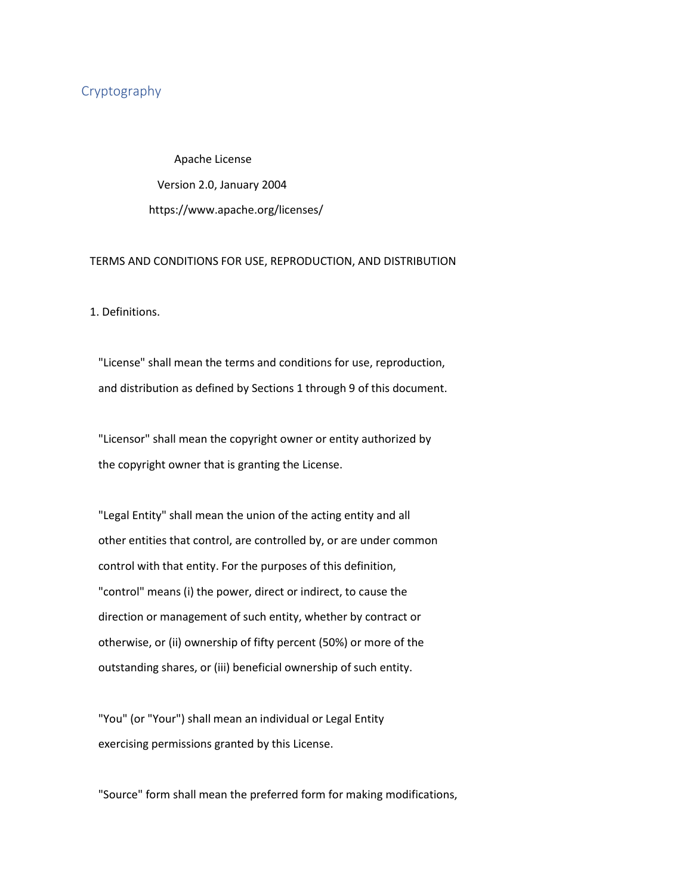## Cryptography

 Apache License Version 2.0, January 2004 https://www.apache.org/licenses/

#### TERMS AND CONDITIONS FOR USE, REPRODUCTION, AND DISTRIBUTION

1. Definitions.

 "License" shall mean the terms and conditions for use, reproduction, and distribution as defined by Sections 1 through 9 of this document.

 "Licensor" shall mean the copyright owner or entity authorized by the copyright owner that is granting the License.

 "Legal Entity" shall mean the union of the acting entity and all other entities that control, are controlled by, or are under common control with that entity. For the purposes of this definition, "control" means (i) the power, direct or indirect, to cause the direction or management of such entity, whether by contract or otherwise, or (ii) ownership of fifty percent (50%) or more of the outstanding shares, or (iii) beneficial ownership of such entity.

 "You" (or "Your") shall mean an individual or Legal Entity exercising permissions granted by this License.

"Source" form shall mean the preferred form for making modifications,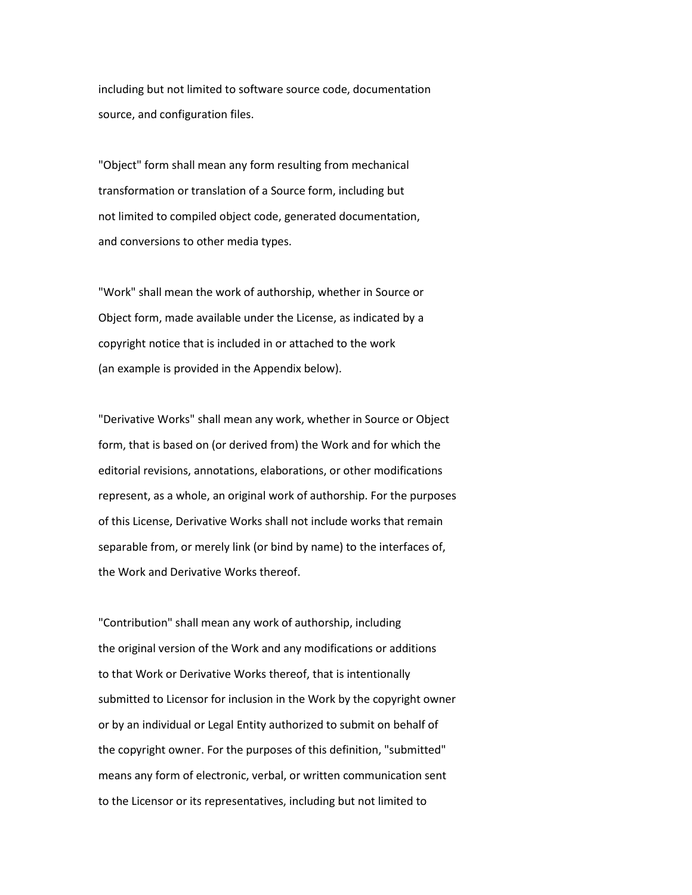including but not limited to software source code, documentation source, and configuration files.

 "Object" form shall mean any form resulting from mechanical transformation or translation of a Source form, including but not limited to compiled object code, generated documentation, and conversions to other media types.

 "Work" shall mean the work of authorship, whether in Source or Object form, made available under the License, as indicated by a copyright notice that is included in or attached to the work (an example is provided in the Appendix below).

 "Derivative Works" shall mean any work, whether in Source or Object form, that is based on (or derived from) the Work and for which the editorial revisions, annotations, elaborations, or other modifications represent, as a whole, an original work of authorship. For the purposes of this License, Derivative Works shall not include works that remain separable from, or merely link (or bind by name) to the interfaces of, the Work and Derivative Works thereof.

 "Contribution" shall mean any work of authorship, including the original version of the Work and any modifications or additions to that Work or Derivative Works thereof, that is intentionally submitted to Licensor for inclusion in the Work by the copyright owner or by an individual or Legal Entity authorized to submit on behalf of the copyright owner. For the purposes of this definition, "submitted" means any form of electronic, verbal, or written communication sent to the Licensor or its representatives, including but not limited to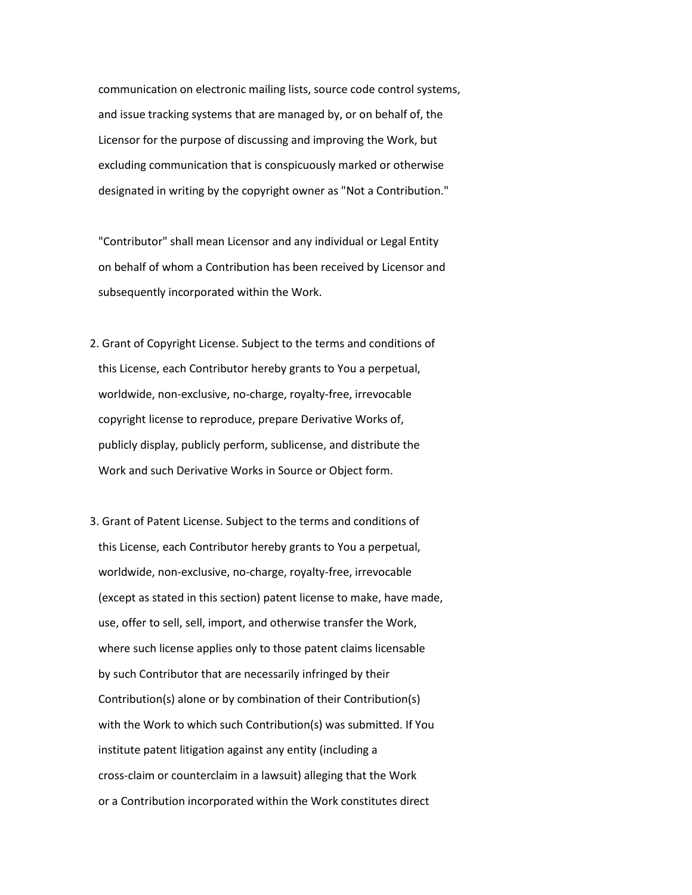communication on electronic mailing lists, source code control systems, and issue tracking systems that are managed by, or on behalf of, the Licensor for the purpose of discussing and improving the Work, but excluding communication that is conspicuously marked or otherwise designated in writing by the copyright owner as "Not a Contribution."

 "Contributor" shall mean Licensor and any individual or Legal Entity on behalf of whom a Contribution has been received by Licensor and subsequently incorporated within the Work.

- 2. Grant of Copyright License. Subject to the terms and conditions of this License, each Contributor hereby grants to You a perpetual, worldwide, non-exclusive, no-charge, royalty-free, irrevocable copyright license to reproduce, prepare Derivative Works of, publicly display, publicly perform, sublicense, and distribute the Work and such Derivative Works in Source or Object form.
- 3. Grant of Patent License. Subject to the terms and conditions of this License, each Contributor hereby grants to You a perpetual, worldwide, non-exclusive, no-charge, royalty-free, irrevocable (except as stated in this section) patent license to make, have made, use, offer to sell, sell, import, and otherwise transfer the Work, where such license applies only to those patent claims licensable by such Contributor that are necessarily infringed by their Contribution(s) alone or by combination of their Contribution(s) with the Work to which such Contribution(s) was submitted. If You institute patent litigation against any entity (including a cross-claim or counterclaim in a lawsuit) alleging that the Work or a Contribution incorporated within the Work constitutes direct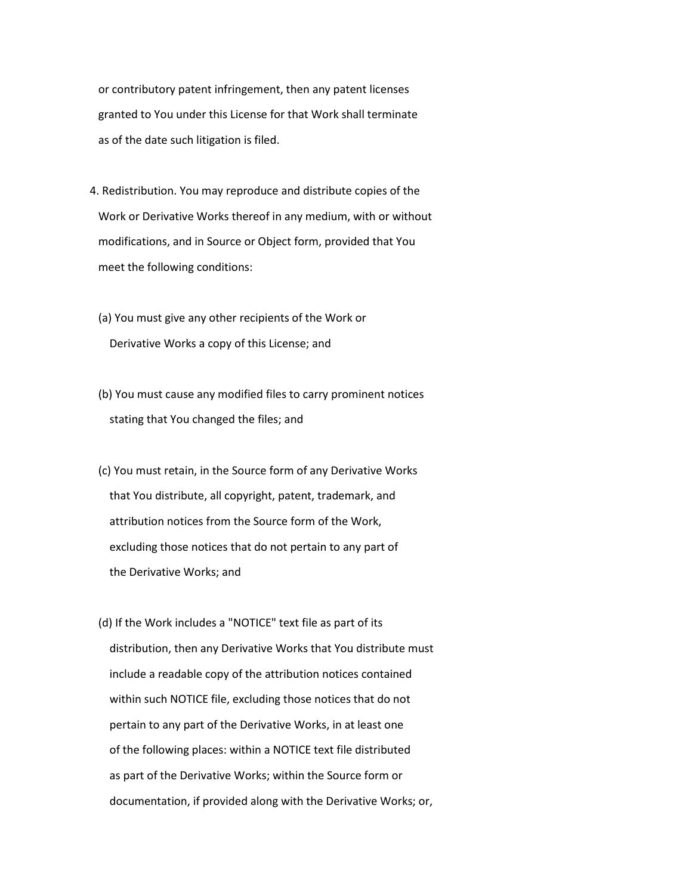or contributory patent infringement, then any patent licenses granted to You under this License for that Work shall terminate as of the date such litigation is filed.

- 4. Redistribution. You may reproduce and distribute copies of the Work or Derivative Works thereof in any medium, with or without modifications, and in Source or Object form, provided that You meet the following conditions:
	- (a) You must give any other recipients of the Work or Derivative Works a copy of this License; and
	- (b) You must cause any modified files to carry prominent notices stating that You changed the files; and
	- (c) You must retain, in the Source form of any Derivative Works that You distribute, all copyright, patent, trademark, and attribution notices from the Source form of the Work, excluding those notices that do not pertain to any part of the Derivative Works; and
	- (d) If the Work includes a "NOTICE" text file as part of its distribution, then any Derivative Works that You distribute must include a readable copy of the attribution notices contained within such NOTICE file, excluding those notices that do not pertain to any part of the Derivative Works, in at least one of the following places: within a NOTICE text file distributed as part of the Derivative Works; within the Source form or documentation, if provided along with the Derivative Works; or,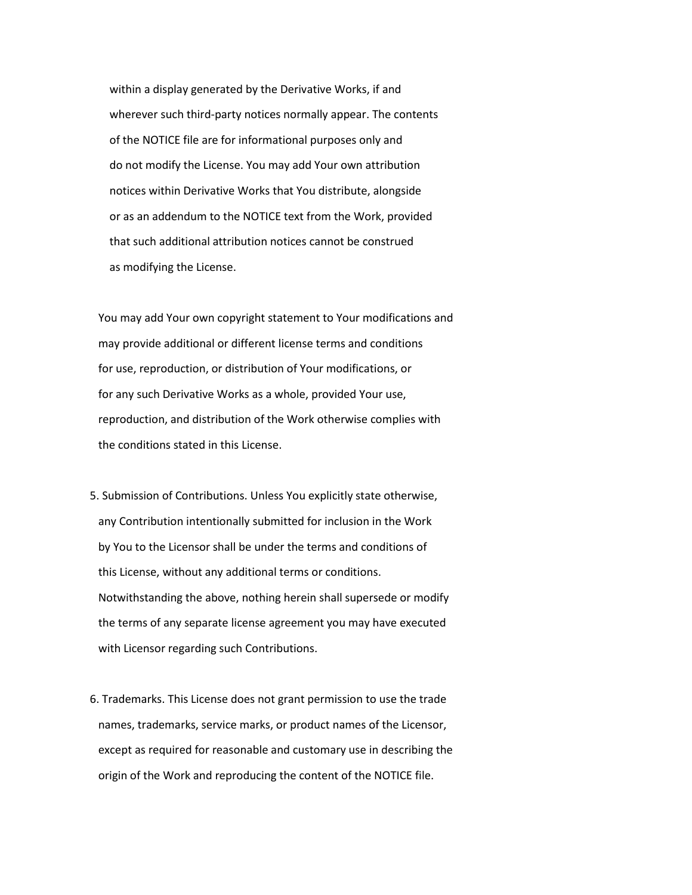within a display generated by the Derivative Works, if and wherever such third-party notices normally appear. The contents of the NOTICE file are for informational purposes only and do not modify the License. You may add Your own attribution notices within Derivative Works that You distribute, alongside or as an addendum to the NOTICE text from the Work, provided that such additional attribution notices cannot be construed as modifying the License.

 You may add Your own copyright statement to Your modifications and may provide additional or different license terms and conditions for use, reproduction, or distribution of Your modifications, or for any such Derivative Works as a whole, provided Your use, reproduction, and distribution of the Work otherwise complies with the conditions stated in this License.

- 5. Submission of Contributions. Unless You explicitly state otherwise, any Contribution intentionally submitted for inclusion in the Work by You to the Licensor shall be under the terms and conditions of this License, without any additional terms or conditions. Notwithstanding the above, nothing herein shall supersede or modify the terms of any separate license agreement you may have executed with Licensor regarding such Contributions.
- 6. Trademarks. This License does not grant permission to use the trade names, trademarks, service marks, or product names of the Licensor, except as required for reasonable and customary use in describing the origin of the Work and reproducing the content of the NOTICE file.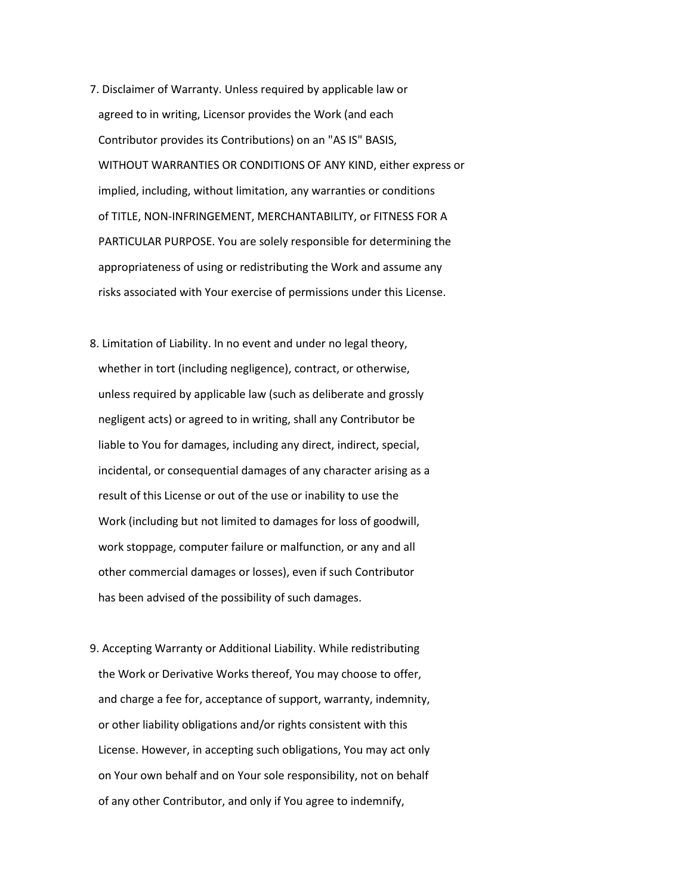- 7. Disclaimer of Warranty. Unless required by applicable law or agreed to in writing, Licensor provides the Work (and each Contributor provides its Contributions) on an "AS IS" BASIS, WITHOUT WARRANTIES OR CONDITIONS OF ANY KIND, either express or implied, including, without limitation, any warranties or conditions of TITLE, NON-INFRINGEMENT, MERCHANTABILITY, or FITNESS FOR A PARTICULAR PURPOSE. You are solely responsible for determining the appropriateness of using or redistributing the Work and assume any risks associated with Your exercise of permissions under this License.
- 8. Limitation of Liability. In no event and under no legal theory, whether in tort (including negligence), contract, or otherwise, unless required by applicable law (such as deliberate and grossly negligent acts) or agreed to in writing, shall any Contributor be liable to You for damages, including any direct, indirect, special, incidental, or consequential damages of any character arising as a result of this License or out of the use or inability to use the Work (including but not limited to damages for loss of goodwill, work stoppage, computer failure or malfunction, or any and all other commercial damages or losses), even if such Contributor has been advised of the possibility of such damages.
- 9. Accepting Warranty or Additional Liability. While redistributing the Work or Derivative Works thereof, You may choose to offer, and charge a fee for, acceptance of support, warranty, indemnity, or other liability obligations and/or rights consistent with this License. However, in accepting such obligations, You may act only on Your own behalf and on Your sole responsibility, not on behalf of any other Contributor, and only if You agree to indemnify,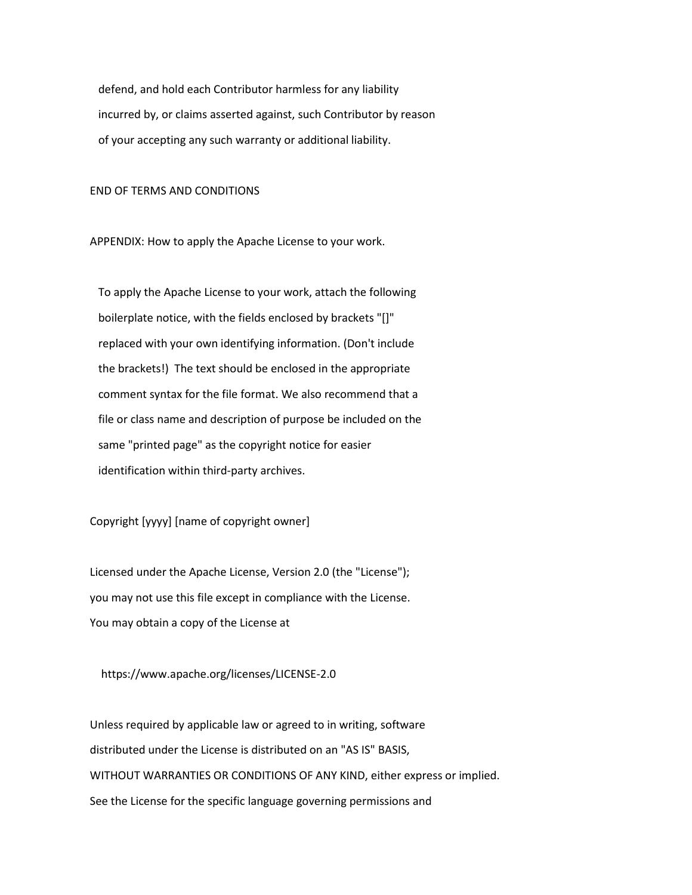defend, and hold each Contributor harmless for any liability incurred by, or claims asserted against, such Contributor by reason of your accepting any such warranty or additional liability.

END OF TERMS AND CONDITIONS

APPENDIX: How to apply the Apache License to your work.

 To apply the Apache License to your work, attach the following boilerplate notice, with the fields enclosed by brackets "[]" replaced with your own identifying information. (Don't include the brackets!) The text should be enclosed in the appropriate comment syntax for the file format. We also recommend that a file or class name and description of purpose be included on the same "printed page" as the copyright notice for easier identification within third-party archives.

Copyright [yyyy] [name of copyright owner]

 Licensed under the Apache License, Version 2.0 (the "License"); you may not use this file except in compliance with the License. You may obtain a copy of the License at

https://www.apache.org/licenses/LICENSE-2.0

 Unless required by applicable law or agreed to in writing, software distributed under the License is distributed on an "AS IS" BASIS, WITHOUT WARRANTIES OR CONDITIONS OF ANY KIND, either express or implied. See the License for the specific language governing permissions and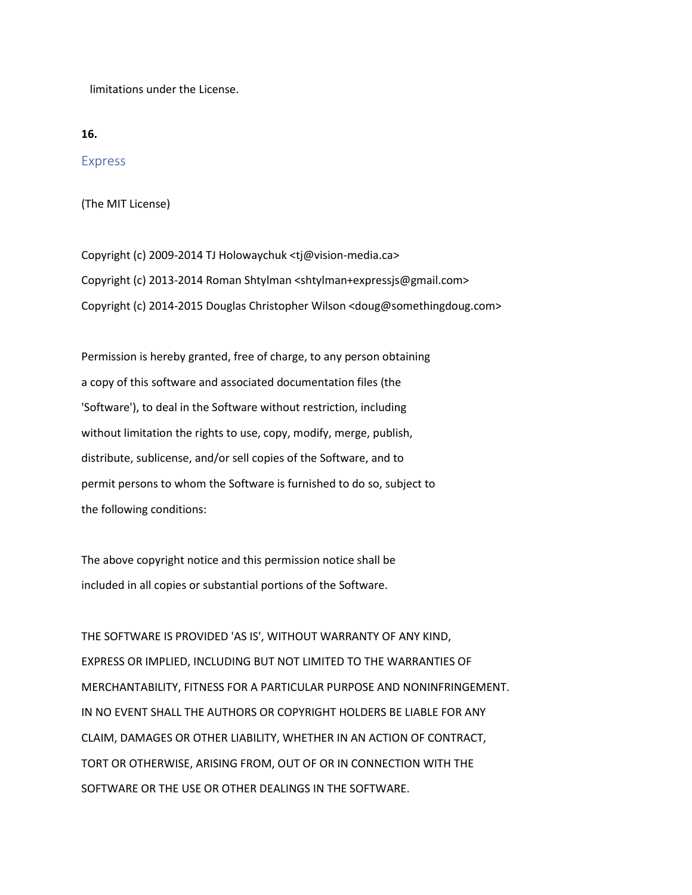limitations under the License.

**16.**

Express

(The MIT License)

Copyright (c) 2009-2014 TJ Holowaychuk <tj@vision-media.ca> Copyright (c) 2013-2014 Roman Shtylman <shtylman+expressjs@gmail.com> Copyright (c) 2014-2015 Douglas Christopher Wilson <doug@somethingdoug.com>

Permission is hereby granted, free of charge, to any person obtaining a copy of this software and associated documentation files (the 'Software'), to deal in the Software without restriction, including without limitation the rights to use, copy, modify, merge, publish, distribute, sublicense, and/or sell copies of the Software, and to permit persons to whom the Software is furnished to do so, subject to the following conditions:

The above copyright notice and this permission notice shall be included in all copies or substantial portions of the Software.

THE SOFTWARE IS PROVIDED 'AS IS', WITHOUT WARRANTY OF ANY KIND, EXPRESS OR IMPLIED, INCLUDING BUT NOT LIMITED TO THE WARRANTIES OF MERCHANTABILITY, FITNESS FOR A PARTICULAR PURPOSE AND NONINFRINGEMENT. IN NO EVENT SHALL THE AUTHORS OR COPYRIGHT HOLDERS BE LIABLE FOR ANY CLAIM, DAMAGES OR OTHER LIABILITY, WHETHER IN AN ACTION OF CONTRACT, TORT OR OTHERWISE, ARISING FROM, OUT OF OR IN CONNECTION WITH THE SOFTWARE OR THE USE OR OTHER DEALINGS IN THE SOFTWARE.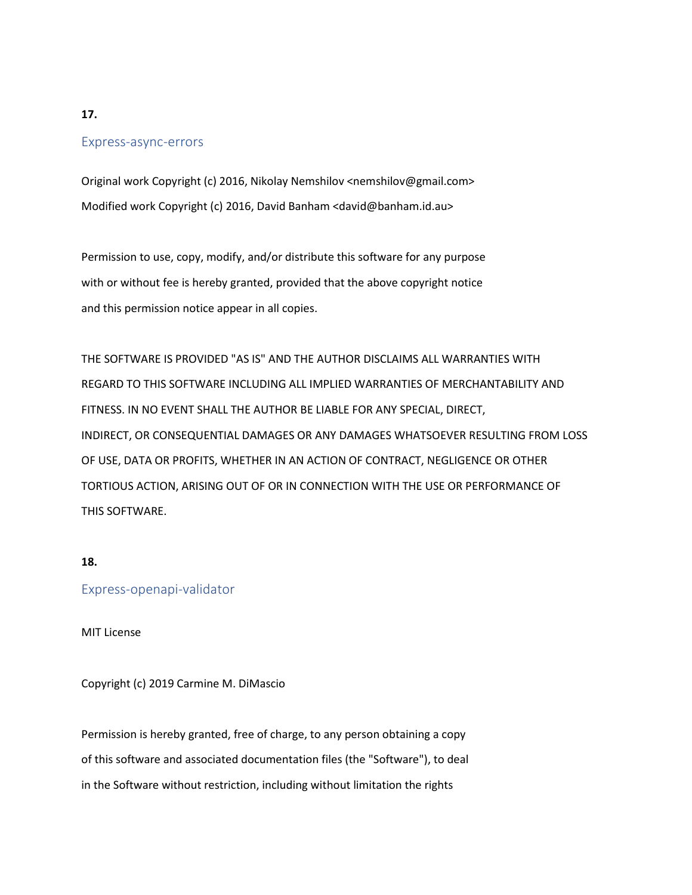### **17.**

### Express-async-errors

Original work Copyright (c) 2016, Nikolay Nemshilov <nemshilov@gmail.com> Modified work Copyright (c) 2016, David Banham <david@banham.id.au>

Permission to use, copy, modify, and/or distribute this software for any purpose with or without fee is hereby granted, provided that the above copyright notice and this permission notice appear in all copies.

THE SOFTWARE IS PROVIDED "AS IS" AND THE AUTHOR DISCLAIMS ALL WARRANTIES WITH REGARD TO THIS SOFTWARE INCLUDING ALL IMPLIED WARRANTIES OF MERCHANTABILITY AND FITNESS. IN NO EVENT SHALL THE AUTHOR BE LIABLE FOR ANY SPECIAL, DIRECT, INDIRECT, OR CONSEQUENTIAL DAMAGES OR ANY DAMAGES WHATSOEVER RESULTING FROM LOSS OF USE, DATA OR PROFITS, WHETHER IN AN ACTION OF CONTRACT, NEGLIGENCE OR OTHER TORTIOUS ACTION, ARISING OUT OF OR IN CONNECTION WITH THE USE OR PERFORMANCE OF THIS SOFTWARE.

#### **18.**

#### Express-openapi-validator

MIT License

Copyright (c) 2019 Carmine M. DiMascio

Permission is hereby granted, free of charge, to any person obtaining a copy of this software and associated documentation files (the "Software"), to deal in the Software without restriction, including without limitation the rights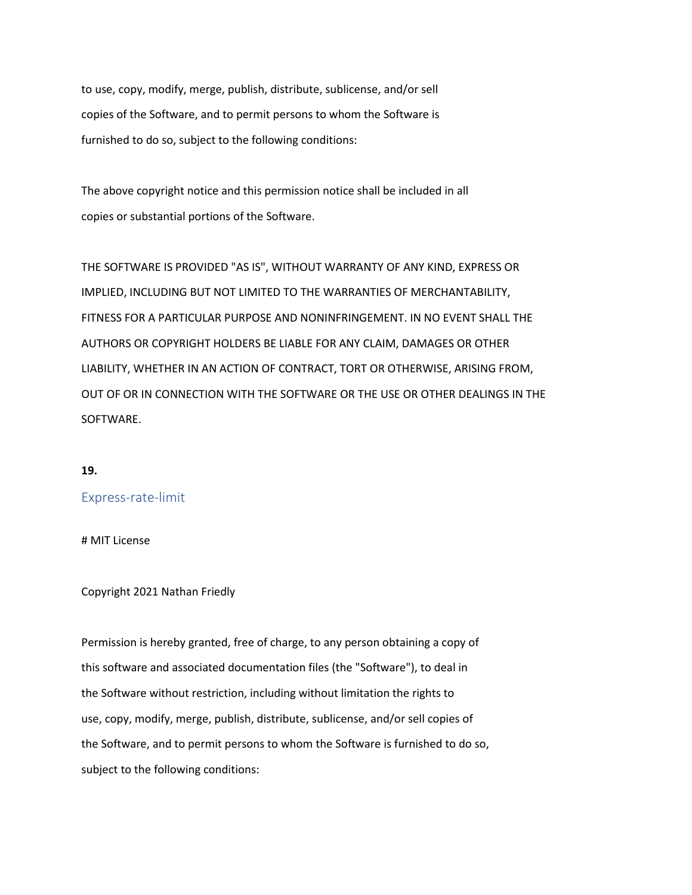to use, copy, modify, merge, publish, distribute, sublicense, and/or sell copies of the Software, and to permit persons to whom the Software is furnished to do so, subject to the following conditions:

The above copyright notice and this permission notice shall be included in all copies or substantial portions of the Software.

THE SOFTWARE IS PROVIDED "AS IS", WITHOUT WARRANTY OF ANY KIND, EXPRESS OR IMPLIED, INCLUDING BUT NOT LIMITED TO THE WARRANTIES OF MERCHANTABILITY, FITNESS FOR A PARTICULAR PURPOSE AND NONINFRINGEMENT. IN NO EVENT SHALL THE AUTHORS OR COPYRIGHT HOLDERS BE LIABLE FOR ANY CLAIM, DAMAGES OR OTHER LIABILITY, WHETHER IN AN ACTION OF CONTRACT, TORT OR OTHERWISE, ARISING FROM, OUT OF OR IN CONNECTION WITH THE SOFTWARE OR THE USE OR OTHER DEALINGS IN THE SOFTWARE.

#### **19.**

### Express-rate-limit

# MIT License

#### Copyright 2021 Nathan Friedly

Permission is hereby granted, free of charge, to any person obtaining a copy of this software and associated documentation files (the "Software"), to deal in the Software without restriction, including without limitation the rights to use, copy, modify, merge, publish, distribute, sublicense, and/or sell copies of the Software, and to permit persons to whom the Software is furnished to do so, subject to the following conditions: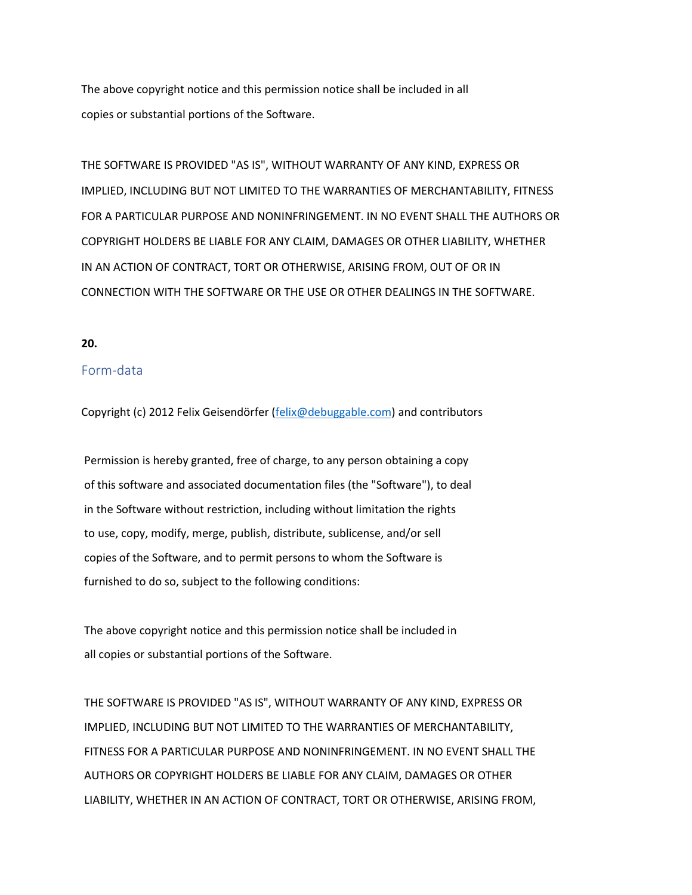The above copyright notice and this permission notice shall be included in all copies or substantial portions of the Software.

THE SOFTWARE IS PROVIDED "AS IS", WITHOUT WARRANTY OF ANY KIND, EXPRESS OR IMPLIED, INCLUDING BUT NOT LIMITED TO THE WARRANTIES OF MERCHANTABILITY, FITNESS FOR A PARTICULAR PURPOSE AND NONINFRINGEMENT. IN NO EVENT SHALL THE AUTHORS OR COPYRIGHT HOLDERS BE LIABLE FOR ANY CLAIM, DAMAGES OR OTHER LIABILITY, WHETHER IN AN ACTION OF CONTRACT, TORT OR OTHERWISE, ARISING FROM, OUT OF OR IN CONNECTION WITH THE SOFTWARE OR THE USE OR OTHER DEALINGS IN THE SOFTWARE.

#### **20.**

### Form-data

Copyright (c) 2012 Felix Geisendörfer [\(felix@debuggable.com\)](mailto:felix@debuggable.com) and contributors

Permission is hereby granted, free of charge, to any person obtaining a copy of this software and associated documentation files (the "Software"), to deal in the Software without restriction, including without limitation the rights to use, copy, modify, merge, publish, distribute, sublicense, and/or sell copies of the Software, and to permit persons to whom the Software is furnished to do so, subject to the following conditions:

The above copyright notice and this permission notice shall be included in all copies or substantial portions of the Software.

THE SOFTWARE IS PROVIDED "AS IS", WITHOUT WARRANTY OF ANY KIND, EXPRESS OR IMPLIED, INCLUDING BUT NOT LIMITED TO THE WARRANTIES OF MERCHANTABILITY, FITNESS FOR A PARTICULAR PURPOSE AND NONINFRINGEMENT. IN NO EVENT SHALL THE AUTHORS OR COPYRIGHT HOLDERS BE LIABLE FOR ANY CLAIM, DAMAGES OR OTHER LIABILITY, WHETHER IN AN ACTION OF CONTRACT, TORT OR OTHERWISE, ARISING FROM,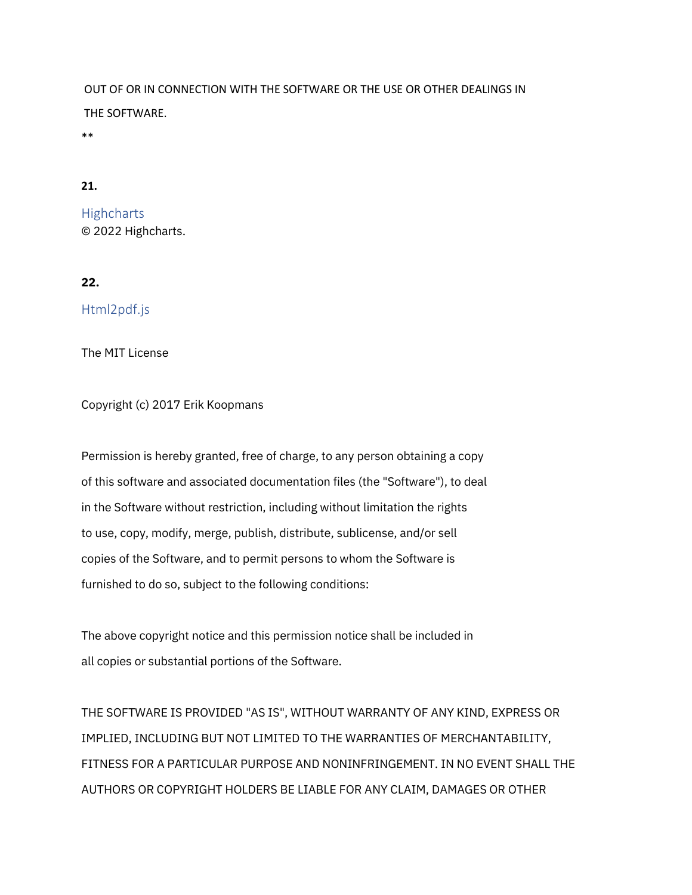OUT OF OR IN CONNECTION WITH THE SOFTWARE OR THE USE OR OTHER DEALINGS IN THE SOFTWARE.

\*\*

# **21.**

**Highcharts** © 2022 Highcharts.

## **22.**

Html2pdf.js

The MIT License

Copyright (c) 2017 Erik Koopmans

Permission is hereby granted, free of charge, to any person obtaining a copy of this software and associated documentation files (the "Software"), to deal in the Software without restriction, including without limitation the rights to use, copy, modify, merge, publish, distribute, sublicense, and/or sell copies of the Software, and to permit persons to whom the Software is furnished to do so, subject to the following conditions:

The above copyright notice and this permission notice shall be included in all copies or substantial portions of the Software.

THE SOFTWARE IS PROVIDED "AS IS", WITHOUT WARRANTY OF ANY KIND, EXPRESS OR IMPLIED, INCLUDING BUT NOT LIMITED TO THE WARRANTIES OF MERCHANTABILITY, FITNESS FOR A PARTICULAR PURPOSE AND NONINFRINGEMENT. IN NO EVENT SHALL THE AUTHORS OR COPYRIGHT HOLDERS BE LIABLE FOR ANY CLAIM, DAMAGES OR OTHER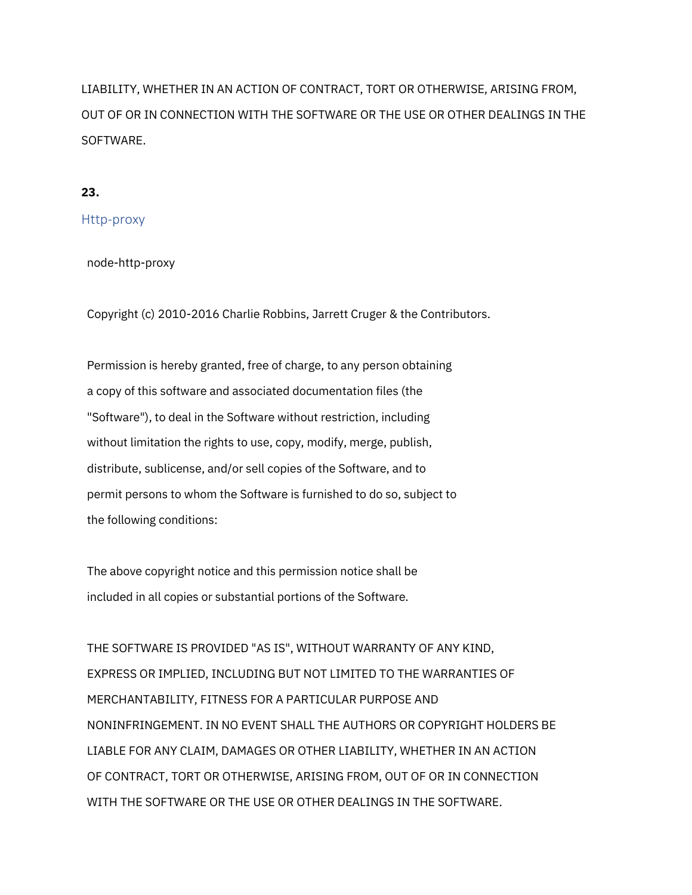LIABILITY, WHETHER IN AN ACTION OF CONTRACT, TORT OR OTHERWISE, ARISING FROM, OUT OF OR IN CONNECTION WITH THE SOFTWARE OR THE USE OR OTHER DEALINGS IN THE SOFTWARE.

## **23.**

## Http-proxy

node-http-proxy

Copyright (c) 2010-2016 Charlie Robbins, Jarrett Cruger & the Contributors.

 Permission is hereby granted, free of charge, to any person obtaining a copy of this software and associated documentation files (the "Software"), to deal in the Software without restriction, including without limitation the rights to use, copy, modify, merge, publish, distribute, sublicense, and/or sell copies of the Software, and to permit persons to whom the Software is furnished to do so, subject to the following conditions:

 The above copyright notice and this permission notice shall be included in all copies or substantial portions of the Software.

 THE SOFTWARE IS PROVIDED "AS IS", WITHOUT WARRANTY OF ANY KIND, EXPRESS OR IMPLIED, INCLUDING BUT NOT LIMITED TO THE WARRANTIES OF MERCHANTABILITY, FITNESS FOR A PARTICULAR PURPOSE AND NONINFRINGEMENT. IN NO EVENT SHALL THE AUTHORS OR COPYRIGHT HOLDERS BE LIABLE FOR ANY CLAIM, DAMAGES OR OTHER LIABILITY, WHETHER IN AN ACTION OF CONTRACT, TORT OR OTHERWISE, ARISING FROM, OUT OF OR IN CONNECTION WITH THE SOFTWARE OR THE USE OR OTHER DEALINGS IN THE SOFTWARE.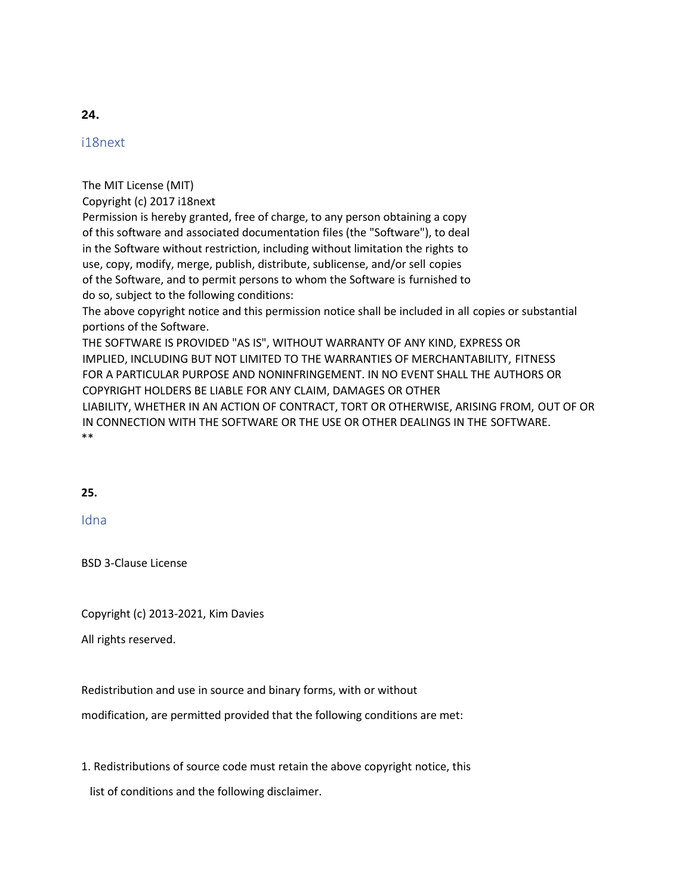# i18next

The MIT License (MIT)

Copyright (c) 2017 i18next

Permission is hereby granted, free of charge, to any person obtaining a copy of this software and associated documentation files (the "Software"), to deal in the Software without restriction, including without limitation the rights to use, copy, modify, merge, publish, distribute, sublicense, and/or sell copies of the Software, and to permit persons to whom the Software is furnished to do so, subject to the following conditions:

The above copyright notice and this permission notice shall be included in all copies or substantial portions of the Software.

THE SOFTWARE IS PROVIDED "AS IS", WITHOUT WARRANTY OF ANY KIND, EXPRESS OR IMPLIED, INCLUDING BUT NOT LIMITED TO THE WARRANTIES OF MERCHANTABILITY, FITNESS FOR A PARTICULAR PURPOSE AND NONINFRINGEMENT. IN NO EVENT SHALL THE AUTHORS OR COPYRIGHT HOLDERS BE LIABLE FOR ANY CLAIM, DAMAGES OR OTHER LIABILITY, WHETHER IN AN ACTION OF CONTRACT, TORT OR OTHERWISE, ARISING FROM, OUT OF OR

IN CONNECTION WITH THE SOFTWARE OR THE USE OR OTHER DEALINGS IN THE SOFTWARE. \*\*

# **25.**

# Idna

BSD 3-Clause License

Copyright (c) 2013-2021, Kim Davies

All rights reserved.

Redistribution and use in source and binary forms, with or without

modification, are permitted provided that the following conditions are met:

1. Redistributions of source code must retain the above copyright notice, this

list of conditions and the following disclaimer.

# **24.**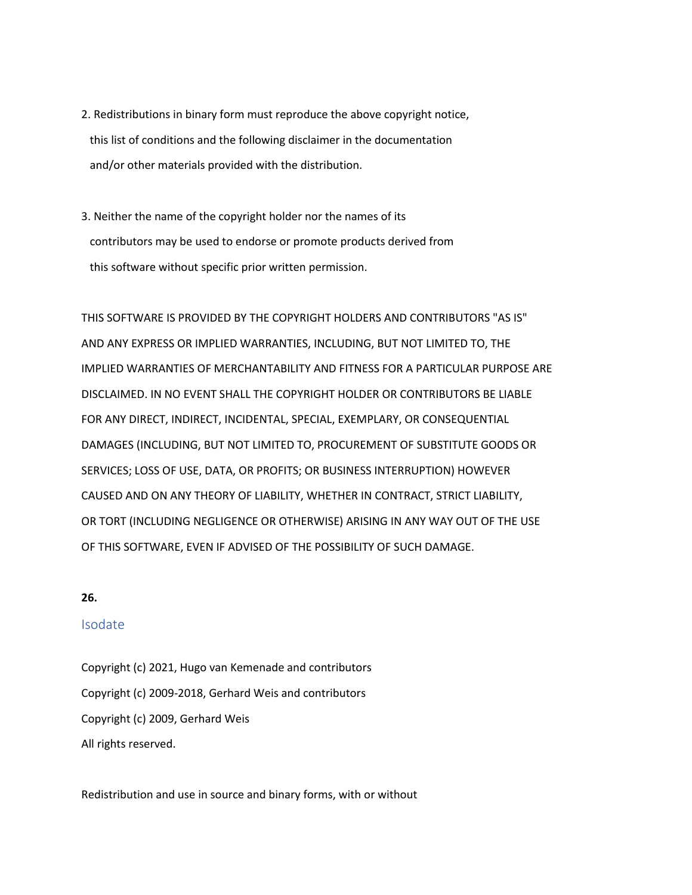- 2. Redistributions in binary form must reproduce the above copyright notice, this list of conditions and the following disclaimer in the documentation and/or other materials provided with the distribution.
- 3. Neither the name of the copyright holder nor the names of its contributors may be used to endorse or promote products derived from this software without specific prior written permission.

THIS SOFTWARE IS PROVIDED BY THE COPYRIGHT HOLDERS AND CONTRIBUTORS "AS IS" AND ANY EXPRESS OR IMPLIED WARRANTIES, INCLUDING, BUT NOT LIMITED TO, THE IMPLIED WARRANTIES OF MERCHANTABILITY AND FITNESS FOR A PARTICULAR PURPOSE ARE DISCLAIMED. IN NO EVENT SHALL THE COPYRIGHT HOLDER OR CONTRIBUTORS BE LIABLE FOR ANY DIRECT, INDIRECT, INCIDENTAL, SPECIAL, EXEMPLARY, OR CONSEQUENTIAL DAMAGES (INCLUDING, BUT NOT LIMITED TO, PROCUREMENT OF SUBSTITUTE GOODS OR SERVICES; LOSS OF USE, DATA, OR PROFITS; OR BUSINESS INTERRUPTION) HOWEVER CAUSED AND ON ANY THEORY OF LIABILITY, WHETHER IN CONTRACT, STRICT LIABILITY, OR TORT (INCLUDING NEGLIGENCE OR OTHERWISE) ARISING IN ANY WAY OUT OF THE USE OF THIS SOFTWARE, EVEN IF ADVISED OF THE POSSIBILITY OF SUCH DAMAGE.

## **26.**

## Isodate

Copyright (c) 2021, Hugo van Kemenade and contributors Copyright (c) 2009-2018, Gerhard Weis and contributors Copyright (c) 2009, Gerhard Weis All rights reserved.

Redistribution and use in source and binary forms, with or without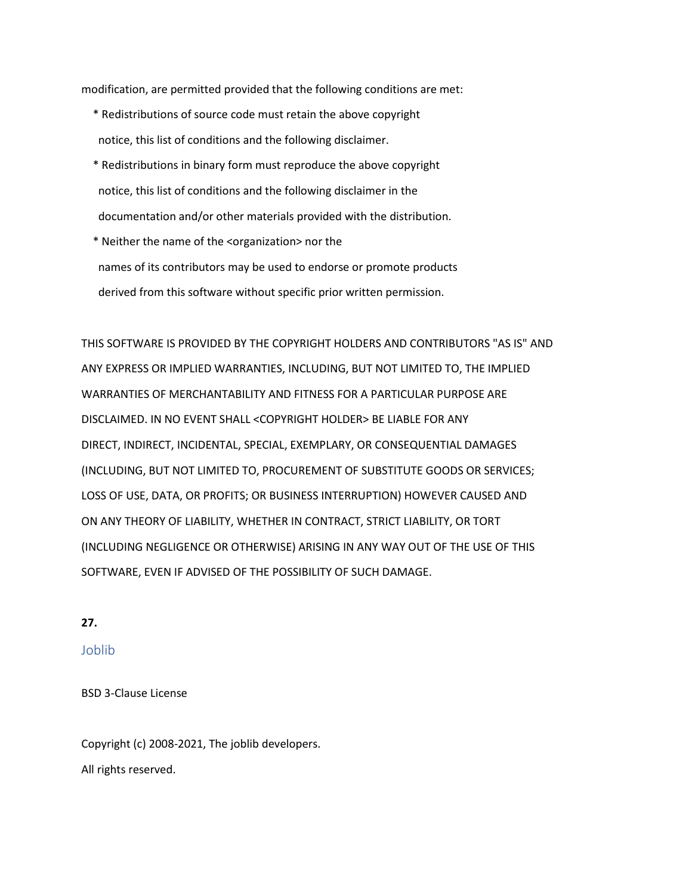modification, are permitted provided that the following conditions are met:

- \* Redistributions of source code must retain the above copyright notice, this list of conditions and the following disclaimer.
- \* Redistributions in binary form must reproduce the above copyright notice, this list of conditions and the following disclaimer in the documentation and/or other materials provided with the distribution.
- \* Neither the name of the <organization> nor the names of its contributors may be used to endorse or promote products derived from this software without specific prior written permission.

THIS SOFTWARE IS PROVIDED BY THE COPYRIGHT HOLDERS AND CONTRIBUTORS "AS IS" AND ANY EXPRESS OR IMPLIED WARRANTIES, INCLUDING, BUT NOT LIMITED TO, THE IMPLIED WARRANTIES OF MERCHANTABILITY AND FITNESS FOR A PARTICULAR PURPOSE ARE DISCLAIMED. IN NO EVENT SHALL <COPYRIGHT HOLDER> BE LIABLE FOR ANY DIRECT, INDIRECT, INCIDENTAL, SPECIAL, EXEMPLARY, OR CONSEQUENTIAL DAMAGES (INCLUDING, BUT NOT LIMITED TO, PROCUREMENT OF SUBSTITUTE GOODS OR SERVICES; LOSS OF USE, DATA, OR PROFITS; OR BUSINESS INTERRUPTION) HOWEVER CAUSED AND ON ANY THEORY OF LIABILITY, WHETHER IN CONTRACT, STRICT LIABILITY, OR TORT (INCLUDING NEGLIGENCE OR OTHERWISE) ARISING IN ANY WAY OUT OF THE USE OF THIS SOFTWARE, EVEN IF ADVISED OF THE POSSIBILITY OF SUCH DAMAGE.

### **27.**

Joblib

BSD 3-Clause License

Copyright (c) 2008-2021, The joblib developers. All rights reserved.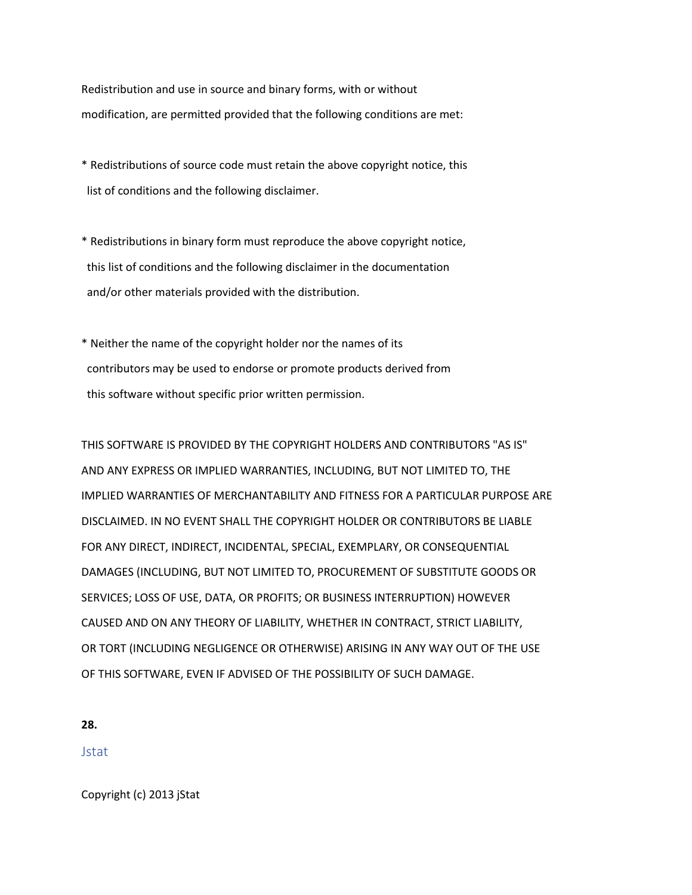Redistribution and use in source and binary forms, with or without modification, are permitted provided that the following conditions are met:

- \* Redistributions of source code must retain the above copyright notice, this list of conditions and the following disclaimer.
- \* Redistributions in binary form must reproduce the above copyright notice, this list of conditions and the following disclaimer in the documentation and/or other materials provided with the distribution.
- \* Neither the name of the copyright holder nor the names of its contributors may be used to endorse or promote products derived from this software without specific prior written permission.

THIS SOFTWARE IS PROVIDED BY THE COPYRIGHT HOLDERS AND CONTRIBUTORS "AS IS" AND ANY EXPRESS OR IMPLIED WARRANTIES, INCLUDING, BUT NOT LIMITED TO, THE IMPLIED WARRANTIES OF MERCHANTABILITY AND FITNESS FOR A PARTICULAR PURPOSE ARE DISCLAIMED. IN NO EVENT SHALL THE COPYRIGHT HOLDER OR CONTRIBUTORS BE LIABLE FOR ANY DIRECT, INDIRECT, INCIDENTAL, SPECIAL, EXEMPLARY, OR CONSEQUENTIAL DAMAGES (INCLUDING, BUT NOT LIMITED TO, PROCUREMENT OF SUBSTITUTE GOODS OR SERVICES; LOSS OF USE, DATA, OR PROFITS; OR BUSINESS INTERRUPTION) HOWEVER CAUSED AND ON ANY THEORY OF LIABILITY, WHETHER IN CONTRACT, STRICT LIABILITY, OR TORT (INCLUDING NEGLIGENCE OR OTHERWISE) ARISING IN ANY WAY OUT OF THE USE OF THIS SOFTWARE, EVEN IF ADVISED OF THE POSSIBILITY OF SUCH DAMAGE.

**28.**

Jstat

Copyright (c) 2013 jStat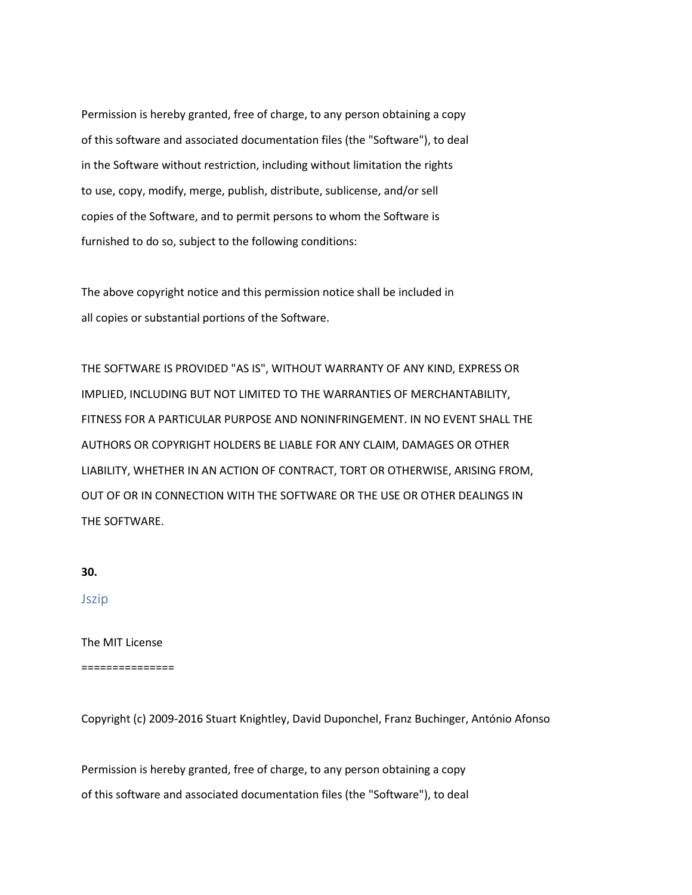Permission is hereby granted, free of charge, to any person obtaining a copy of this software and associated documentation files (the "Software"), to deal in the Software without restriction, including without limitation the rights to use, copy, modify, merge, publish, distribute, sublicense, and/or sell copies of the Software, and to permit persons to whom the Software is furnished to do so, subject to the following conditions:

The above copyright notice and this permission notice shall be included in all copies or substantial portions of the Software.

THE SOFTWARE IS PROVIDED "AS IS", WITHOUT WARRANTY OF ANY KIND, EXPRESS OR IMPLIED, INCLUDING BUT NOT LIMITED TO THE WARRANTIES OF MERCHANTABILITY, FITNESS FOR A PARTICULAR PURPOSE AND NONINFRINGEMENT. IN NO EVENT SHALL THE AUTHORS OR COPYRIGHT HOLDERS BE LIABLE FOR ANY CLAIM, DAMAGES OR OTHER LIABILITY, WHETHER IN AN ACTION OF CONTRACT, TORT OR OTHERWISE, ARISING FROM, OUT OF OR IN CONNECTION WITH THE SOFTWARE OR THE USE OR OTHER DEALINGS IN THE SOFTWARE.

**30.**

Jszip

The MIT License

===============

Copyright (c) 2009-2016 Stuart Knightley, David Duponchel, Franz Buchinger, António Afonso

Permission is hereby granted, free of charge, to any person obtaining a copy of this software and associated documentation files (the "Software"), to deal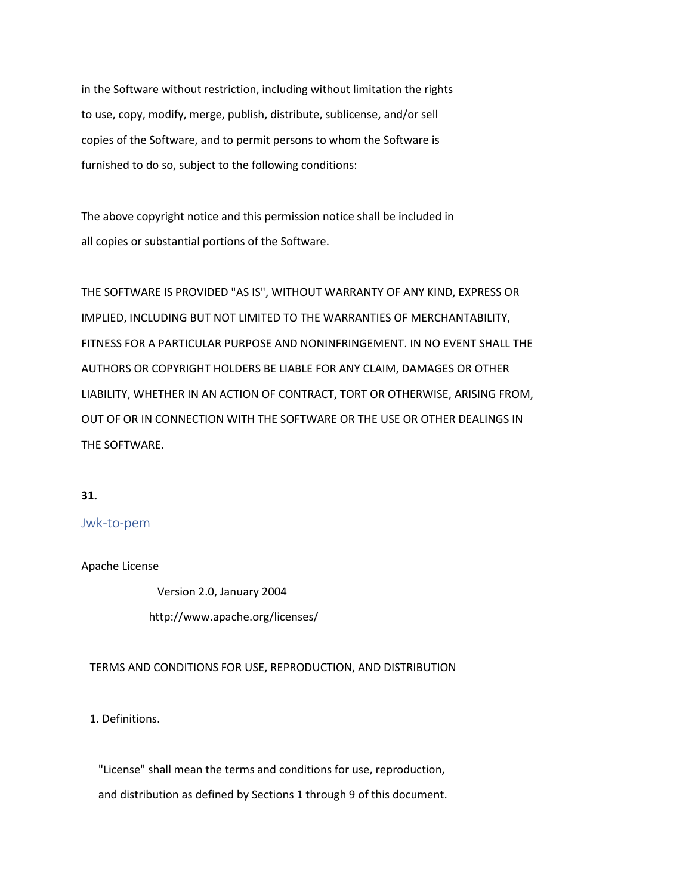in the Software without restriction, including without limitation the rights to use, copy, modify, merge, publish, distribute, sublicense, and/or sell copies of the Software, and to permit persons to whom the Software is furnished to do so, subject to the following conditions:

The above copyright notice and this permission notice shall be included in all copies or substantial portions of the Software.

THE SOFTWARE IS PROVIDED "AS IS", WITHOUT WARRANTY OF ANY KIND, EXPRESS OR IMPLIED, INCLUDING BUT NOT LIMITED TO THE WARRANTIES OF MERCHANTABILITY, FITNESS FOR A PARTICULAR PURPOSE AND NONINFRINGEMENT. IN NO EVENT SHALL THE AUTHORS OR COPYRIGHT HOLDERS BE LIABLE FOR ANY CLAIM, DAMAGES OR OTHER LIABILITY, WHETHER IN AN ACTION OF CONTRACT, TORT OR OTHERWISE, ARISING FROM, OUT OF OR IN CONNECTION WITH THE SOFTWARE OR THE USE OR OTHER DEALINGS IN THE SOFTWARE.

#### **31.**

### Jwk-to-pem

Apache License

 Version 2.0, January 2004 http://www.apache.org/licenses/

TERMS AND CONDITIONS FOR USE, REPRODUCTION, AND DISTRIBUTION

1. Definitions.

 "License" shall mean the terms and conditions for use, reproduction, and distribution as defined by Sections 1 through 9 of this document.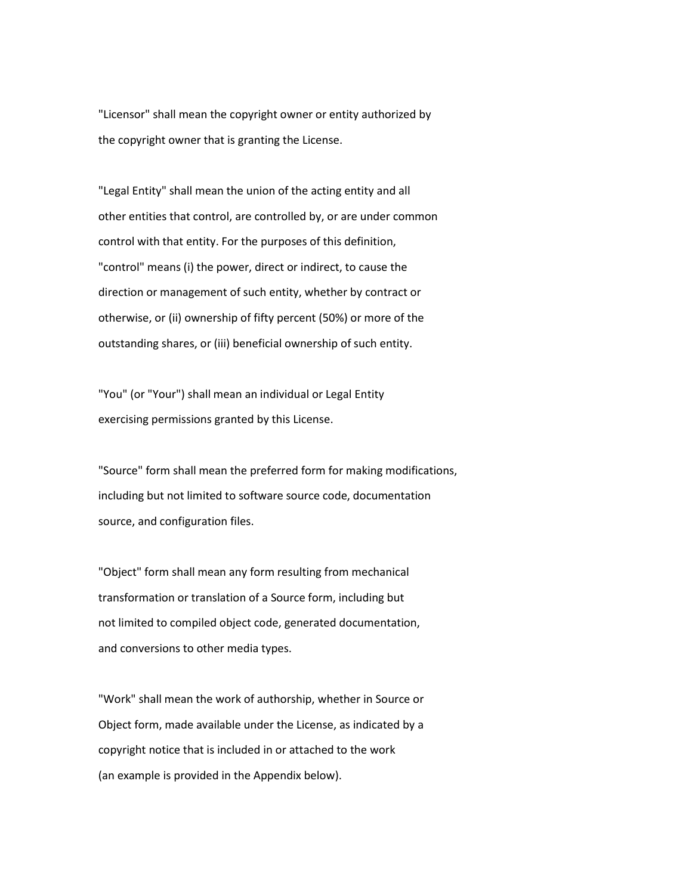"Licensor" shall mean the copyright owner or entity authorized by the copyright owner that is granting the License.

 "Legal Entity" shall mean the union of the acting entity and all other entities that control, are controlled by, or are under common control with that entity. For the purposes of this definition, "control" means (i) the power, direct or indirect, to cause the direction or management of such entity, whether by contract or otherwise, or (ii) ownership of fifty percent (50%) or more of the outstanding shares, or (iii) beneficial ownership of such entity.

 "You" (or "Your") shall mean an individual or Legal Entity exercising permissions granted by this License.

 "Source" form shall mean the preferred form for making modifications, including but not limited to software source code, documentation source, and configuration files.

 "Object" form shall mean any form resulting from mechanical transformation or translation of a Source form, including but not limited to compiled object code, generated documentation, and conversions to other media types.

 "Work" shall mean the work of authorship, whether in Source or Object form, made available under the License, as indicated by a copyright notice that is included in or attached to the work (an example is provided in the Appendix below).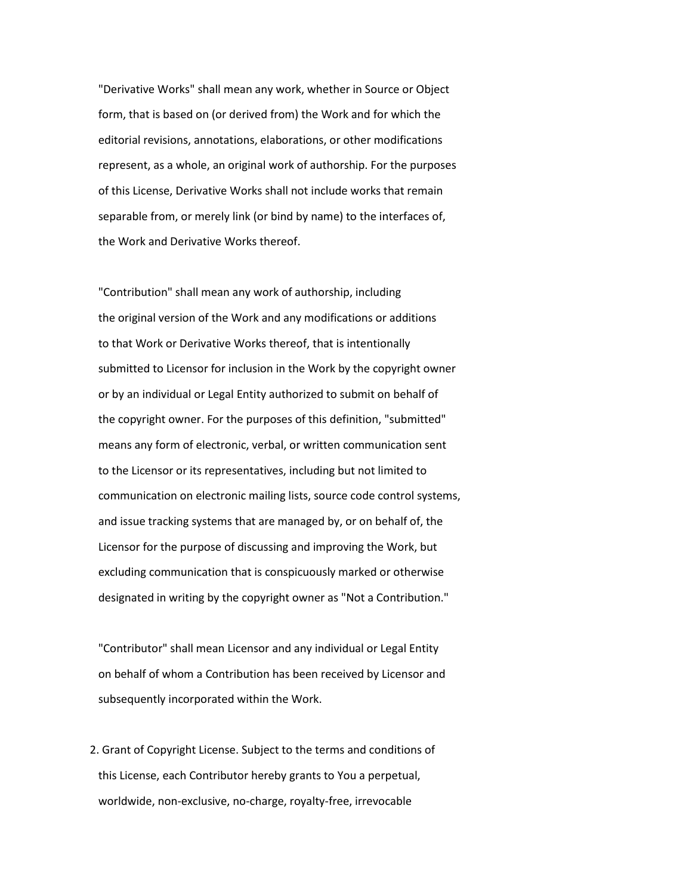"Derivative Works" shall mean any work, whether in Source or Object form, that is based on (or derived from) the Work and for which the editorial revisions, annotations, elaborations, or other modifications represent, as a whole, an original work of authorship. For the purposes of this License, Derivative Works shall not include works that remain separable from, or merely link (or bind by name) to the interfaces of, the Work and Derivative Works thereof.

 "Contribution" shall mean any work of authorship, including the original version of the Work and any modifications or additions to that Work or Derivative Works thereof, that is intentionally submitted to Licensor for inclusion in the Work by the copyright owner or by an individual or Legal Entity authorized to submit on behalf of the copyright owner. For the purposes of this definition, "submitted" means any form of electronic, verbal, or written communication sent to the Licensor or its representatives, including but not limited to communication on electronic mailing lists, source code control systems, and issue tracking systems that are managed by, or on behalf of, the Licensor for the purpose of discussing and improving the Work, but excluding communication that is conspicuously marked or otherwise designated in writing by the copyright owner as "Not a Contribution."

 "Contributor" shall mean Licensor and any individual or Legal Entity on behalf of whom a Contribution has been received by Licensor and subsequently incorporated within the Work.

 2. Grant of Copyright License. Subject to the terms and conditions of this License, each Contributor hereby grants to You a perpetual, worldwide, non-exclusive, no-charge, royalty-free, irrevocable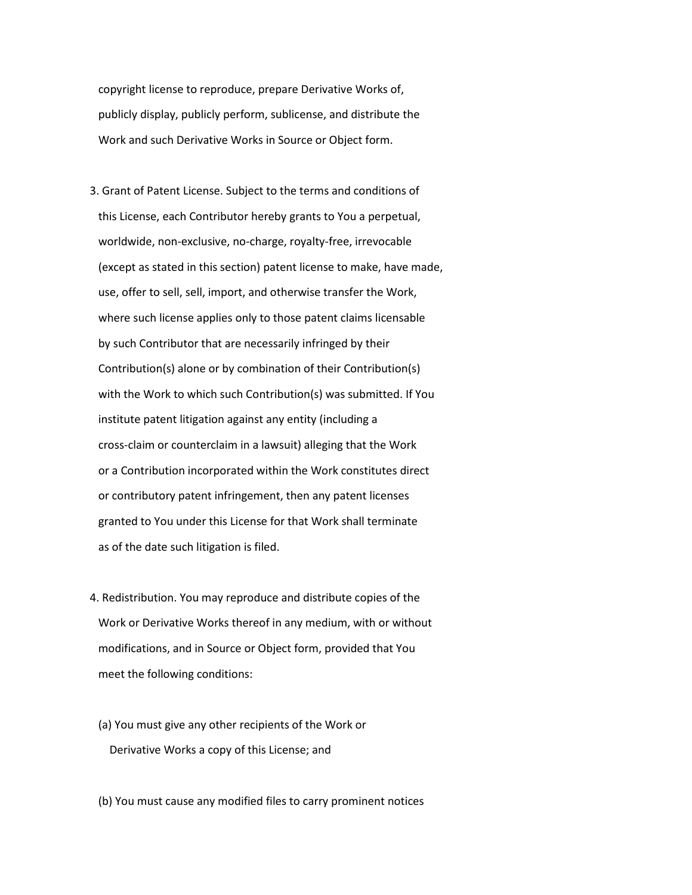copyright license to reproduce, prepare Derivative Works of, publicly display, publicly perform, sublicense, and distribute the Work and such Derivative Works in Source or Object form.

- 3. Grant of Patent License. Subject to the terms and conditions of this License, each Contributor hereby grants to You a perpetual, worldwide, non-exclusive, no-charge, royalty-free, irrevocable (except as stated in this section) patent license to make, have made, use, offer to sell, sell, import, and otherwise transfer the Work, where such license applies only to those patent claims licensable by such Contributor that are necessarily infringed by their Contribution(s) alone or by combination of their Contribution(s) with the Work to which such Contribution(s) was submitted. If You institute patent litigation against any entity (including a cross-claim or counterclaim in a lawsuit) alleging that the Work or a Contribution incorporated within the Work constitutes direct or contributory patent infringement, then any patent licenses granted to You under this License for that Work shall terminate as of the date such litigation is filed.
- 4. Redistribution. You may reproduce and distribute copies of the Work or Derivative Works thereof in any medium, with or without modifications, and in Source or Object form, provided that You meet the following conditions:
	- (a) You must give any other recipients of the Work or Derivative Works a copy of this License; and

(b) You must cause any modified files to carry prominent notices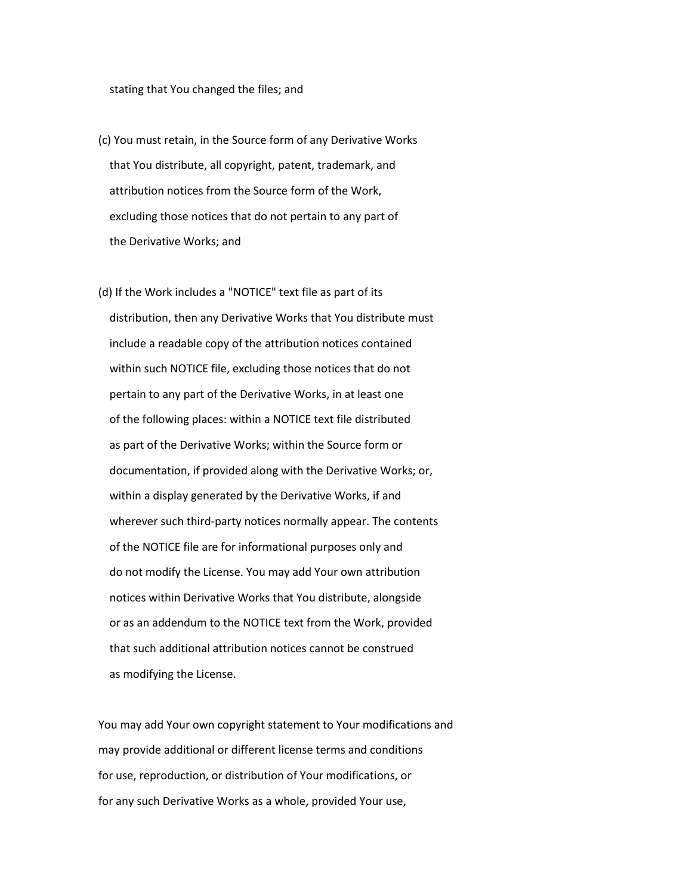#### stating that You changed the files; and

- (c) You must retain, in the Source form of any Derivative Works that You distribute, all copyright, patent, trademark, and attribution notices from the Source form of the Work, excluding those notices that do not pertain to any part of the Derivative Works; and
- (d) If the Work includes a "NOTICE" text file as part of its distribution, then any Derivative Works that You distribute must include a readable copy of the attribution notices contained within such NOTICE file, excluding those notices that do not pertain to any part of the Derivative Works, in at least one of the following places: within a NOTICE text file distributed as part of the Derivative Works; within the Source form or documentation, if provided along with the Derivative Works; or, within a display generated by the Derivative Works, if and wherever such third-party notices normally appear. The contents of the NOTICE file are for informational purposes only and do not modify the License. You may add Your own attribution notices within Derivative Works that You distribute, alongside or as an addendum to the NOTICE text from the Work, provided that such additional attribution notices cannot be construed as modifying the License.

 You may add Your own copyright statement to Your modifications and may provide additional or different license terms and conditions for use, reproduction, or distribution of Your modifications, or for any such Derivative Works as a whole, provided Your use,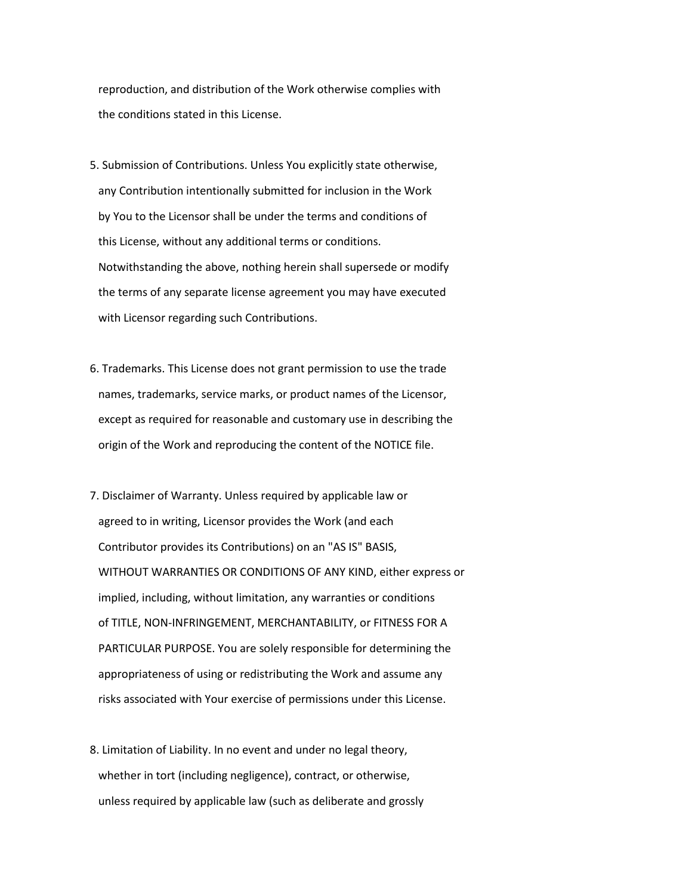reproduction, and distribution of the Work otherwise complies with the conditions stated in this License.

- 5. Submission of Contributions. Unless You explicitly state otherwise, any Contribution intentionally submitted for inclusion in the Work by You to the Licensor shall be under the terms and conditions of this License, without any additional terms or conditions. Notwithstanding the above, nothing herein shall supersede or modify the terms of any separate license agreement you may have executed with Licensor regarding such Contributions.
- 6. Trademarks. This License does not grant permission to use the trade names, trademarks, service marks, or product names of the Licensor, except as required for reasonable and customary use in describing the origin of the Work and reproducing the content of the NOTICE file.
- 7. Disclaimer of Warranty. Unless required by applicable law or agreed to in writing, Licensor provides the Work (and each Contributor provides its Contributions) on an "AS IS" BASIS, WITHOUT WARRANTIES OR CONDITIONS OF ANY KIND, either express or implied, including, without limitation, any warranties or conditions of TITLE, NON-INFRINGEMENT, MERCHANTABILITY, or FITNESS FOR A PARTICULAR PURPOSE. You are solely responsible for determining the appropriateness of using or redistributing the Work and assume any risks associated with Your exercise of permissions under this License.
- 8. Limitation of Liability. In no event and under no legal theory, whether in tort (including negligence), contract, or otherwise, unless required by applicable law (such as deliberate and grossly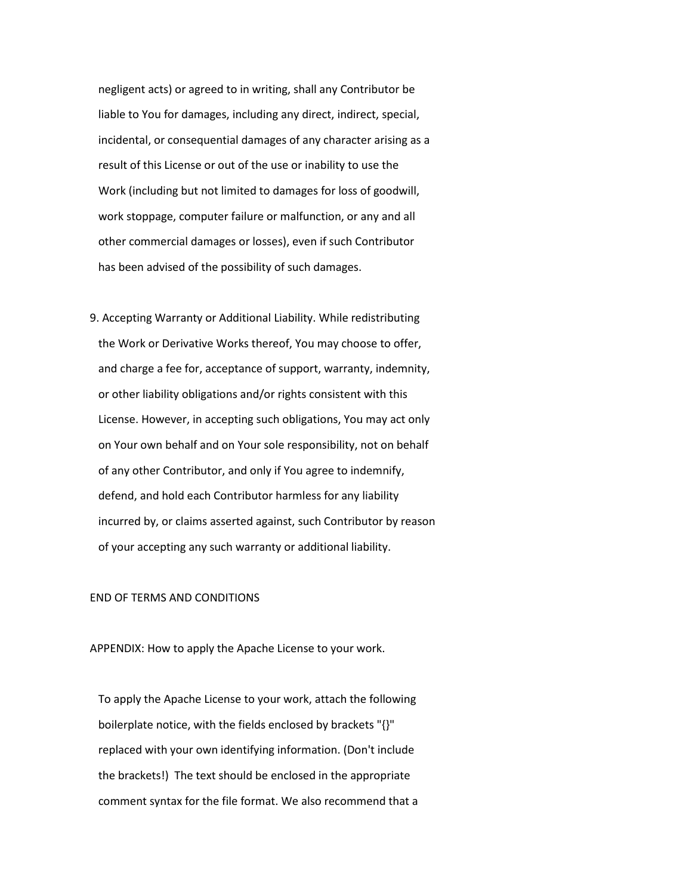negligent acts) or agreed to in writing, shall any Contributor be liable to You for damages, including any direct, indirect, special, incidental, or consequential damages of any character arising as a result of this License or out of the use or inability to use the Work (including but not limited to damages for loss of goodwill, work stoppage, computer failure or malfunction, or any and all other commercial damages or losses), even if such Contributor has been advised of the possibility of such damages.

 9. Accepting Warranty or Additional Liability. While redistributing the Work or Derivative Works thereof, You may choose to offer, and charge a fee for, acceptance of support, warranty, indemnity, or other liability obligations and/or rights consistent with this License. However, in accepting such obligations, You may act only on Your own behalf and on Your sole responsibility, not on behalf of any other Contributor, and only if You agree to indemnify, defend, and hold each Contributor harmless for any liability incurred by, or claims asserted against, such Contributor by reason of your accepting any such warranty or additional liability.

# END OF TERMS AND CONDITIONS

APPENDIX: How to apply the Apache License to your work.

 To apply the Apache License to your work, attach the following boilerplate notice, with the fields enclosed by brackets "{}" replaced with your own identifying information. (Don't include the brackets!) The text should be enclosed in the appropriate comment syntax for the file format. We also recommend that a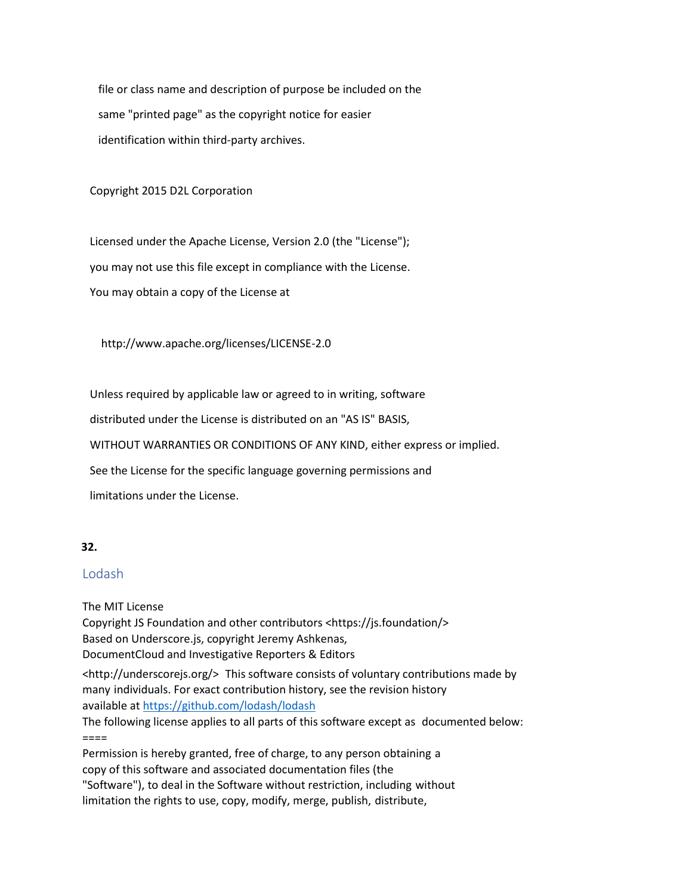file or class name and description of purpose be included on the same "printed page" as the copyright notice for easier identification within third-party archives.

Copyright 2015 D2L Corporation

 Licensed under the Apache License, Version 2.0 (the "License"); you may not use this file except in compliance with the License. You may obtain a copy of the License at

http://www.apache.org/licenses/LICENSE-2.0

Unless required by applicable law or agreed to in writing, software

distributed under the License is distributed on an "AS IS" BASIS,

WITHOUT WARRANTIES OR CONDITIONS OF ANY KIND, either express or implied.

See the License for the specific language governing permissions and

limitations under the License.

# **32.**

# Lodash

The MIT License Copyright JS Foundation and other contributors <https://js.foundation/> Based on Underscore.js, copyright Jeremy Ashkenas, DocumentCloud and Investigative Reporters & Editors

<http://underscorejs.org/> This software consists of voluntary contributions made by many individuals. For exact contribution history, see the revision history available at<https://github.com/lodash/lodash>

The following license applies to all parts of this software except as documented below:  $=$ 

Permission is hereby granted, free of charge, to any person obtaining a copy of this software and associated documentation files (the "Software"), to deal in the Software without restriction, including without limitation the rights to use, copy, modify, merge, publish, distribute,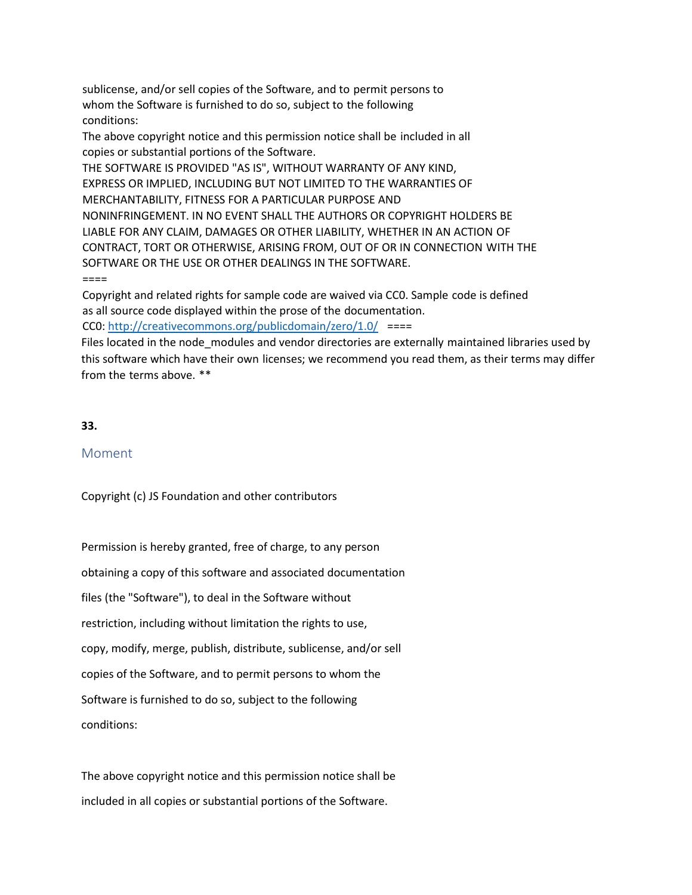sublicense, and/or sell copies of the Software, and to permit persons to whom the Software is furnished to do so, subject to the following conditions:

The above copyright notice and this permission notice shall be included in all copies or substantial portions of the Software.

THE SOFTWARE IS PROVIDED "AS IS", WITHOUT WARRANTY OF ANY KIND, EXPRESS OR IMPLIED, INCLUDING BUT NOT LIMITED TO THE WARRANTIES OF MERCHANTABILITY, FITNESS FOR A PARTICULAR PURPOSE AND NONINFRINGEMENT. IN NO EVENT SHALL THE AUTHORS OR COPYRIGHT HOLDERS BE LIABLE FOR ANY CLAIM, DAMAGES OR OTHER LIABILITY, WHETHER IN AN ACTION OF CONTRACT, TORT OR OTHERWISE, ARISING FROM, OUT OF OR IN CONNECTION WITH THE SOFTWARE OR THE USE OR OTHER DEALINGS IN THE SOFTWARE. ====

Copyright and related rights for sample code are waived via CC0. Sample code is defined as all source code displayed within the prose of the documentation. CC0[: http://creativecommons.org/publicdomain/zero/1.0/](http://creativecommons.org/publicdomain/zero/1.0/) ====

Files located in the node modules and vendor directories are externally maintained libraries used by this software which have their own licenses; we recommend you read them, as their terms may differ from the terms above. \*\*

# **33.**

# Moment

Copyright (c) JS Foundation and other contributors

Permission is hereby granted, free of charge, to any person obtaining a copy of this software and associated documentation files (the "Software"), to deal in the Software without restriction, including without limitation the rights to use, copy, modify, merge, publish, distribute, sublicense, and/or sell copies of the Software, and to permit persons to whom the Software is furnished to do so, subject to the following conditions:

The above copyright notice and this permission notice shall be included in all copies or substantial portions of the Software.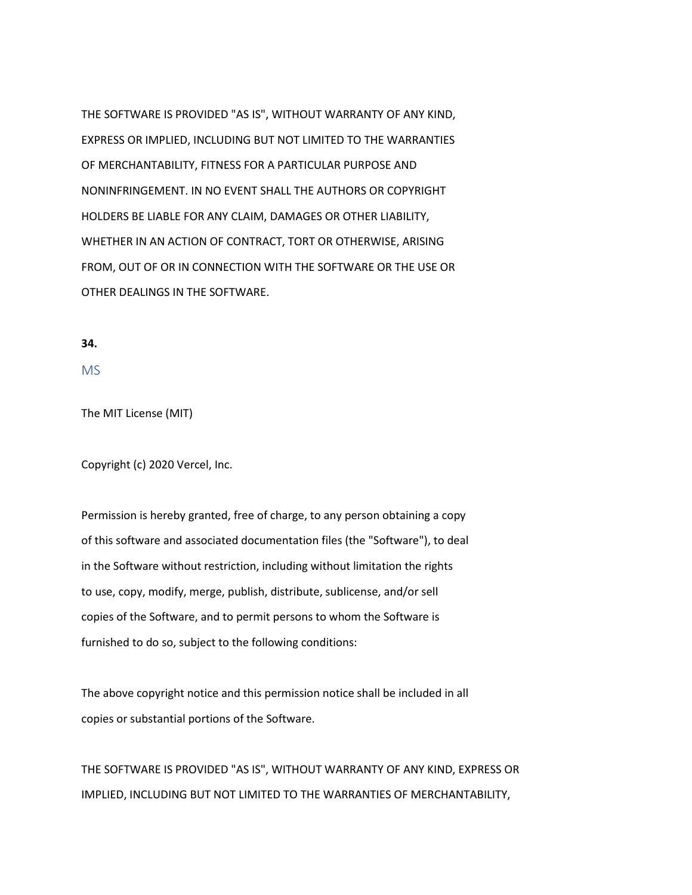THE SOFTWARE IS PROVIDED "AS IS", WITHOUT WARRANTY OF ANY KIND, EXPRESS OR IMPLIED, INCLUDING BUT NOT LIMITED TO THE WARRANTIES OF MERCHANTABILITY, FITNESS FOR A PARTICULAR PURPOSE AND NONINFRINGEMENT. IN NO EVENT SHALL THE AUTHORS OR COPYRIGHT HOLDERS BE LIABLE FOR ANY CLAIM, DAMAGES OR OTHER LIABILITY, WHETHER IN AN ACTION OF CONTRACT, TORT OR OTHERWISE, ARISING FROM, OUT OF OR IN CONNECTION WITH THE SOFTWARE OR THE USE OR OTHER DEALINGS IN THE SOFTWARE.

### **34.**

MS

The MIT License (MIT)

Copyright (c) 2020 Vercel, Inc.

Permission is hereby granted, free of charge, to any person obtaining a copy of this software and associated documentation files (the "Software"), to deal in the Software without restriction, including without limitation the rights to use, copy, modify, merge, publish, distribute, sublicense, and/or sell copies of the Software, and to permit persons to whom the Software is furnished to do so, subject to the following conditions:

The above copyright notice and this permission notice shall be included in all copies or substantial portions of the Software.

THE SOFTWARE IS PROVIDED "AS IS", WITHOUT WARRANTY OF ANY KIND, EXPRESS OR IMPLIED, INCLUDING BUT NOT LIMITED TO THE WARRANTIES OF MERCHANTABILITY,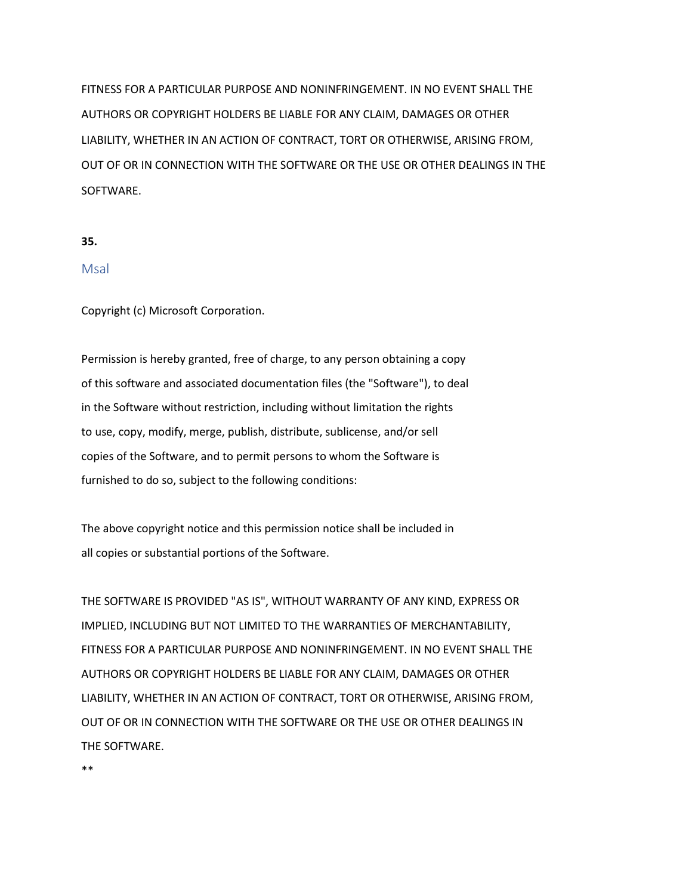FITNESS FOR A PARTICULAR PURPOSE AND NONINFRINGEMENT. IN NO EVENT SHALL THE AUTHORS OR COPYRIGHT HOLDERS BE LIABLE FOR ANY CLAIM, DAMAGES OR OTHER LIABILITY, WHETHER IN AN ACTION OF CONTRACT, TORT OR OTHERWISE, ARISING FROM, OUT OF OR IN CONNECTION WITH THE SOFTWARE OR THE USE OR OTHER DEALINGS IN THE SOFTWARE.

#### **35.**

## Msal

Copyright (c) Microsoft Corporation.

Permission is hereby granted, free of charge, to any person obtaining a copy of this software and associated documentation files (the "Software"), to deal in the Software without restriction, including without limitation the rights to use, copy, modify, merge, publish, distribute, sublicense, and/or sell copies of the Software, and to permit persons to whom the Software is furnished to do so, subject to the following conditions:

The above copyright notice and this permission notice shall be included in all copies or substantial portions of the Software.

THE SOFTWARE IS PROVIDED "AS IS", WITHOUT WARRANTY OF ANY KIND, EXPRESS OR IMPLIED, INCLUDING BUT NOT LIMITED TO THE WARRANTIES OF MERCHANTABILITY, FITNESS FOR A PARTICULAR PURPOSE AND NONINFRINGEMENT. IN NO EVENT SHALL THE AUTHORS OR COPYRIGHT HOLDERS BE LIABLE FOR ANY CLAIM, DAMAGES OR OTHER LIABILITY, WHETHER IN AN ACTION OF CONTRACT, TORT OR OTHERWISE, ARISING FROM, OUT OF OR IN CONNECTION WITH THE SOFTWARE OR THE USE OR OTHER DEALINGS IN THE SOFTWARE.

\*\*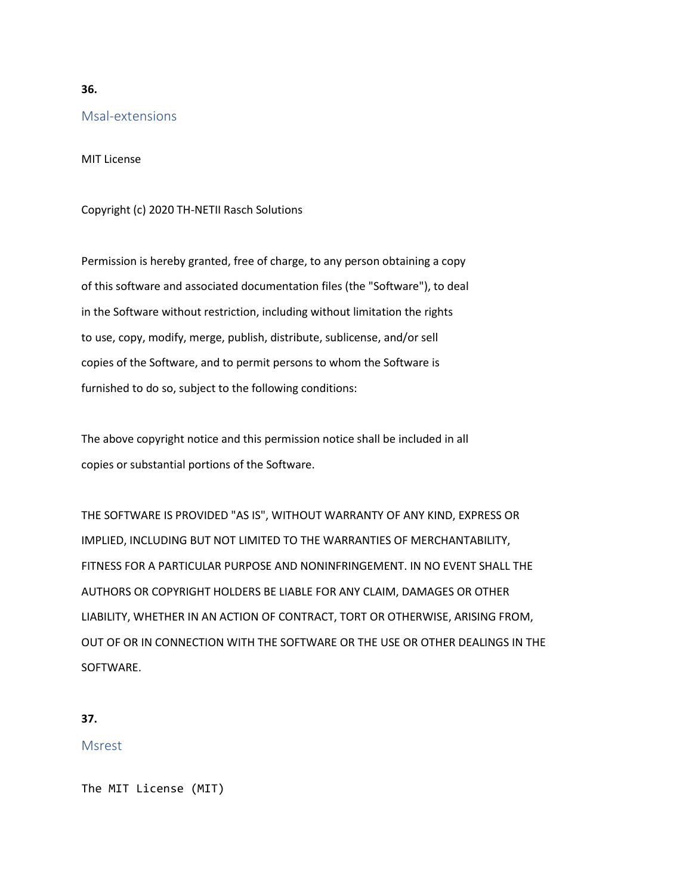# Msal-extensions

MIT License

# Copyright (c) 2020 TH-NETII Rasch Solutions

Permission is hereby granted, free of charge, to any person obtaining a copy of this software and associated documentation files (the "Software"), to deal in the Software without restriction, including without limitation the rights to use, copy, modify, merge, publish, distribute, sublicense, and/or sell copies of the Software, and to permit persons to whom the Software is furnished to do so, subject to the following conditions:

The above copyright notice and this permission notice shall be included in all copies or substantial portions of the Software.

THE SOFTWARE IS PROVIDED "AS IS", WITHOUT WARRANTY OF ANY KIND, EXPRESS OR IMPLIED, INCLUDING BUT NOT LIMITED TO THE WARRANTIES OF MERCHANTABILITY, FITNESS FOR A PARTICULAR PURPOSE AND NONINFRINGEMENT. IN NO EVENT SHALL THE AUTHORS OR COPYRIGHT HOLDERS BE LIABLE FOR ANY CLAIM, DAMAGES OR OTHER LIABILITY, WHETHER IN AN ACTION OF CONTRACT, TORT OR OTHERWISE, ARISING FROM, OUT OF OR IN CONNECTION WITH THE SOFTWARE OR THE USE OR OTHER DEALINGS IN THE SOFTWARE.

### **37.**

# Msrest

The MIT License (MIT)

**36.**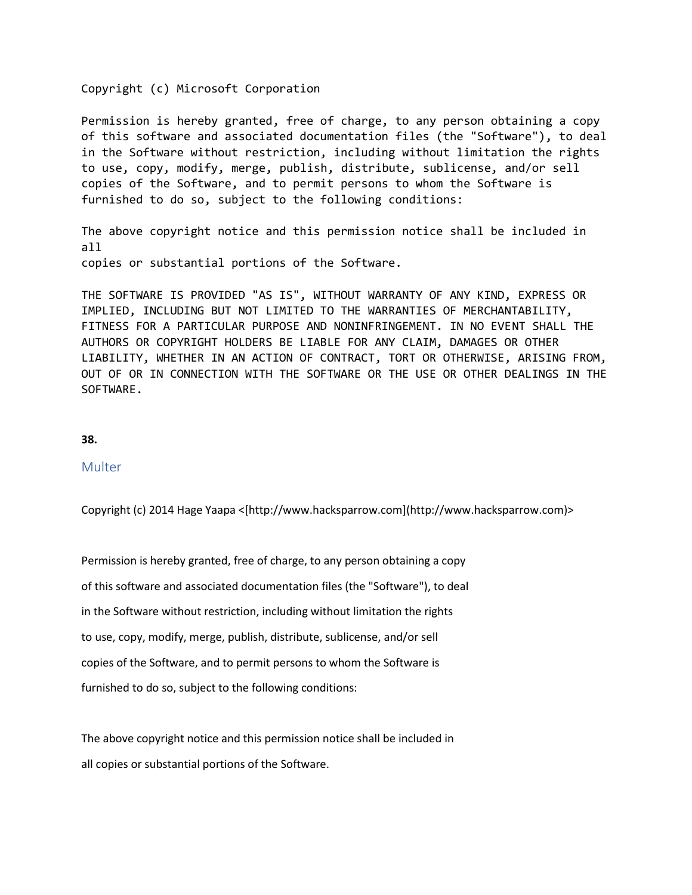### Copyright (c) Microsoft Corporation

Permission is hereby granted, free of charge, to any person obtaining a copy of this software and associated documentation files (the "Software"), to deal in the Software without restriction, including without limitation the rights to use, copy, modify, merge, publish, distribute, sublicense, and/or sell copies of the Software, and to permit persons to whom the Software is furnished to do so, subject to the following conditions:

The above copyright notice and this permission notice shall be included in all copies or substantial portions of the Software.

THE SOFTWARE IS PROVIDED "AS IS", WITHOUT WARRANTY OF ANY KIND, EXPRESS OR IMPLIED, INCLUDING BUT NOT LIMITED TO THE WARRANTIES OF MERCHANTABILITY, FITNESS FOR A PARTICULAR PURPOSE AND NONINFRINGEMENT. IN NO EVENT SHALL THE AUTHORS OR COPYRIGHT HOLDERS BE LIABLE FOR ANY CLAIM, DAMAGES OR OTHER LIABILITY, WHETHER IN AN ACTION OF CONTRACT, TORT OR OTHERWISE, ARISING FROM, OUT OF OR IN CONNECTION WITH THE SOFTWARE OR THE USE OR OTHER DEALINGS IN THE SOFTWARE.

### **38.**

# Multer

Copyright (c) 2014 Hage Yaapa <[http://www.hacksparrow.com](http://www.hacksparrow.com)>

Permission is hereby granted, free of charge, to any person obtaining a copy of this software and associated documentation files (the "Software"), to deal in the Software without restriction, including without limitation the rights to use, copy, modify, merge, publish, distribute, sublicense, and/or sell copies of the Software, and to permit persons to whom the Software is furnished to do so, subject to the following conditions:

The above copyright notice and this permission notice shall be included in all copies or substantial portions of the Software.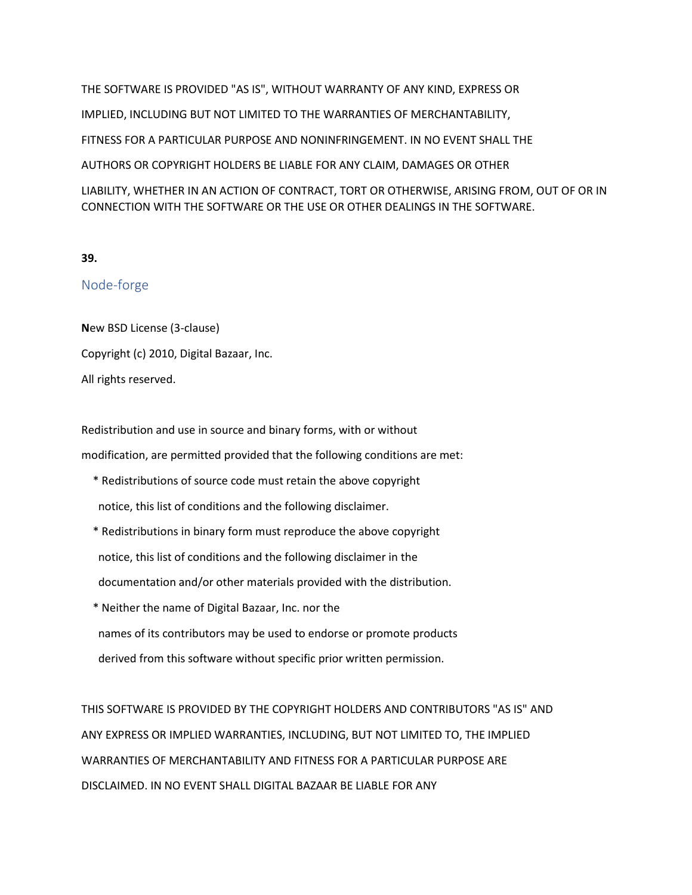THE SOFTWARE IS PROVIDED "AS IS", WITHOUT WARRANTY OF ANY KIND, EXPRESS OR IMPLIED, INCLUDING BUT NOT LIMITED TO THE WARRANTIES OF MERCHANTABILITY, FITNESS FOR A PARTICULAR PURPOSE AND NONINFRINGEMENT. IN NO EVENT SHALL THE AUTHORS OR COPYRIGHT HOLDERS BE LIABLE FOR ANY CLAIM, DAMAGES OR OTHER LIABILITY, WHETHER IN AN ACTION OF CONTRACT, TORT OR OTHERWISE, ARISING FROM, OUT OF OR IN CONNECTION WITH THE SOFTWARE OR THE USE OR OTHER DEALINGS IN THE SOFTWARE.

# **39.**

# Node-forge

**N**ew BSD License (3-clause) Copyright (c) 2010, Digital Bazaar, Inc. All rights reserved.

Redistribution and use in source and binary forms, with or without modification, are permitted provided that the following conditions are met:

- \* Redistributions of source code must retain the above copyright notice, this list of conditions and the following disclaimer.
- \* Redistributions in binary form must reproduce the above copyright notice, this list of conditions and the following disclaimer in the documentation and/or other materials provided with the distribution.
- \* Neither the name of Digital Bazaar, Inc. nor the names of its contributors may be used to endorse or promote products derived from this software without specific prior written permission.

THIS SOFTWARE IS PROVIDED BY THE COPYRIGHT HOLDERS AND CONTRIBUTORS "AS IS" AND ANY EXPRESS OR IMPLIED WARRANTIES, INCLUDING, BUT NOT LIMITED TO, THE IMPLIED WARRANTIES OF MERCHANTABILITY AND FITNESS FOR A PARTICULAR PURPOSE ARE DISCLAIMED. IN NO EVENT SHALL DIGITAL BAZAAR BE LIABLE FOR ANY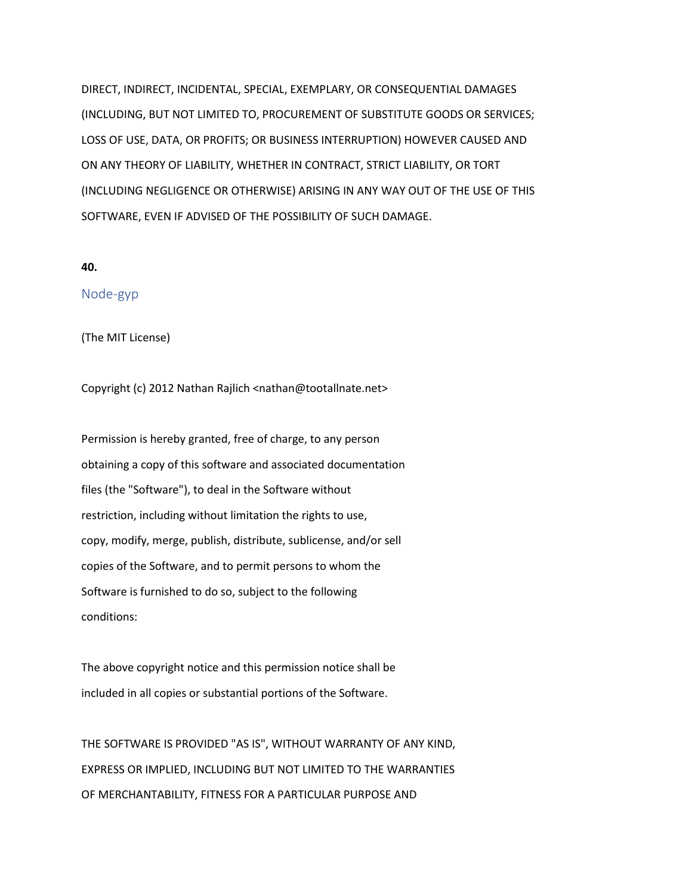DIRECT, INDIRECT, INCIDENTAL, SPECIAL, EXEMPLARY, OR CONSEQUENTIAL DAMAGES (INCLUDING, BUT NOT LIMITED TO, PROCUREMENT OF SUBSTITUTE GOODS OR SERVICES; LOSS OF USE, DATA, OR PROFITS; OR BUSINESS INTERRUPTION) HOWEVER CAUSED AND ON ANY THEORY OF LIABILITY, WHETHER IN CONTRACT, STRICT LIABILITY, OR TORT (INCLUDING NEGLIGENCE OR OTHERWISE) ARISING IN ANY WAY OUT OF THE USE OF THIS SOFTWARE, EVEN IF ADVISED OF THE POSSIBILITY OF SUCH DAMAGE.

### **40.**

# Node-gyp

(The MIT License)

Copyright (c) 2012 Nathan Rajlich <nathan@tootallnate.net>

Permission is hereby granted, free of charge, to any person obtaining a copy of this software and associated documentation files (the "Software"), to deal in the Software without restriction, including without limitation the rights to use, copy, modify, merge, publish, distribute, sublicense, and/or sell copies of the Software, and to permit persons to whom the Software is furnished to do so, subject to the following conditions:

The above copyright notice and this permission notice shall be included in all copies or substantial portions of the Software.

THE SOFTWARE IS PROVIDED "AS IS", WITHOUT WARRANTY OF ANY KIND, EXPRESS OR IMPLIED, INCLUDING BUT NOT LIMITED TO THE WARRANTIES OF MERCHANTABILITY, FITNESS FOR A PARTICULAR PURPOSE AND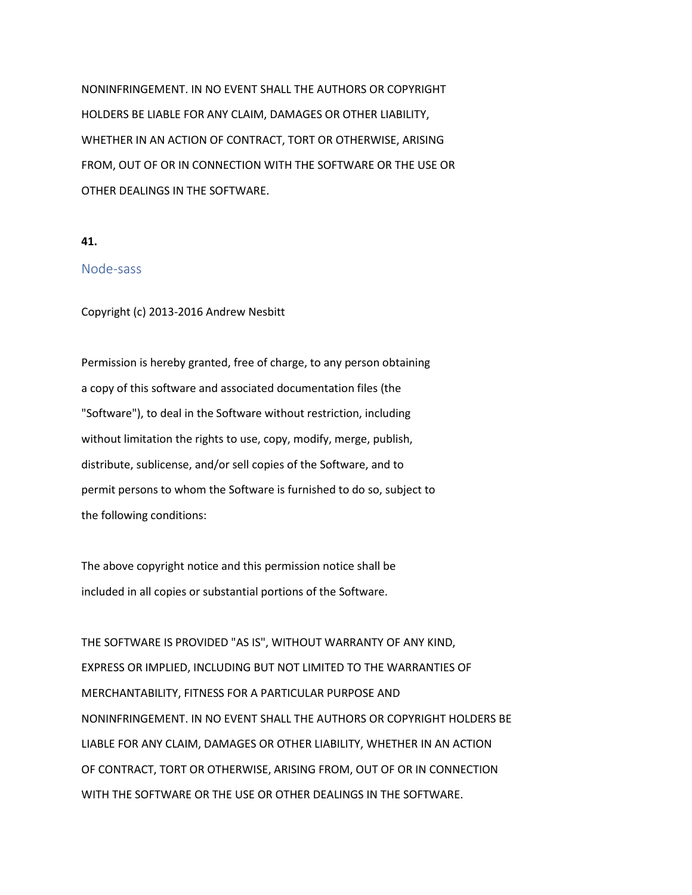NONINFRINGEMENT. IN NO EVENT SHALL THE AUTHORS OR COPYRIGHT HOLDERS BE LIABLE FOR ANY CLAIM, DAMAGES OR OTHER LIABILITY, WHETHER IN AN ACTION OF CONTRACT, TORT OR OTHERWISE, ARISING FROM, OUT OF OR IN CONNECTION WITH THE SOFTWARE OR THE USE OR OTHER DEALINGS IN THE SOFTWARE.

### **41.**

# Node-sass

Copyright (c) 2013-2016 Andrew Nesbitt

Permission is hereby granted, free of charge, to any person obtaining a copy of this software and associated documentation files (the "Software"), to deal in the Software without restriction, including without limitation the rights to use, copy, modify, merge, publish, distribute, sublicense, and/or sell copies of the Software, and to permit persons to whom the Software is furnished to do so, subject to the following conditions:

The above copyright notice and this permission notice shall be included in all copies or substantial portions of the Software.

THE SOFTWARE IS PROVIDED "AS IS", WITHOUT WARRANTY OF ANY KIND, EXPRESS OR IMPLIED, INCLUDING BUT NOT LIMITED TO THE WARRANTIES OF MERCHANTABILITY, FITNESS FOR A PARTICULAR PURPOSE AND NONINFRINGEMENT. IN NO EVENT SHALL THE AUTHORS OR COPYRIGHT HOLDERS BE LIABLE FOR ANY CLAIM, DAMAGES OR OTHER LIABILITY, WHETHER IN AN ACTION OF CONTRACT, TORT OR OTHERWISE, ARISING FROM, OUT OF OR IN CONNECTION WITH THE SOFTWARE OR THE USE OR OTHER DEALINGS IN THE SOFTWARE.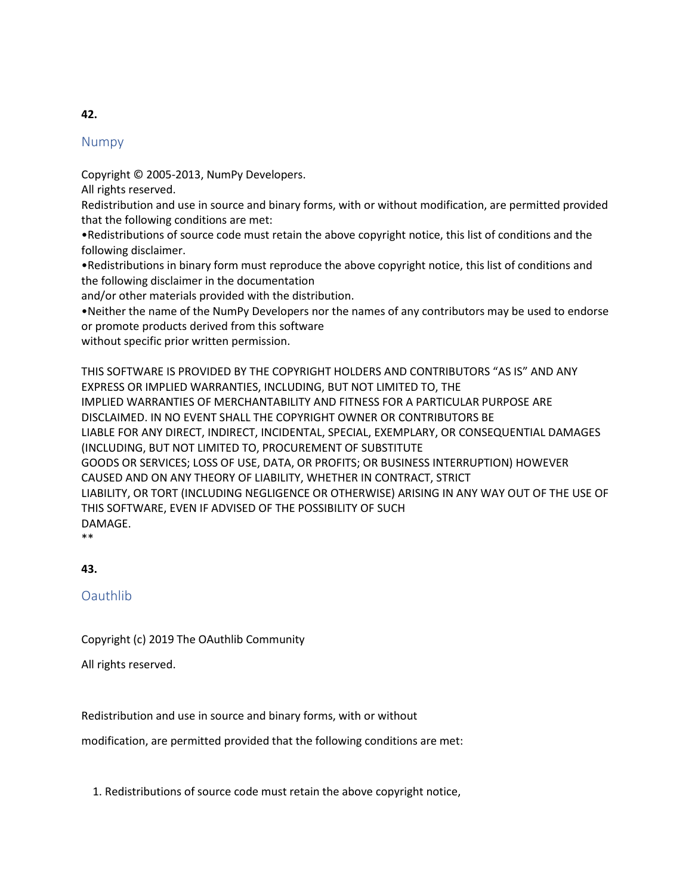# Numpy

Copyright © 2005-2013, NumPy Developers.

All rights reserved.

Redistribution and use in source and binary forms, with or without modification, are permitted provided that the following conditions are met:

•Redistributions of source code must retain the above copyright notice, this list of conditions and the following disclaimer.

•Redistributions in binary form must reproduce the above copyright notice, this list of conditions and the following disclaimer in the documentation

and/or other materials provided with the distribution.

•Neither the name of the NumPy Developers nor the names of any contributors may be used to endorse or promote products derived from this software

without specific prior written permission.

THIS SOFTWARE IS PROVIDED BY THE COPYRIGHT HOLDERS AND CONTRIBUTORS "AS IS" AND ANY EXPRESS OR IMPLIED WARRANTIES, INCLUDING, BUT NOT LIMITED TO, THE IMPLIED WARRANTIES OF MERCHANTABILITY AND FITNESS FOR A PARTICULAR PURPOSE ARE DISCLAIMED. IN NO EVENT SHALL THE COPYRIGHT OWNER OR CONTRIBUTORS BE LIABLE FOR ANY DIRECT, INDIRECT, INCIDENTAL, SPECIAL, EXEMPLARY, OR CONSEQUENTIAL DAMAGES (INCLUDING, BUT NOT LIMITED TO, PROCUREMENT OF SUBSTITUTE GOODS OR SERVICES; LOSS OF USE, DATA, OR PROFITS; OR BUSINESS INTERRUPTION) HOWEVER CAUSED AND ON ANY THEORY OF LIABILITY, WHETHER IN CONTRACT, STRICT LIABILITY, OR TORT (INCLUDING NEGLIGENCE OR OTHERWISE) ARISING IN ANY WAY OUT OF THE USE OF THIS SOFTWARE, EVEN IF ADVISED OF THE POSSIBILITY OF SUCH DAMAGE.

\*\*

**43.**

**Oauthlib** 

Copyright (c) 2019 The OAuthlib Community

All rights reserved.

Redistribution and use in source and binary forms, with or without

modification, are permitted provided that the following conditions are met:

1. Redistributions of source code must retain the above copyright notice,

# **42.**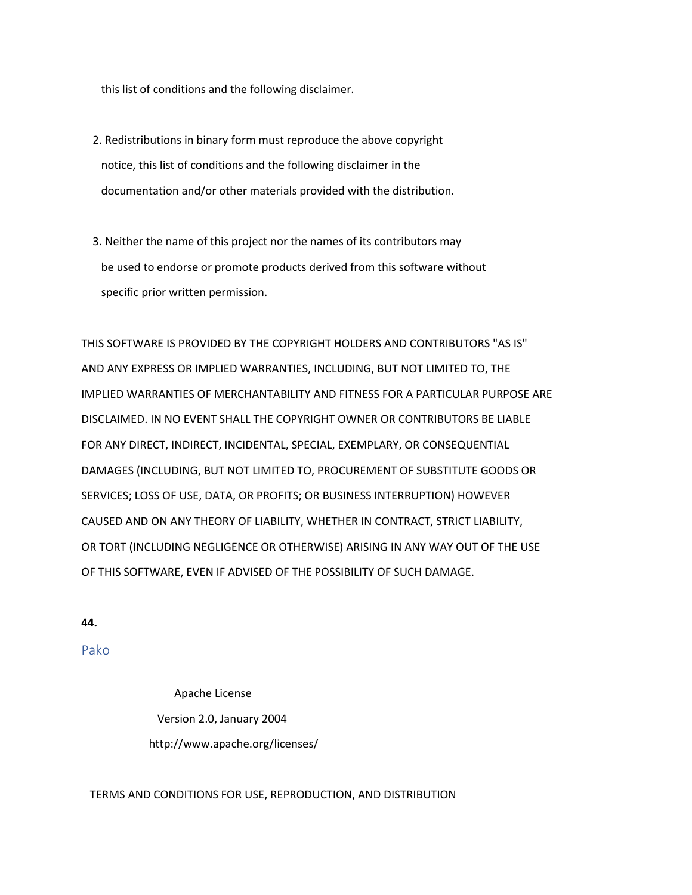this list of conditions and the following disclaimer.

- 2. Redistributions in binary form must reproduce the above copyright notice, this list of conditions and the following disclaimer in the documentation and/or other materials provided with the distribution.
- 3. Neither the name of this project nor the names of its contributors may be used to endorse or promote products derived from this software without specific prior written permission.

THIS SOFTWARE IS PROVIDED BY THE COPYRIGHT HOLDERS AND CONTRIBUTORS "AS IS" AND ANY EXPRESS OR IMPLIED WARRANTIES, INCLUDING, BUT NOT LIMITED TO, THE IMPLIED WARRANTIES OF MERCHANTABILITY AND FITNESS FOR A PARTICULAR PURPOSE ARE DISCLAIMED. IN NO EVENT SHALL THE COPYRIGHT OWNER OR CONTRIBUTORS BE LIABLE FOR ANY DIRECT, INDIRECT, INCIDENTAL, SPECIAL, EXEMPLARY, OR CONSEQUENTIAL DAMAGES (INCLUDING, BUT NOT LIMITED TO, PROCUREMENT OF SUBSTITUTE GOODS OR SERVICES; LOSS OF USE, DATA, OR PROFITS; OR BUSINESS INTERRUPTION) HOWEVER CAUSED AND ON ANY THEORY OF LIABILITY, WHETHER IN CONTRACT, STRICT LIABILITY, OR TORT (INCLUDING NEGLIGENCE OR OTHERWISE) ARISING IN ANY WAY OUT OF THE USE OF THIS SOFTWARE, EVEN IF ADVISED OF THE POSSIBILITY OF SUCH DAMAGE.

### **44.**

Pako

Apache License Version 2.0, January 2004 http://www.apache.org/licenses/

#### TERMS AND CONDITIONS FOR USE, REPRODUCTION, AND DISTRIBUTION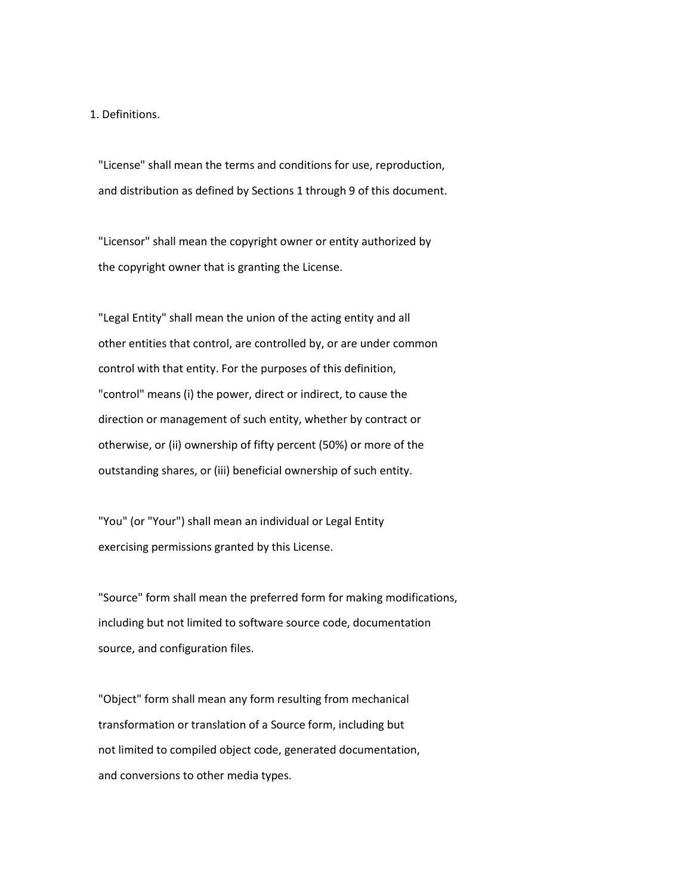1. Definitions.

 "License" shall mean the terms and conditions for use, reproduction, and distribution as defined by Sections 1 through 9 of this document.

 "Licensor" shall mean the copyright owner or entity authorized by the copyright owner that is granting the License.

 "Legal Entity" shall mean the union of the acting entity and all other entities that control, are controlled by, or are under common control with that entity. For the purposes of this definition, "control" means (i) the power, direct or indirect, to cause the direction or management of such entity, whether by contract or otherwise, or (ii) ownership of fifty percent (50%) or more of the outstanding shares, or (iii) beneficial ownership of such entity.

 "You" (or "Your") shall mean an individual or Legal Entity exercising permissions granted by this License.

 "Source" form shall mean the preferred form for making modifications, including but not limited to software source code, documentation source, and configuration files.

 "Object" form shall mean any form resulting from mechanical transformation or translation of a Source form, including but not limited to compiled object code, generated documentation, and conversions to other media types.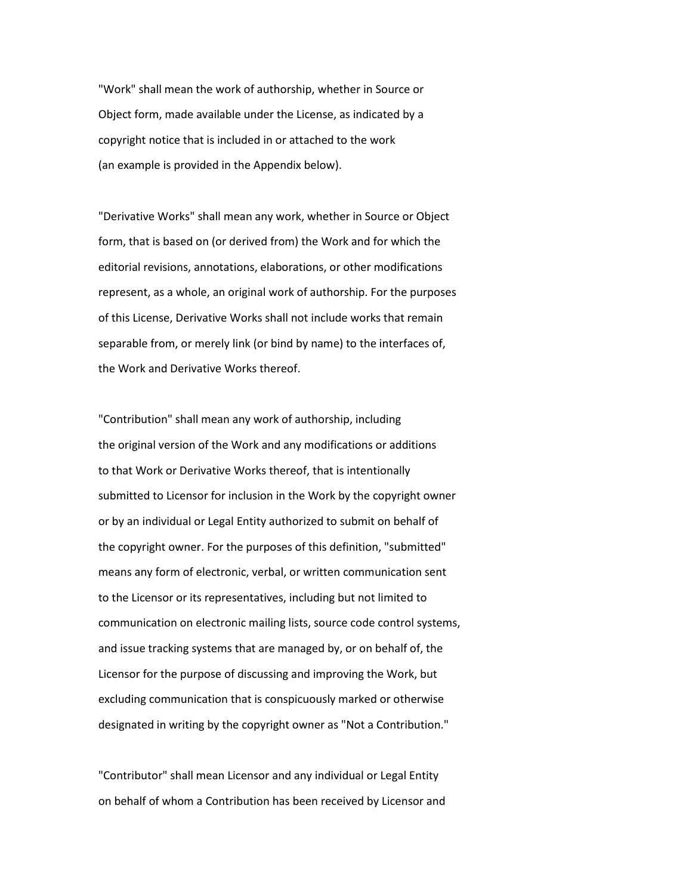"Work" shall mean the work of authorship, whether in Source or Object form, made available under the License, as indicated by a copyright notice that is included in or attached to the work (an example is provided in the Appendix below).

 "Derivative Works" shall mean any work, whether in Source or Object form, that is based on (or derived from) the Work and for which the editorial revisions, annotations, elaborations, or other modifications represent, as a whole, an original work of authorship. For the purposes of this License, Derivative Works shall not include works that remain separable from, or merely link (or bind by name) to the interfaces of, the Work and Derivative Works thereof.

 "Contribution" shall mean any work of authorship, including the original version of the Work and any modifications or additions to that Work or Derivative Works thereof, that is intentionally submitted to Licensor for inclusion in the Work by the copyright owner or by an individual or Legal Entity authorized to submit on behalf of the copyright owner. For the purposes of this definition, "submitted" means any form of electronic, verbal, or written communication sent to the Licensor or its representatives, including but not limited to communication on electronic mailing lists, source code control systems, and issue tracking systems that are managed by, or on behalf of, the Licensor for the purpose of discussing and improving the Work, but excluding communication that is conspicuously marked or otherwise designated in writing by the copyright owner as "Not a Contribution."

 "Contributor" shall mean Licensor and any individual or Legal Entity on behalf of whom a Contribution has been received by Licensor and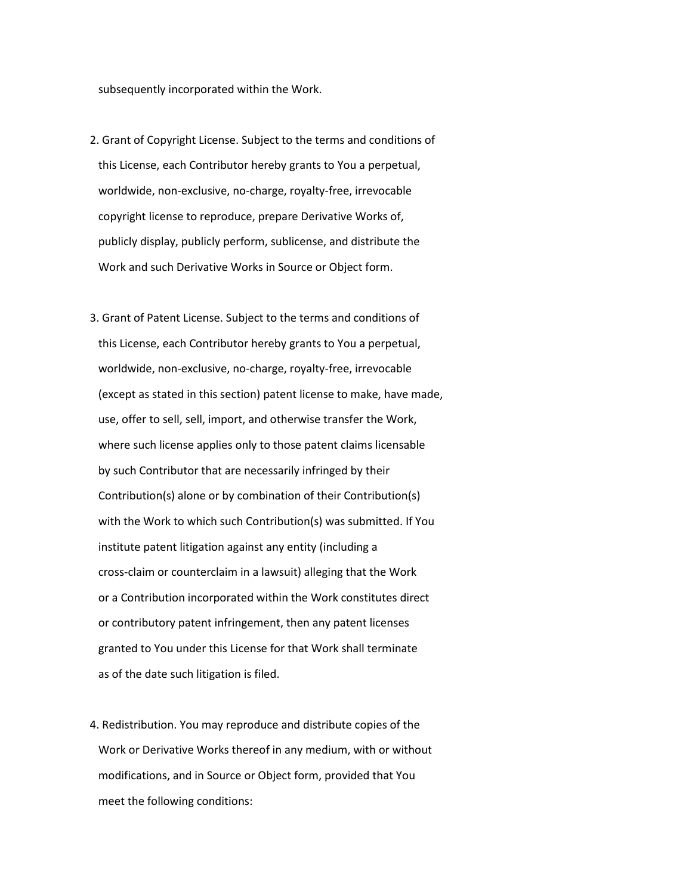subsequently incorporated within the Work.

- 2. Grant of Copyright License. Subject to the terms and conditions of this License, each Contributor hereby grants to You a perpetual, worldwide, non-exclusive, no-charge, royalty-free, irrevocable copyright license to reproduce, prepare Derivative Works of, publicly display, publicly perform, sublicense, and distribute the Work and such Derivative Works in Source or Object form.
- 3. Grant of Patent License. Subject to the terms and conditions of this License, each Contributor hereby grants to You a perpetual, worldwide, non-exclusive, no-charge, royalty-free, irrevocable (except as stated in this section) patent license to make, have made, use, offer to sell, sell, import, and otherwise transfer the Work, where such license applies only to those patent claims licensable by such Contributor that are necessarily infringed by their Contribution(s) alone or by combination of their Contribution(s) with the Work to which such Contribution(s) was submitted. If You institute patent litigation against any entity (including a cross-claim or counterclaim in a lawsuit) alleging that the Work or a Contribution incorporated within the Work constitutes direct or contributory patent infringement, then any patent licenses granted to You under this License for that Work shall terminate as of the date such litigation is filed.
- 4. Redistribution. You may reproduce and distribute copies of the Work or Derivative Works thereof in any medium, with or without modifications, and in Source or Object form, provided that You meet the following conditions: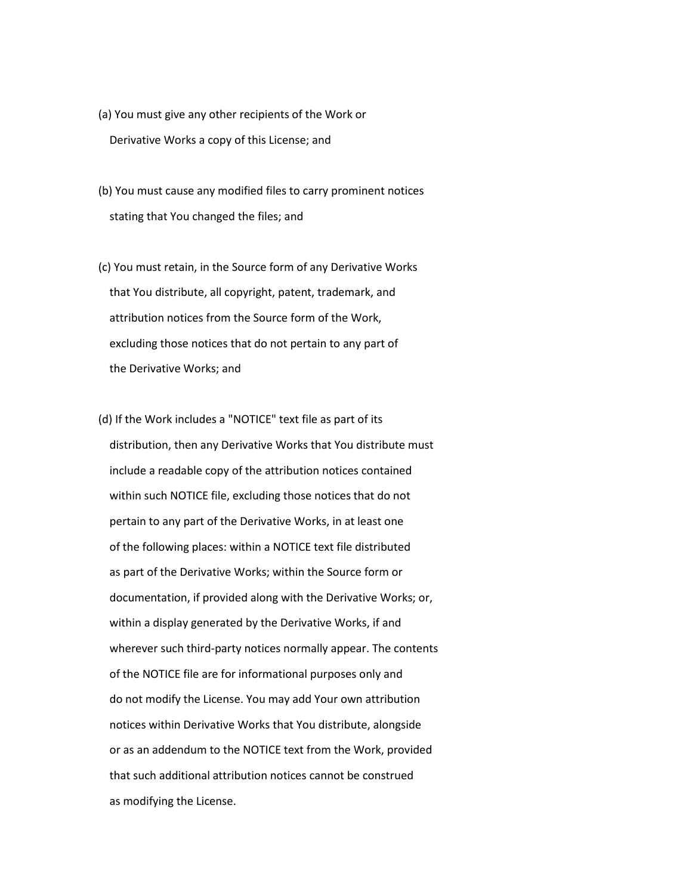- (a) You must give any other recipients of the Work or Derivative Works a copy of this License; and
- (b) You must cause any modified files to carry prominent notices stating that You changed the files; and
- (c) You must retain, in the Source form of any Derivative Works that You distribute, all copyright, patent, trademark, and attribution notices from the Source form of the Work, excluding those notices that do not pertain to any part of the Derivative Works; and
- (d) If the Work includes a "NOTICE" text file as part of its distribution, then any Derivative Works that You distribute must include a readable copy of the attribution notices contained within such NOTICE file, excluding those notices that do not pertain to any part of the Derivative Works, in at least one of the following places: within a NOTICE text file distributed as part of the Derivative Works; within the Source form or documentation, if provided along with the Derivative Works; or, within a display generated by the Derivative Works, if and wherever such third-party notices normally appear. The contents of the NOTICE file are for informational purposes only and do not modify the License. You may add Your own attribution notices within Derivative Works that You distribute, alongside or as an addendum to the NOTICE text from the Work, provided that such additional attribution notices cannot be construed as modifying the License.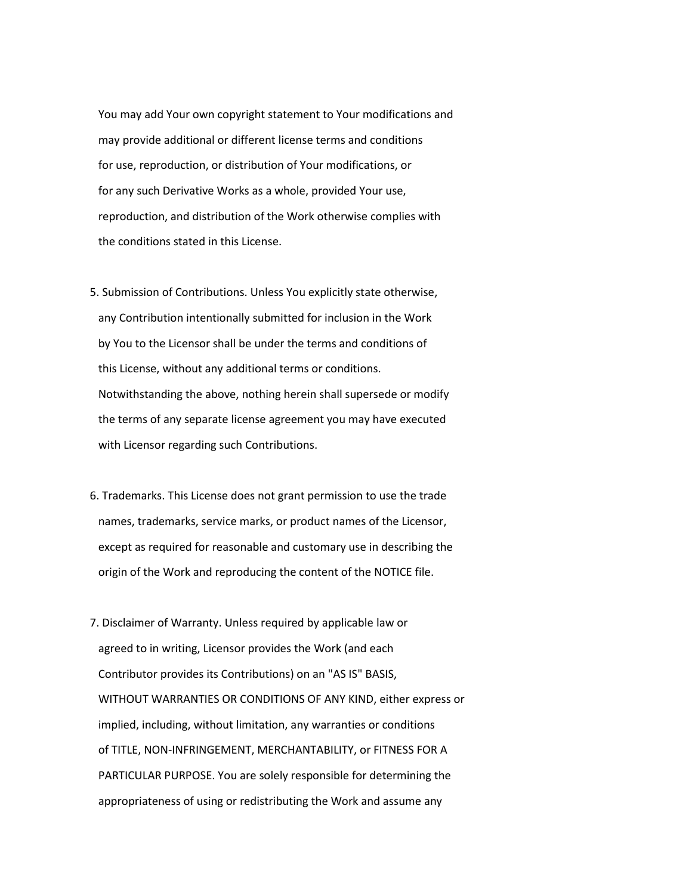You may add Your own copyright statement to Your modifications and may provide additional or different license terms and conditions for use, reproduction, or distribution of Your modifications, or for any such Derivative Works as a whole, provided Your use, reproduction, and distribution of the Work otherwise complies with the conditions stated in this License.

- 5. Submission of Contributions. Unless You explicitly state otherwise, any Contribution intentionally submitted for inclusion in the Work by You to the Licensor shall be under the terms and conditions of this License, without any additional terms or conditions. Notwithstanding the above, nothing herein shall supersede or modify the terms of any separate license agreement you may have executed with Licensor regarding such Contributions.
- 6. Trademarks. This License does not grant permission to use the trade names, trademarks, service marks, or product names of the Licensor, except as required for reasonable and customary use in describing the origin of the Work and reproducing the content of the NOTICE file.
- 7. Disclaimer of Warranty. Unless required by applicable law or agreed to in writing, Licensor provides the Work (and each Contributor provides its Contributions) on an "AS IS" BASIS, WITHOUT WARRANTIES OR CONDITIONS OF ANY KIND, either express or implied, including, without limitation, any warranties or conditions of TITLE, NON-INFRINGEMENT, MERCHANTABILITY, or FITNESS FOR A PARTICULAR PURPOSE. You are solely responsible for determining the appropriateness of using or redistributing the Work and assume any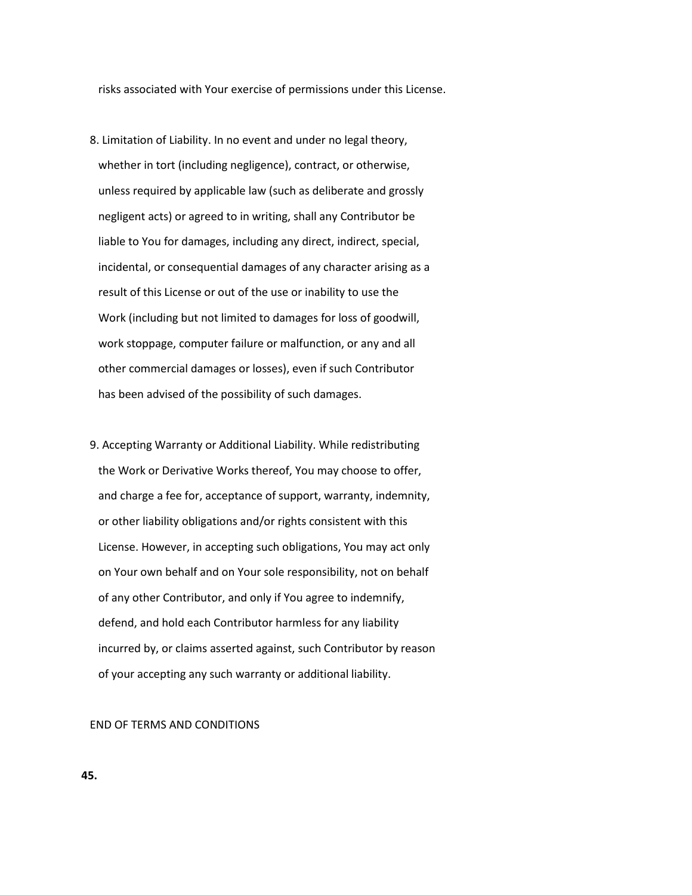risks associated with Your exercise of permissions under this License.

- 8. Limitation of Liability. In no event and under no legal theory, whether in tort (including negligence), contract, or otherwise, unless required by applicable law (such as deliberate and grossly negligent acts) or agreed to in writing, shall any Contributor be liable to You for damages, including any direct, indirect, special, incidental, or consequential damages of any character arising as a result of this License or out of the use or inability to use the Work (including but not limited to damages for loss of goodwill, work stoppage, computer failure or malfunction, or any and all other commercial damages or losses), even if such Contributor has been advised of the possibility of such damages.
- 9. Accepting Warranty or Additional Liability. While redistributing the Work or Derivative Works thereof, You may choose to offer, and charge a fee for, acceptance of support, warranty, indemnity, or other liability obligations and/or rights consistent with this License. However, in accepting such obligations, You may act only on Your own behalf and on Your sole responsibility, not on behalf of any other Contributor, and only if You agree to indemnify, defend, and hold each Contributor harmless for any liability incurred by, or claims asserted against, such Contributor by reason of your accepting any such warranty or additional liability.

#### END OF TERMS AND CONDITIONS

#### **45.**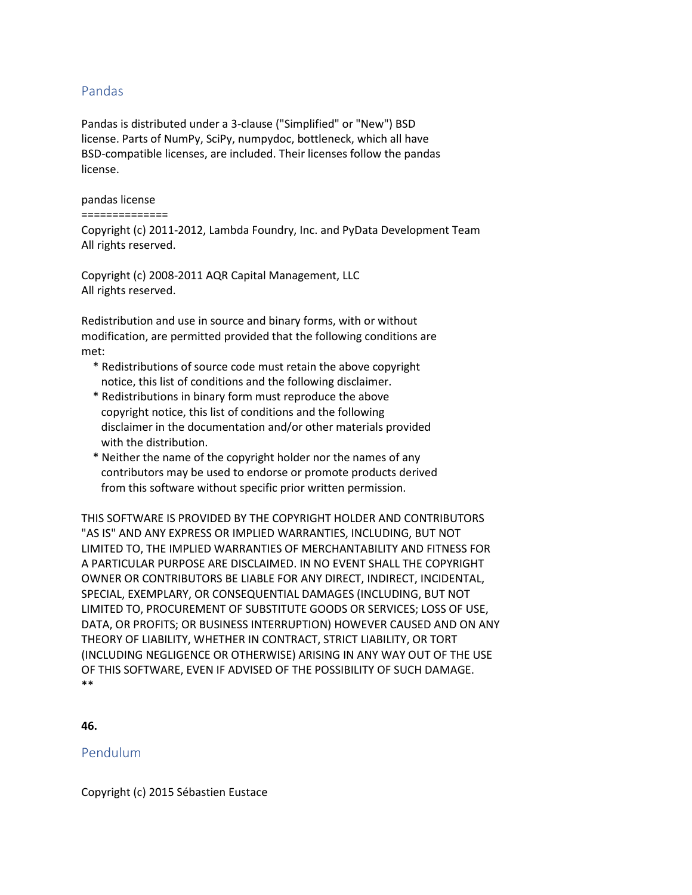# Pandas

Pandas is distributed under a 3-clause ("Simplified" or "New") BSD license. Parts of NumPy, SciPy, numpydoc, bottleneck, which all have BSD-compatible licenses, are included. Their licenses follow the pandas license.

### pandas license

### ==============

Copyright (c) 2011-2012, Lambda Foundry, Inc. and PyData Development Team All rights reserved.

Copyright (c) 2008-2011 AQR Capital Management, LLC All rights reserved.

Redistribution and use in source and binary forms, with or without modification, are permitted provided that the following conditions are met:

- \* Redistributions of source code must retain the above copyright notice, this list of conditions and the following disclaimer.
- \* Redistributions in binary form must reproduce the above copyright notice, this list of conditions and the following disclaimer in the documentation and/or other materials provided with the distribution.
- \* Neither the name of the copyright holder nor the names of any contributors may be used to endorse or promote products derived from this software without specific prior written permission.

THIS SOFTWARE IS PROVIDED BY THE COPYRIGHT HOLDER AND CONTRIBUTORS "AS IS" AND ANY EXPRESS OR IMPLIED WARRANTIES, INCLUDING, BUT NOT LIMITED TO, THE IMPLIED WARRANTIES OF MERCHANTABILITY AND FITNESS FOR A PARTICULAR PURPOSE ARE DISCLAIMED. IN NO EVENT SHALL THE COPYRIGHT OWNER OR CONTRIBUTORS BE LIABLE FOR ANY DIRECT, INDIRECT, INCIDENTAL, SPECIAL, EXEMPLARY, OR CONSEQUENTIAL DAMAGES (INCLUDING, BUT NOT LIMITED TO, PROCUREMENT OF SUBSTITUTE GOODS OR SERVICES; LOSS OF USE, DATA, OR PROFITS; OR BUSINESS INTERRUPTION) HOWEVER CAUSED AND ON ANY THEORY OF LIABILITY, WHETHER IN CONTRACT, STRICT LIABILITY, OR TORT (INCLUDING NEGLIGENCE OR OTHERWISE) ARISING IN ANY WAY OUT OF THE USE OF THIS SOFTWARE, EVEN IF ADVISED OF THE POSSIBILITY OF SUCH DAMAGE. \*\*

**46.**

# Pendulum

Copyright (c) 2015 Sébastien Eustace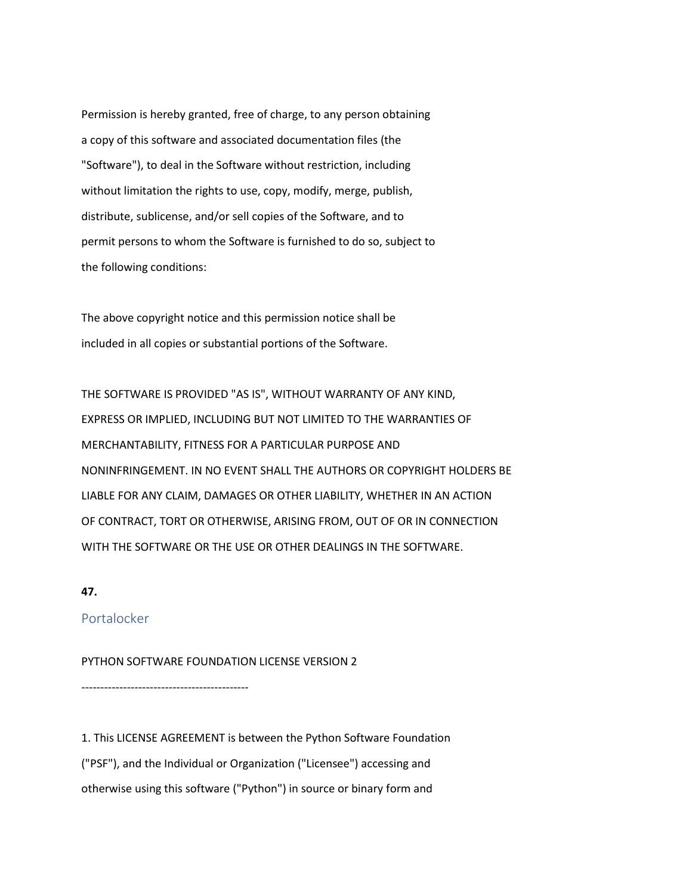Permission is hereby granted, free of charge, to any person obtaining a copy of this software and associated documentation files (the "Software"), to deal in the Software without restriction, including without limitation the rights to use, copy, modify, merge, publish, distribute, sublicense, and/or sell copies of the Software, and to permit persons to whom the Software is furnished to do so, subject to the following conditions:

The above copyright notice and this permission notice shall be included in all copies or substantial portions of the Software.

THE SOFTWARE IS PROVIDED "AS IS", WITHOUT WARRANTY OF ANY KIND, EXPRESS OR IMPLIED, INCLUDING BUT NOT LIMITED TO THE WARRANTIES OF MERCHANTABILITY, FITNESS FOR A PARTICULAR PURPOSE AND NONINFRINGEMENT. IN NO EVENT SHALL THE AUTHORS OR COPYRIGHT HOLDERS BE LIABLE FOR ANY CLAIM, DAMAGES OR OTHER LIABILITY, WHETHER IN AN ACTION OF CONTRACT, TORT OR OTHERWISE, ARISING FROM, OUT OF OR IN CONNECTION WITH THE SOFTWARE OR THE USE OR OTHER DEALINGS IN THE SOFTWARE.

# **47.**

# Portalocker

PYTHON SOFTWARE FOUNDATION LICENSE VERSION 2

--------------------------------------------

1. This LICENSE AGREEMENT is between the Python Software Foundation ("PSF"), and the Individual or Organization ("Licensee") accessing and otherwise using this software ("Python") in source or binary form and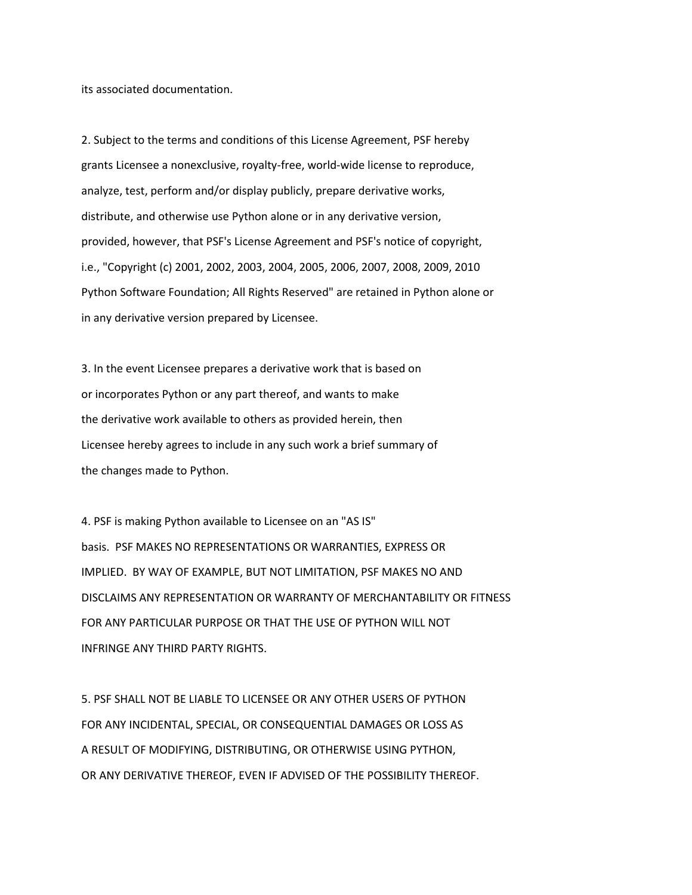its associated documentation.

2. Subject to the terms and conditions of this License Agreement, PSF hereby grants Licensee a nonexclusive, royalty-free, world-wide license to reproduce, analyze, test, perform and/or display publicly, prepare derivative works, distribute, and otherwise use Python alone or in any derivative version, provided, however, that PSF's License Agreement and PSF's notice of copyright, i.e., "Copyright (c) 2001, 2002, 2003, 2004, 2005, 2006, 2007, 2008, 2009, 2010 Python Software Foundation; All Rights Reserved" are retained in Python alone or in any derivative version prepared by Licensee.

3. In the event Licensee prepares a derivative work that is based on or incorporates Python or any part thereof, and wants to make the derivative work available to others as provided herein, then Licensee hereby agrees to include in any such work a brief summary of the changes made to Python.

4. PSF is making Python available to Licensee on an "AS IS" basis. PSF MAKES NO REPRESENTATIONS OR WARRANTIES, EXPRESS OR IMPLIED. BY WAY OF EXAMPLE, BUT NOT LIMITATION, PSF MAKES NO AND DISCLAIMS ANY REPRESENTATION OR WARRANTY OF MERCHANTABILITY OR FITNESS FOR ANY PARTICULAR PURPOSE OR THAT THE USE OF PYTHON WILL NOT INFRINGE ANY THIRD PARTY RIGHTS.

5. PSF SHALL NOT BE LIABLE TO LICENSEE OR ANY OTHER USERS OF PYTHON FOR ANY INCIDENTAL, SPECIAL, OR CONSEQUENTIAL DAMAGES OR LOSS AS A RESULT OF MODIFYING, DISTRIBUTING, OR OTHERWISE USING PYTHON, OR ANY DERIVATIVE THEREOF, EVEN IF ADVISED OF THE POSSIBILITY THEREOF.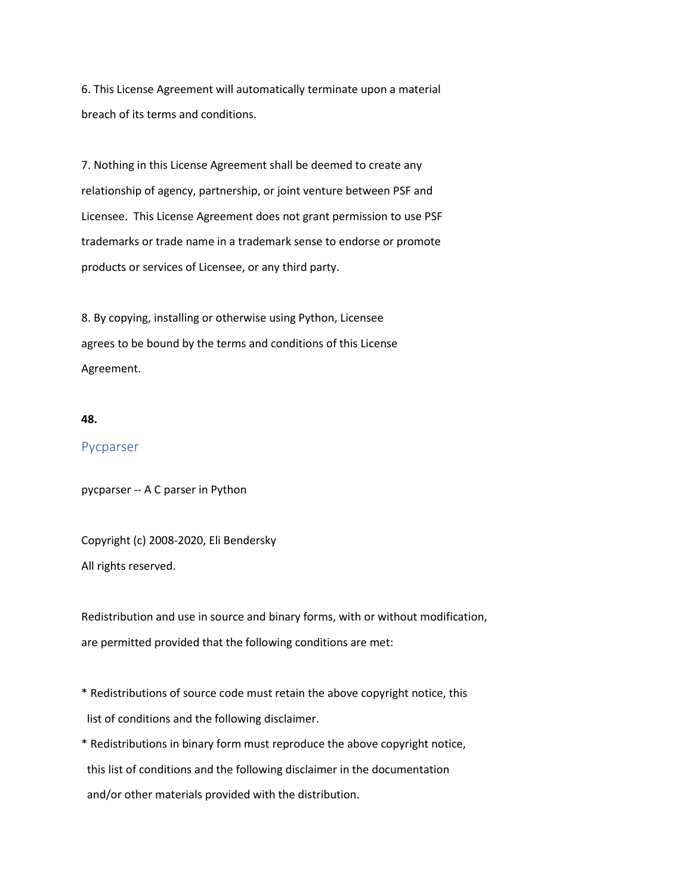6. This License Agreement will automatically terminate upon a material breach of its terms and conditions.

7. Nothing in this License Agreement shall be deemed to create any relationship of agency, partnership, or joint venture between PSF and Licensee. This License Agreement does not grant permission to use PSF trademarks or trade name in a trademark sense to endorse or promote products or services of Licensee, or any third party.

8. By copying, installing or otherwise using Python, Licensee agrees to be bound by the terms and conditions of this License Agreement.

#### **48.**

# Pycparser

pycparser -- A C parser in Python

Copyright (c) 2008-2020, Eli Bendersky All rights reserved.

Redistribution and use in source and binary forms, with or without modification, are permitted provided that the following conditions are met:

- \* Redistributions of source code must retain the above copyright notice, this list of conditions and the following disclaimer.
- \* Redistributions in binary form must reproduce the above copyright notice, this list of conditions and the following disclaimer in the documentation and/or other materials provided with the distribution.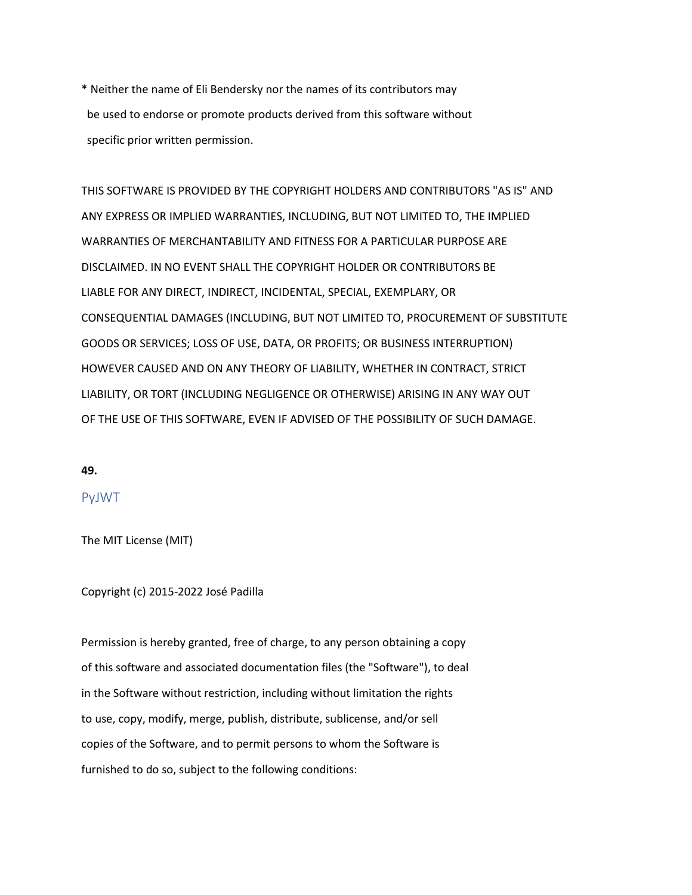\* Neither the name of Eli Bendersky nor the names of its contributors may be used to endorse or promote products derived from this software without specific prior written permission.

THIS SOFTWARE IS PROVIDED BY THE COPYRIGHT HOLDERS AND CONTRIBUTORS "AS IS" AND ANY EXPRESS OR IMPLIED WARRANTIES, INCLUDING, BUT NOT LIMITED TO, THE IMPLIED WARRANTIES OF MERCHANTABILITY AND FITNESS FOR A PARTICULAR PURPOSE ARE DISCLAIMED. IN NO EVENT SHALL THE COPYRIGHT HOLDER OR CONTRIBUTORS BE LIABLE FOR ANY DIRECT, INDIRECT, INCIDENTAL, SPECIAL, EXEMPLARY, OR CONSEQUENTIAL DAMAGES (INCLUDING, BUT NOT LIMITED TO, PROCUREMENT OF SUBSTITUTE GOODS OR SERVICES; LOSS OF USE, DATA, OR PROFITS; OR BUSINESS INTERRUPTION) HOWEVER CAUSED AND ON ANY THEORY OF LIABILITY, WHETHER IN CONTRACT, STRICT LIABILITY, OR TORT (INCLUDING NEGLIGENCE OR OTHERWISE) ARISING IN ANY WAY OUT OF THE USE OF THIS SOFTWARE, EVEN IF ADVISED OF THE POSSIBILITY OF SUCH DAMAGE.

#### **49.**

# PyJWT

The MIT License (MIT)

Copyright (c) 2015-2022 José Padilla

Permission is hereby granted, free of charge, to any person obtaining a copy of this software and associated documentation files (the "Software"), to deal in the Software without restriction, including without limitation the rights to use, copy, modify, merge, publish, distribute, sublicense, and/or sell copies of the Software, and to permit persons to whom the Software is furnished to do so, subject to the following conditions: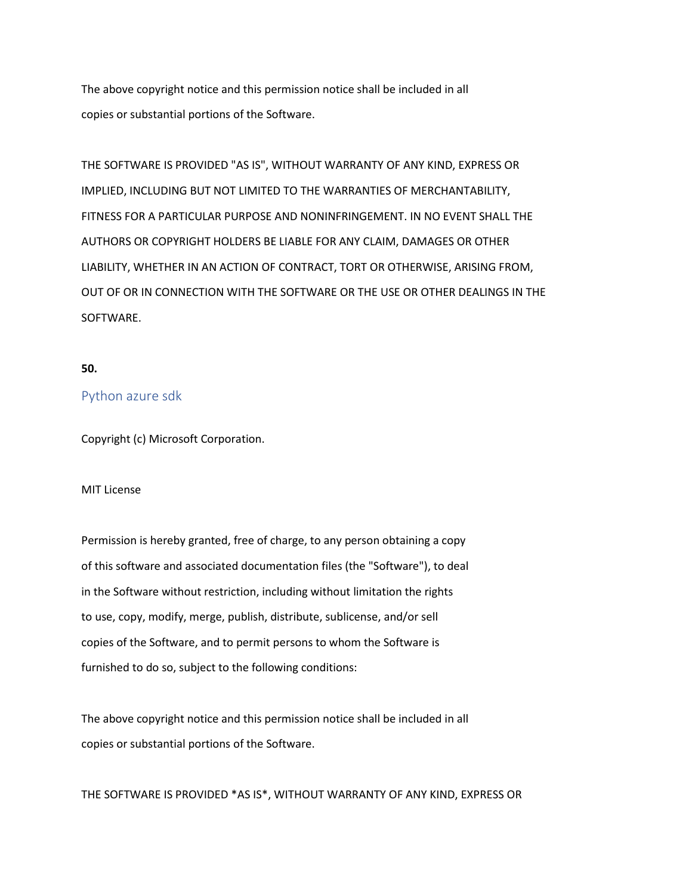The above copyright notice and this permission notice shall be included in all copies or substantial portions of the Software.

THE SOFTWARE IS PROVIDED "AS IS", WITHOUT WARRANTY OF ANY KIND, EXPRESS OR IMPLIED, INCLUDING BUT NOT LIMITED TO THE WARRANTIES OF MERCHANTABILITY, FITNESS FOR A PARTICULAR PURPOSE AND NONINFRINGEMENT. IN NO EVENT SHALL THE AUTHORS OR COPYRIGHT HOLDERS BE LIABLE FOR ANY CLAIM, DAMAGES OR OTHER LIABILITY, WHETHER IN AN ACTION OF CONTRACT, TORT OR OTHERWISE, ARISING FROM, OUT OF OR IN CONNECTION WITH THE SOFTWARE OR THE USE OR OTHER DEALINGS IN THE SOFTWARE.

# **50.**

# Python azure sdk

Copyright (c) Microsoft Corporation.

#### MIT License

Permission is hereby granted, free of charge, to any person obtaining a copy of this software and associated documentation files (the "Software"), to deal in the Software without restriction, including without limitation the rights to use, copy, modify, merge, publish, distribute, sublicense, and/or sell copies of the Software, and to permit persons to whom the Software is furnished to do so, subject to the following conditions:

The above copyright notice and this permission notice shall be included in all copies or substantial portions of the Software.

THE SOFTWARE IS PROVIDED \*AS IS\*, WITHOUT WARRANTY OF ANY KIND, EXPRESS OR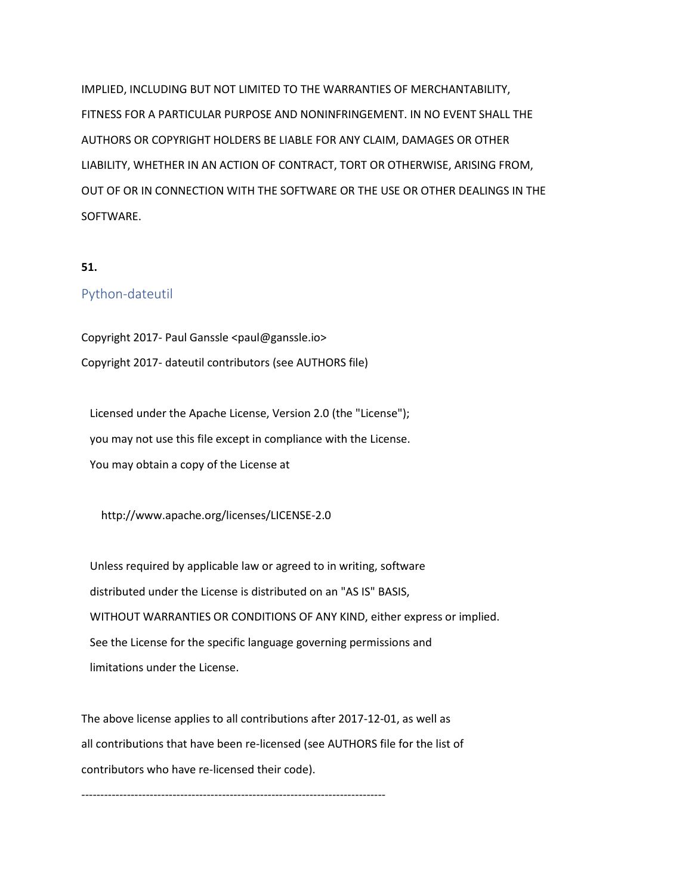IMPLIED, INCLUDING BUT NOT LIMITED TO THE WARRANTIES OF MERCHANTABILITY, FITNESS FOR A PARTICULAR PURPOSE AND NONINFRINGEMENT. IN NO EVENT SHALL THE AUTHORS OR COPYRIGHT HOLDERS BE LIABLE FOR ANY CLAIM, DAMAGES OR OTHER LIABILITY, WHETHER IN AN ACTION OF CONTRACT, TORT OR OTHERWISE, ARISING FROM, OUT OF OR IN CONNECTION WITH THE SOFTWARE OR THE USE OR OTHER DEALINGS IN THE SOFTWARE.

# **51.**

# Python-dateutil

Copyright 2017- Paul Ganssle <paul@ganssle.io> Copyright 2017- dateutil contributors (see AUTHORS file)

 Licensed under the Apache License, Version 2.0 (the "License"); you may not use this file except in compliance with the License. You may obtain a copy of the License at

http://www.apache.org/licenses/LICENSE-2.0

 Unless required by applicable law or agreed to in writing, software distributed under the License is distributed on an "AS IS" BASIS, WITHOUT WARRANTIES OR CONDITIONS OF ANY KIND, either express or implied. See the License for the specific language governing permissions and limitations under the License.

The above license applies to all contributions after 2017-12-01, as well as all contributions that have been re-licensed (see AUTHORS file for the list of contributors who have re-licensed their code).

--------------------------------------------------------------------------------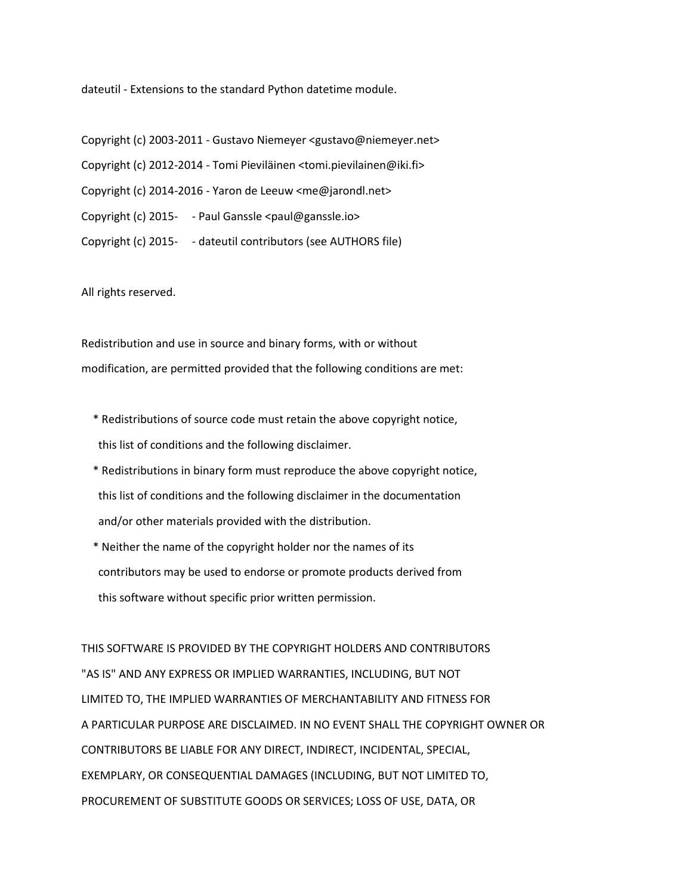dateutil - Extensions to the standard Python datetime module.

Copyright (c) 2003-2011 - Gustavo Niemeyer <gustavo@niemeyer.net> Copyright (c) 2012-2014 - Tomi Pieviläinen <tomi.pievilainen@iki.fi> Copyright (c) 2014-2016 - Yaron de Leeuw <me@jarondl.net> Copyright (c) 2015- - Paul Ganssle <paul@ganssle.io> Copyright (c) 2015- - dateutil contributors (see AUTHORS file)

All rights reserved.

Redistribution and use in source and binary forms, with or without modification, are permitted provided that the following conditions are met:

- \* Redistributions of source code must retain the above copyright notice, this list of conditions and the following disclaimer.
- \* Redistributions in binary form must reproduce the above copyright notice, this list of conditions and the following disclaimer in the documentation and/or other materials provided with the distribution.
- \* Neither the name of the copyright holder nor the names of its contributors may be used to endorse or promote products derived from this software without specific prior written permission.

THIS SOFTWARE IS PROVIDED BY THE COPYRIGHT HOLDERS AND CONTRIBUTORS "AS IS" AND ANY EXPRESS OR IMPLIED WARRANTIES, INCLUDING, BUT NOT LIMITED TO, THE IMPLIED WARRANTIES OF MERCHANTABILITY AND FITNESS FOR A PARTICULAR PURPOSE ARE DISCLAIMED. IN NO EVENT SHALL THE COPYRIGHT OWNER OR CONTRIBUTORS BE LIABLE FOR ANY DIRECT, INDIRECT, INCIDENTAL, SPECIAL, EXEMPLARY, OR CONSEQUENTIAL DAMAGES (INCLUDING, BUT NOT LIMITED TO, PROCUREMENT OF SUBSTITUTE GOODS OR SERVICES; LOSS OF USE, DATA, OR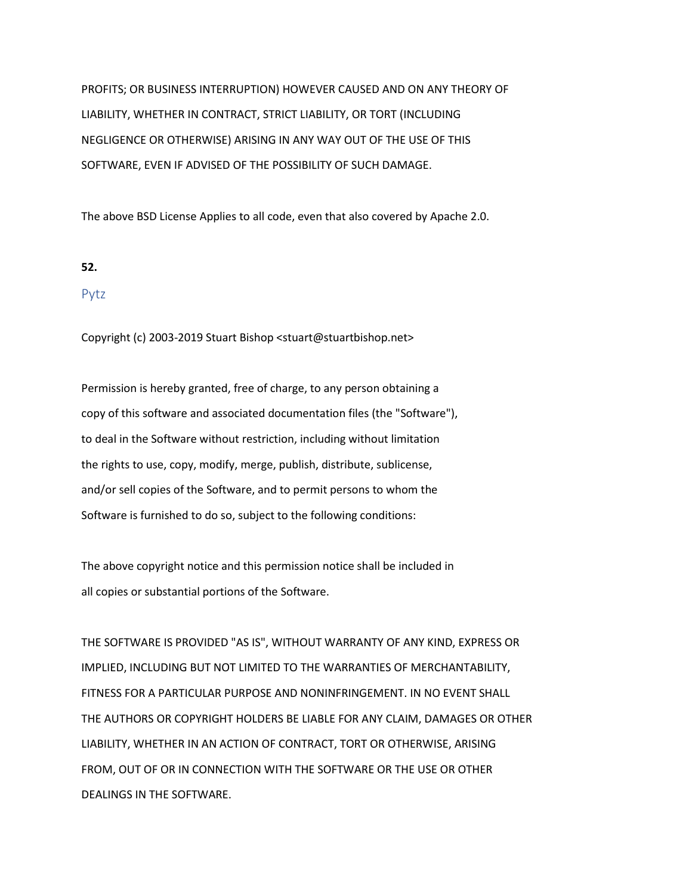PROFITS; OR BUSINESS INTERRUPTION) HOWEVER CAUSED AND ON ANY THEORY OF LIABILITY, WHETHER IN CONTRACT, STRICT LIABILITY, OR TORT (INCLUDING NEGLIGENCE OR OTHERWISE) ARISING IN ANY WAY OUT OF THE USE OF THIS SOFTWARE, EVEN IF ADVISED OF THE POSSIBILITY OF SUCH DAMAGE.

The above BSD License Applies to all code, even that also covered by Apache 2.0.

### **52.**

### Pytz

Copyright (c) 2003-2019 Stuart Bishop <stuart@stuartbishop.net>

Permission is hereby granted, free of charge, to any person obtaining a copy of this software and associated documentation files (the "Software"), to deal in the Software without restriction, including without limitation the rights to use, copy, modify, merge, publish, distribute, sublicense, and/or sell copies of the Software, and to permit persons to whom the Software is furnished to do so, subject to the following conditions:

The above copyright notice and this permission notice shall be included in all copies or substantial portions of the Software.

THE SOFTWARE IS PROVIDED "AS IS", WITHOUT WARRANTY OF ANY KIND, EXPRESS OR IMPLIED, INCLUDING BUT NOT LIMITED TO THE WARRANTIES OF MERCHANTABILITY, FITNESS FOR A PARTICULAR PURPOSE AND NONINFRINGEMENT. IN NO EVENT SHALL THE AUTHORS OR COPYRIGHT HOLDERS BE LIABLE FOR ANY CLAIM, DAMAGES OR OTHER LIABILITY, WHETHER IN AN ACTION OF CONTRACT, TORT OR OTHERWISE, ARISING FROM, OUT OF OR IN CONNECTION WITH THE SOFTWARE OR THE USE OR OTHER DEALINGS IN THE SOFTWARE.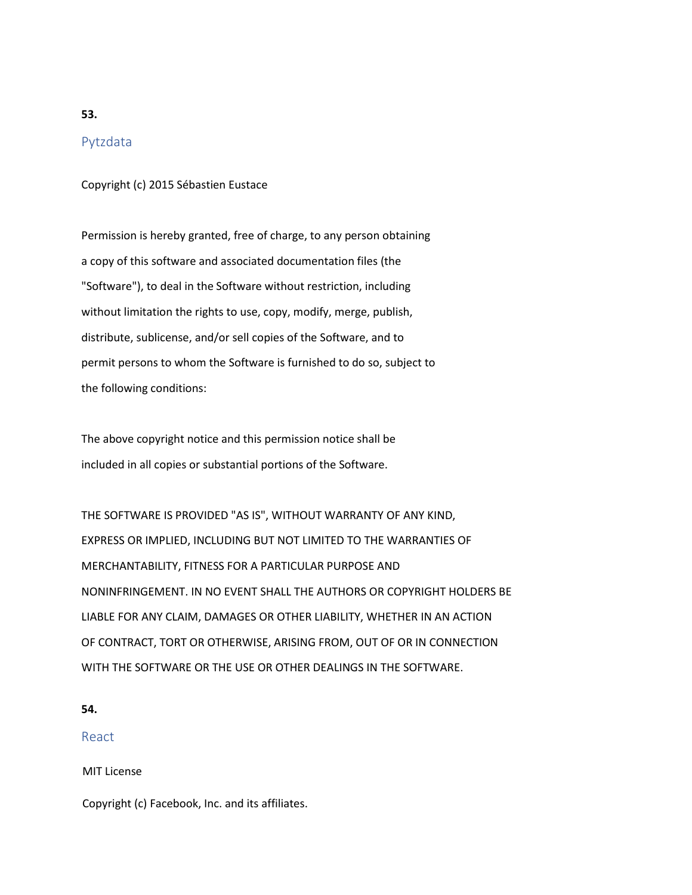# **53.**

# Pytzdata

Copyright (c) 2015 Sébastien Eustace

Permission is hereby granted, free of charge, to any person obtaining a copy of this software and associated documentation files (the "Software"), to deal in the Software without restriction, including without limitation the rights to use, copy, modify, merge, publish, distribute, sublicense, and/or sell copies of the Software, and to permit persons to whom the Software is furnished to do so, subject to the following conditions:

The above copyright notice and this permission notice shall be included in all copies or substantial portions of the Software.

THE SOFTWARE IS PROVIDED "AS IS", WITHOUT WARRANTY OF ANY KIND, EXPRESS OR IMPLIED, INCLUDING BUT NOT LIMITED TO THE WARRANTIES OF MERCHANTABILITY, FITNESS FOR A PARTICULAR PURPOSE AND NONINFRINGEMENT. IN NO EVENT SHALL THE AUTHORS OR COPYRIGHT HOLDERS BE LIABLE FOR ANY CLAIM, DAMAGES OR OTHER LIABILITY, WHETHER IN AN ACTION OF CONTRACT, TORT OR OTHERWISE, ARISING FROM, OUT OF OR IN CONNECTION WITH THE SOFTWARE OR THE USE OR OTHER DEALINGS IN THE SOFTWARE.

### **54.**

# React

MIT License

Copyright (c) Facebook, Inc. and its affiliates.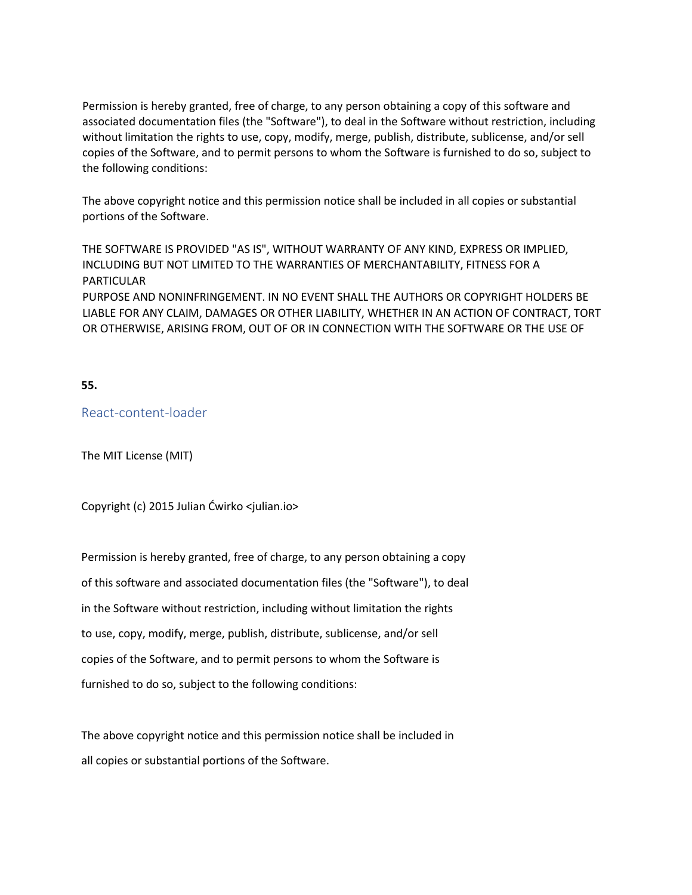Permission is hereby granted, free of charge, to any person obtaining a copy of this software and associated documentation files (the "Software"), to deal in the Software without restriction, including without limitation the rights to use, copy, modify, merge, publish, distribute, sublicense, and/or sell copies of the Software, and to permit persons to whom the Software is furnished to do so, subject to the following conditions:

The above copyright notice and this permission notice shall be included in all copies or substantial portions of the Software.

THE SOFTWARE IS PROVIDED "AS IS", WITHOUT WARRANTY OF ANY KIND, EXPRESS OR IMPLIED, INCLUDING BUT NOT LIMITED TO THE WARRANTIES OF MERCHANTABILITY, FITNESS FOR A PARTICULAR PURPOSE AND NONINFRINGEMENT. IN NO EVENT SHALL THE AUTHORS OR COPYRIGHT HOLDERS BE LIABLE FOR ANY CLAIM, DAMAGES OR OTHER LIABILITY, WHETHER IN AN ACTION OF CONTRACT, TORT OR OTHERWISE, ARISING FROM, OUT OF OR IN CONNECTION WITH THE SOFTWARE OR THE USE OF

**55.**

React-content-loader

The MIT License (MIT)

Copyright (c) 2015 Julian Ćwirko <julian.io>

Permission is hereby granted, free of charge, to any person obtaining a copy of this software and associated documentation files (the "Software"), to deal in the Software without restriction, including without limitation the rights to use, copy, modify, merge, publish, distribute, sublicense, and/or sell copies of the Software, and to permit persons to whom the Software is furnished to do so, subject to the following conditions:

The above copyright notice and this permission notice shall be included in all copies or substantial portions of the Software.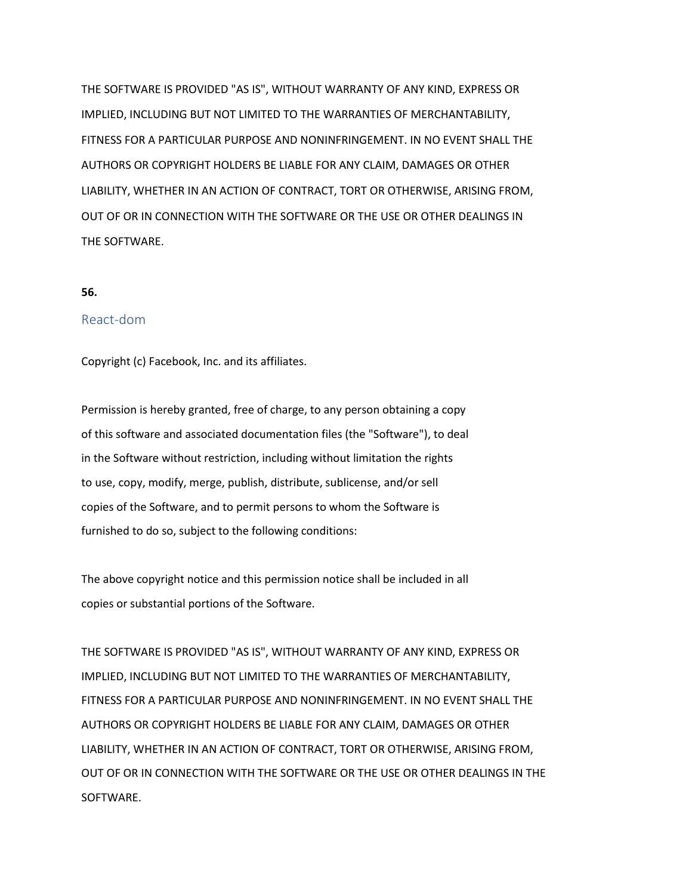THE SOFTWARE IS PROVIDED "AS IS", WITHOUT WARRANTY OF ANY KIND, EXPRESS OR IMPLIED, INCLUDING BUT NOT LIMITED TO THE WARRANTIES OF MERCHANTABILITY, FITNESS FOR A PARTICULAR PURPOSE AND NONINFRINGEMENT. IN NO EVENT SHALL THE AUTHORS OR COPYRIGHT HOLDERS BE LIABLE FOR ANY CLAIM, DAMAGES OR OTHER LIABILITY, WHETHER IN AN ACTION OF CONTRACT, TORT OR OTHERWISE, ARISING FROM, OUT OF OR IN CONNECTION WITH THE SOFTWARE OR THE USE OR OTHER DEALINGS IN THE SOFTWARE.

#### **56.**

# React-dom

Copyright (c) Facebook, Inc. and its affiliates.

Permission is hereby granted, free of charge, to any person obtaining a copy of this software and associated documentation files (the "Software"), to deal in the Software without restriction, including without limitation the rights to use, copy, modify, merge, publish, distribute, sublicense, and/or sell copies of the Software, and to permit persons to whom the Software is furnished to do so, subject to the following conditions:

The above copyright notice and this permission notice shall be included in all copies or substantial portions of the Software.

THE SOFTWARE IS PROVIDED "AS IS", WITHOUT WARRANTY OF ANY KIND, EXPRESS OR IMPLIED, INCLUDING BUT NOT LIMITED TO THE WARRANTIES OF MERCHANTABILITY, FITNESS FOR A PARTICULAR PURPOSE AND NONINFRINGEMENT. IN NO EVENT SHALL THE AUTHORS OR COPYRIGHT HOLDERS BE LIABLE FOR ANY CLAIM, DAMAGES OR OTHER LIABILITY, WHETHER IN AN ACTION OF CONTRACT, TORT OR OTHERWISE, ARISING FROM, OUT OF OR IN CONNECTION WITH THE SOFTWARE OR THE USE OR OTHER DEALINGS IN THE SOFTWARE.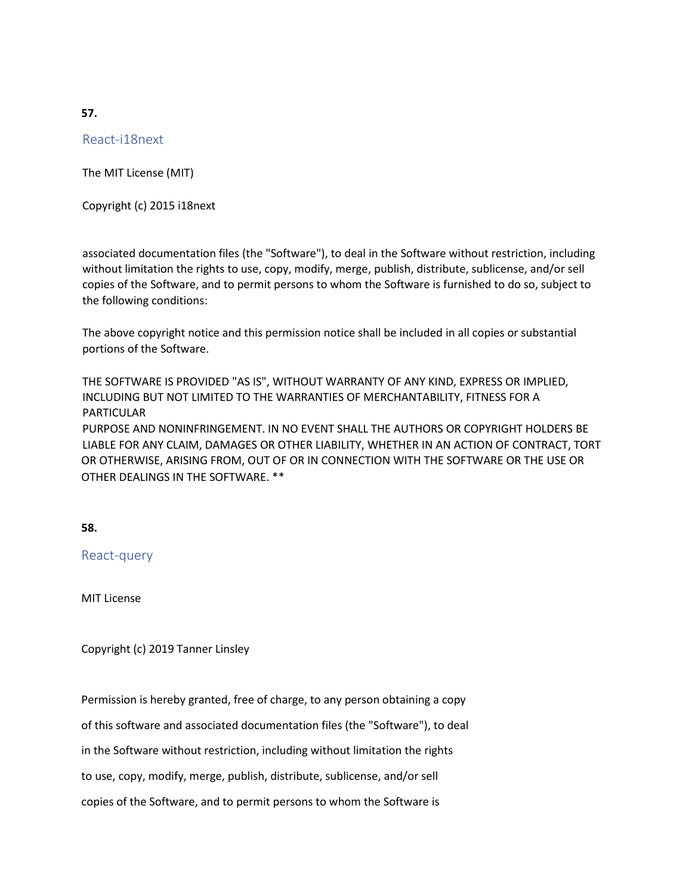**57.**

React-i18next

The MIT License (MIT)

Copyright (c) 2015 i18next

associated documentation files (the "Software"), to deal in the Software without restriction, including without limitation the rights to use, copy, modify, merge, publish, distribute, sublicense, and/or sell copies of the Software, and to permit persons to whom the Software is furnished to do so, subject to the following conditions:

The above copyright notice and this permission notice shall be included in all copies or substantial portions of the Software.

THE SOFTWARE IS PROVIDED "AS IS", WITHOUT WARRANTY OF ANY KIND, EXPRESS OR IMPLIED, INCLUDING BUT NOT LIMITED TO THE WARRANTIES OF MERCHANTABILITY, FITNESS FOR A PARTICULAR PURPOSE AND NONINFRINGEMENT. IN NO EVENT SHALL THE AUTHORS OR COPYRIGHT HOLDERS BE LIABLE FOR ANY CLAIM, DAMAGES OR OTHER LIABILITY, WHETHER IN AN ACTION OF CONTRACT, TORT OR OTHERWISE, ARISING FROM, OUT OF OR IN CONNECTION WITH THE SOFTWARE OR THE USE OR OTHER DEALINGS IN THE SOFTWARE. \*\*

**58.**

React-query

MIT License

Copyright (c) 2019 Tanner Linsley

Permission is hereby granted, free of charge, to any person obtaining a copy of this software and associated documentation files (the "Software"), to deal in the Software without restriction, including without limitation the rights to use, copy, modify, merge, publish, distribute, sublicense, and/or sell copies of the Software, and to permit persons to whom the Software is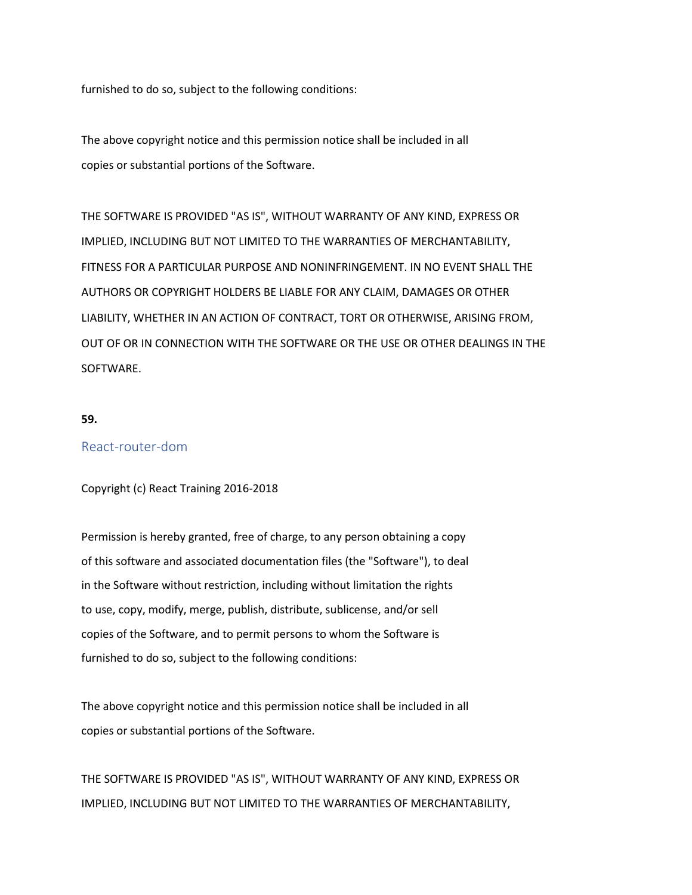furnished to do so, subject to the following conditions:

The above copyright notice and this permission notice shall be included in all copies or substantial portions of the Software.

THE SOFTWARE IS PROVIDED "AS IS", WITHOUT WARRANTY OF ANY KIND, EXPRESS OR IMPLIED, INCLUDING BUT NOT LIMITED TO THE WARRANTIES OF MERCHANTABILITY, FITNESS FOR A PARTICULAR PURPOSE AND NONINFRINGEMENT. IN NO EVENT SHALL THE AUTHORS OR COPYRIGHT HOLDERS BE LIABLE FOR ANY CLAIM, DAMAGES OR OTHER LIABILITY, WHETHER IN AN ACTION OF CONTRACT, TORT OR OTHERWISE, ARISING FROM, OUT OF OR IN CONNECTION WITH THE SOFTWARE OR THE USE OR OTHER DEALINGS IN THE SOFTWARE.

**59.**

## React-router-dom

#### Copyright (c) React Training 2016-2018

Permission is hereby granted, free of charge, to any person obtaining a copy of this software and associated documentation files (the "Software"), to deal in the Software without restriction, including without limitation the rights to use, copy, modify, merge, publish, distribute, sublicense, and/or sell copies of the Software, and to permit persons to whom the Software is furnished to do so, subject to the following conditions:

The above copyright notice and this permission notice shall be included in all copies or substantial portions of the Software.

THE SOFTWARE IS PROVIDED "AS IS", WITHOUT WARRANTY OF ANY KIND, EXPRESS OR IMPLIED, INCLUDING BUT NOT LIMITED TO THE WARRANTIES OF MERCHANTABILITY,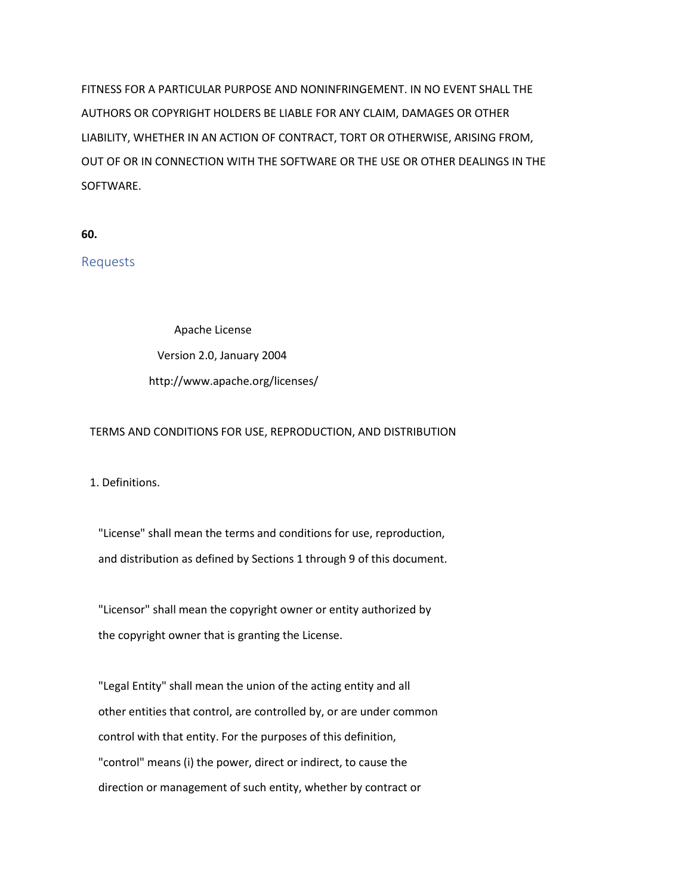FITNESS FOR A PARTICULAR PURPOSE AND NONINFRINGEMENT. IN NO EVENT SHALL THE AUTHORS OR COPYRIGHT HOLDERS BE LIABLE FOR ANY CLAIM, DAMAGES OR OTHER LIABILITY, WHETHER IN AN ACTION OF CONTRACT, TORT OR OTHERWISE, ARISING FROM, OUT OF OR IN CONNECTION WITH THE SOFTWARE OR THE USE OR OTHER DEALINGS IN THE SOFTWARE.

**60.**

Requests

Apache License Version 2.0, January 2004 http://www.apache.org/licenses/

#### TERMS AND CONDITIONS FOR USE, REPRODUCTION, AND DISTRIBUTION

1. Definitions.

 "License" shall mean the terms and conditions for use, reproduction, and distribution as defined by Sections 1 through 9 of this document.

 "Licensor" shall mean the copyright owner or entity authorized by the copyright owner that is granting the License.

 "Legal Entity" shall mean the union of the acting entity and all other entities that control, are controlled by, or are under common control with that entity. For the purposes of this definition, "control" means (i) the power, direct or indirect, to cause the direction or management of such entity, whether by contract or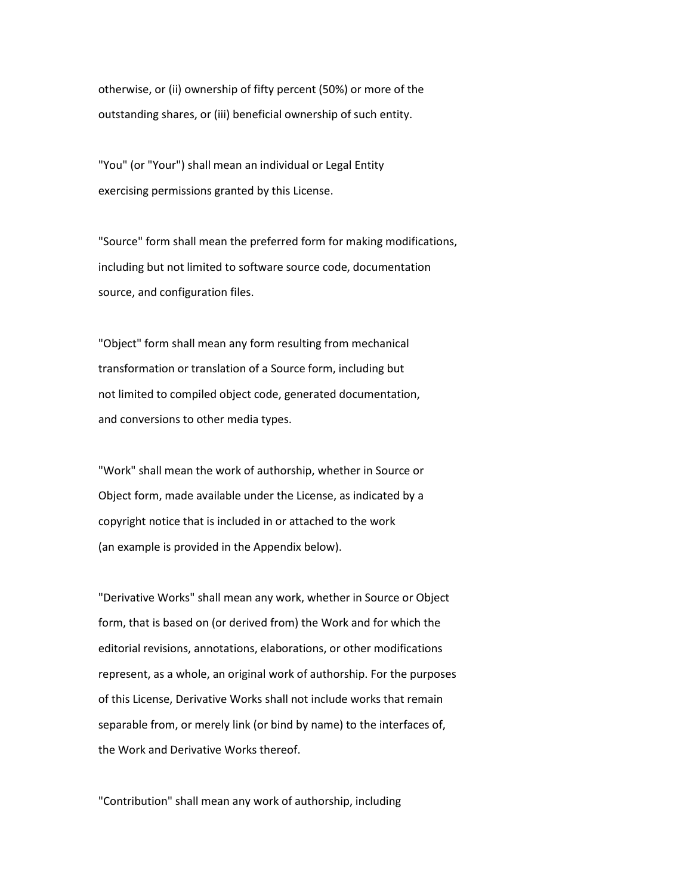otherwise, or (ii) ownership of fifty percent (50%) or more of the outstanding shares, or (iii) beneficial ownership of such entity.

 "You" (or "Your") shall mean an individual or Legal Entity exercising permissions granted by this License.

 "Source" form shall mean the preferred form for making modifications, including but not limited to software source code, documentation source, and configuration files.

 "Object" form shall mean any form resulting from mechanical transformation or translation of a Source form, including but not limited to compiled object code, generated documentation, and conversions to other media types.

 "Work" shall mean the work of authorship, whether in Source or Object form, made available under the License, as indicated by a copyright notice that is included in or attached to the work (an example is provided in the Appendix below).

 "Derivative Works" shall mean any work, whether in Source or Object form, that is based on (or derived from) the Work and for which the editorial revisions, annotations, elaborations, or other modifications represent, as a whole, an original work of authorship. For the purposes of this License, Derivative Works shall not include works that remain separable from, or merely link (or bind by name) to the interfaces of, the Work and Derivative Works thereof.

"Contribution" shall mean any work of authorship, including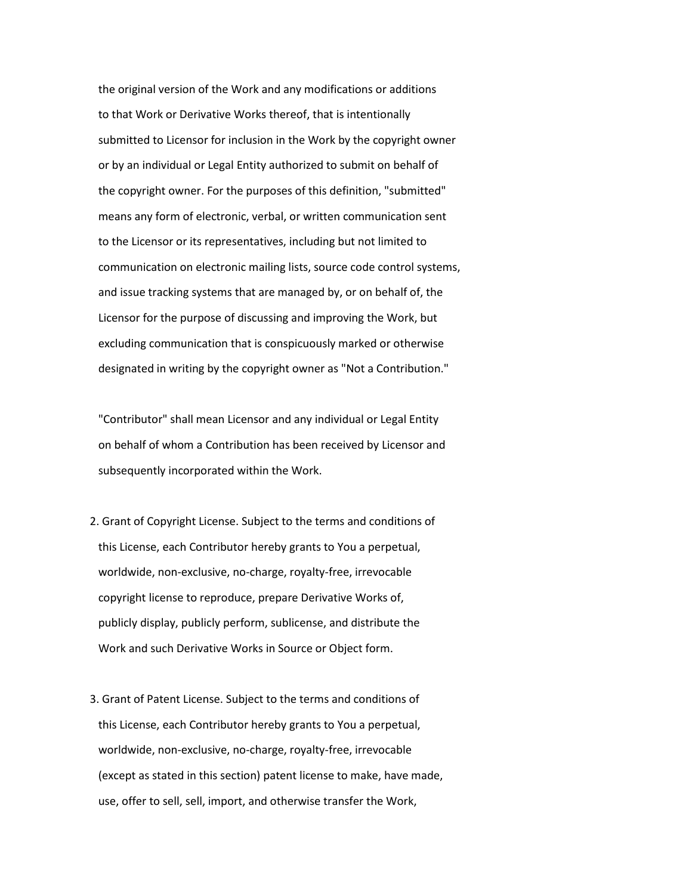the original version of the Work and any modifications or additions to that Work or Derivative Works thereof, that is intentionally submitted to Licensor for inclusion in the Work by the copyright owner or by an individual or Legal Entity authorized to submit on behalf of the copyright owner. For the purposes of this definition, "submitted" means any form of electronic, verbal, or written communication sent to the Licensor or its representatives, including but not limited to communication on electronic mailing lists, source code control systems, and issue tracking systems that are managed by, or on behalf of, the Licensor for the purpose of discussing and improving the Work, but excluding communication that is conspicuously marked or otherwise designated in writing by the copyright owner as "Not a Contribution."

 "Contributor" shall mean Licensor and any individual or Legal Entity on behalf of whom a Contribution has been received by Licensor and subsequently incorporated within the Work.

- 2. Grant of Copyright License. Subject to the terms and conditions of this License, each Contributor hereby grants to You a perpetual, worldwide, non-exclusive, no-charge, royalty-free, irrevocable copyright license to reproduce, prepare Derivative Works of, publicly display, publicly perform, sublicense, and distribute the Work and such Derivative Works in Source or Object form.
- 3. Grant of Patent License. Subject to the terms and conditions of this License, each Contributor hereby grants to You a perpetual, worldwide, non-exclusive, no-charge, royalty-free, irrevocable (except as stated in this section) patent license to make, have made, use, offer to sell, sell, import, and otherwise transfer the Work,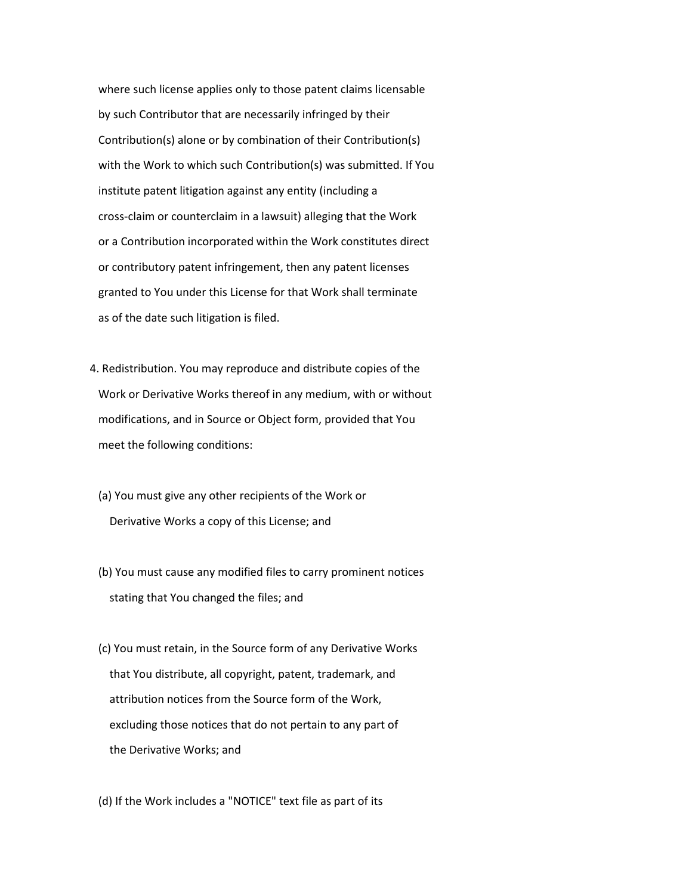where such license applies only to those patent claims licensable by such Contributor that are necessarily infringed by their Contribution(s) alone or by combination of their Contribution(s) with the Work to which such Contribution(s) was submitted. If You institute patent litigation against any entity (including a cross-claim or counterclaim in a lawsuit) alleging that the Work or a Contribution incorporated within the Work constitutes direct or contributory patent infringement, then any patent licenses granted to You under this License for that Work shall terminate as of the date such litigation is filed.

- 4. Redistribution. You may reproduce and distribute copies of the Work or Derivative Works thereof in any medium, with or without modifications, and in Source or Object form, provided that You meet the following conditions:
	- (a) You must give any other recipients of the Work or Derivative Works a copy of this License; and
	- (b) You must cause any modified files to carry prominent notices stating that You changed the files; and
	- (c) You must retain, in the Source form of any Derivative Works that You distribute, all copyright, patent, trademark, and attribution notices from the Source form of the Work, excluding those notices that do not pertain to any part of the Derivative Works; and

(d) If the Work includes a "NOTICE" text file as part of its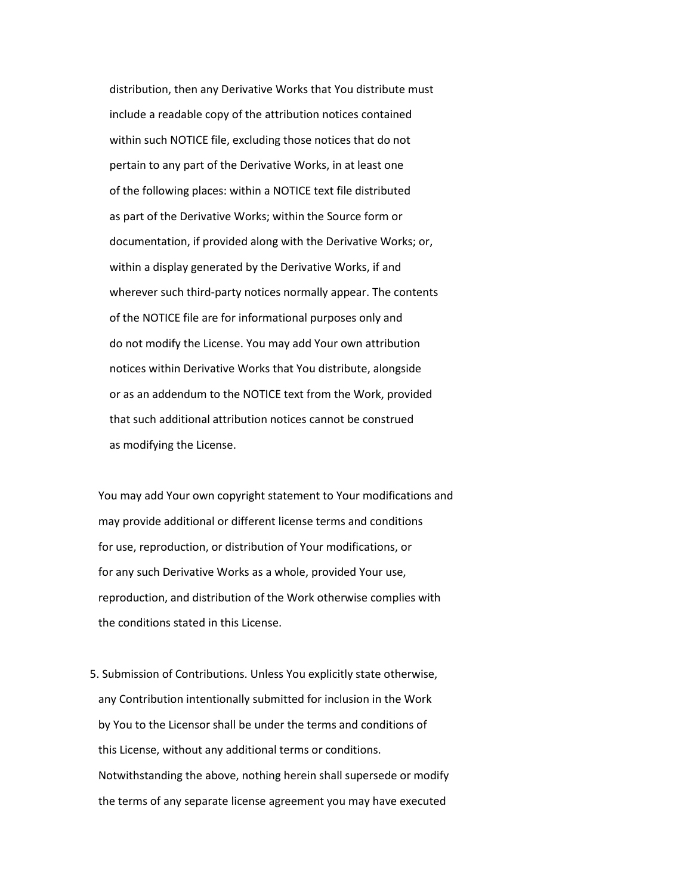distribution, then any Derivative Works that You distribute must include a readable copy of the attribution notices contained within such NOTICE file, excluding those notices that do not pertain to any part of the Derivative Works, in at least one of the following places: within a NOTICE text file distributed as part of the Derivative Works; within the Source form or documentation, if provided along with the Derivative Works; or, within a display generated by the Derivative Works, if and wherever such third-party notices normally appear. The contents of the NOTICE file are for informational purposes only and do not modify the License. You may add Your own attribution notices within Derivative Works that You distribute, alongside or as an addendum to the NOTICE text from the Work, provided that such additional attribution notices cannot be construed as modifying the License.

 You may add Your own copyright statement to Your modifications and may provide additional or different license terms and conditions for use, reproduction, or distribution of Your modifications, or for any such Derivative Works as a whole, provided Your use, reproduction, and distribution of the Work otherwise complies with the conditions stated in this License.

 5. Submission of Contributions. Unless You explicitly state otherwise, any Contribution intentionally submitted for inclusion in the Work by You to the Licensor shall be under the terms and conditions of this License, without any additional terms or conditions. Notwithstanding the above, nothing herein shall supersede or modify the terms of any separate license agreement you may have executed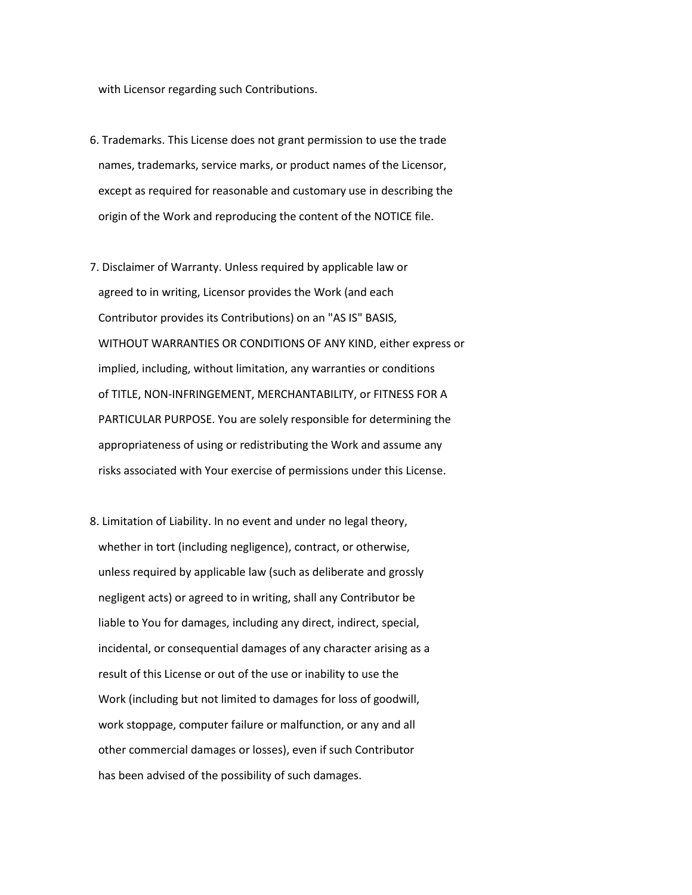with Licensor regarding such Contributions.

- 6. Trademarks. This License does not grant permission to use the trade names, trademarks, service marks, or product names of the Licensor, except as required for reasonable and customary use in describing the origin of the Work and reproducing the content of the NOTICE file.
- 7. Disclaimer of Warranty. Unless required by applicable law or agreed to in writing, Licensor provides the Work (and each Contributor provides its Contributions) on an "AS IS" BASIS, WITHOUT WARRANTIES OR CONDITIONS OF ANY KIND, either express or implied, including, without limitation, any warranties or conditions of TITLE, NON-INFRINGEMENT, MERCHANTABILITY, or FITNESS FOR A PARTICULAR PURPOSE. You are solely responsible for determining the appropriateness of using or redistributing the Work and assume any risks associated with Your exercise of permissions under this License.
- 8. Limitation of Liability. In no event and under no legal theory, whether in tort (including negligence), contract, or otherwise, unless required by applicable law (such as deliberate and grossly negligent acts) or agreed to in writing, shall any Contributor be liable to You for damages, including any direct, indirect, special, incidental, or consequential damages of any character arising as a result of this License or out of the use or inability to use the Work (including but not limited to damages for loss of goodwill, work stoppage, computer failure or malfunction, or any and all other commercial damages or losses), even if such Contributor has been advised of the possibility of such damages.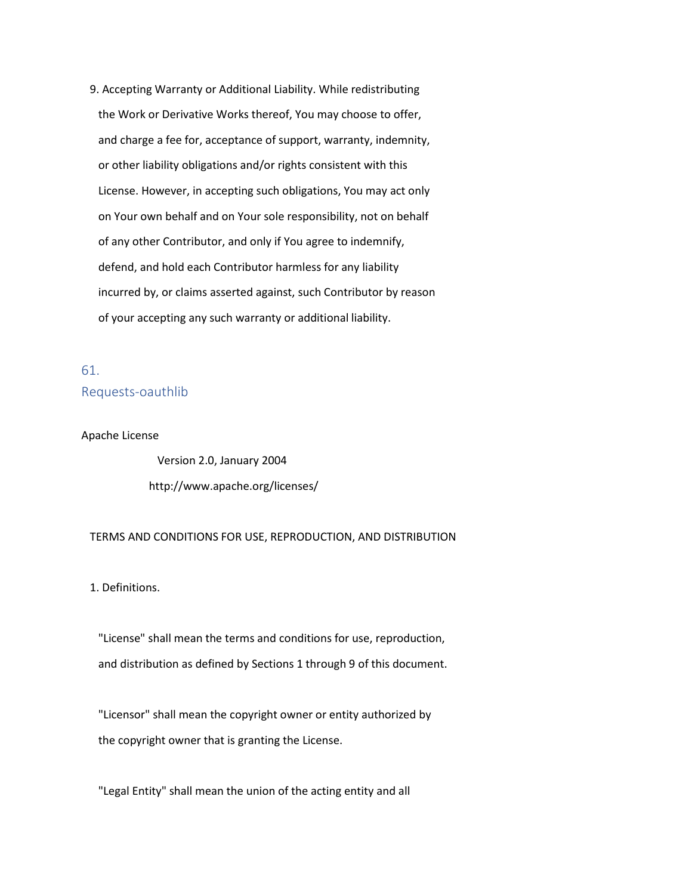9. Accepting Warranty or Additional Liability. While redistributing the Work or Derivative Works thereof, You may choose to offer, and charge a fee for, acceptance of support, warranty, indemnity, or other liability obligations and/or rights consistent with this License. However, in accepting such obligations, You may act only on Your own behalf and on Your sole responsibility, not on behalf of any other Contributor, and only if You agree to indemnify, defend, and hold each Contributor harmless for any liability incurred by, or claims asserted against, such Contributor by reason of your accepting any such warranty or additional liability.

# 61. Requests-oauthlib

#### Apache License

 Version 2.0, January 2004 http://www.apache.org/licenses/

#### TERMS AND CONDITIONS FOR USE, REPRODUCTION, AND DISTRIBUTION

1. Definitions.

 "License" shall mean the terms and conditions for use, reproduction, and distribution as defined by Sections 1 through 9 of this document.

 "Licensor" shall mean the copyright owner or entity authorized by the copyright owner that is granting the License.

"Legal Entity" shall mean the union of the acting entity and all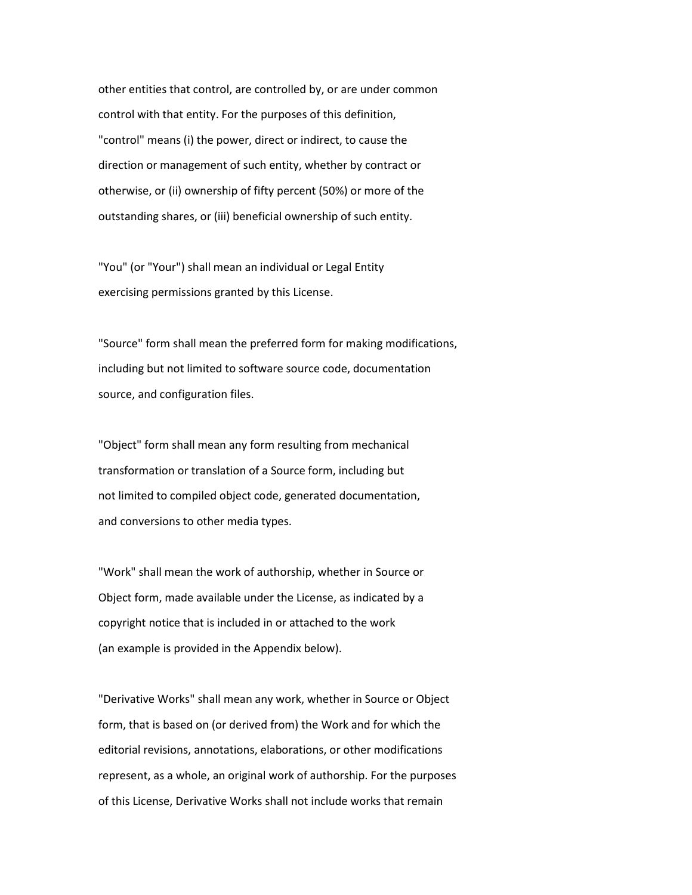other entities that control, are controlled by, or are under common control with that entity. For the purposes of this definition, "control" means (i) the power, direct or indirect, to cause the direction or management of such entity, whether by contract or otherwise, or (ii) ownership of fifty percent (50%) or more of the outstanding shares, or (iii) beneficial ownership of such entity.

 "You" (or "Your") shall mean an individual or Legal Entity exercising permissions granted by this License.

 "Source" form shall mean the preferred form for making modifications, including but not limited to software source code, documentation source, and configuration files.

 "Object" form shall mean any form resulting from mechanical transformation or translation of a Source form, including but not limited to compiled object code, generated documentation, and conversions to other media types.

 "Work" shall mean the work of authorship, whether in Source or Object form, made available under the License, as indicated by a copyright notice that is included in or attached to the work (an example is provided in the Appendix below).

 "Derivative Works" shall mean any work, whether in Source or Object form, that is based on (or derived from) the Work and for which the editorial revisions, annotations, elaborations, or other modifications represent, as a whole, an original work of authorship. For the purposes of this License, Derivative Works shall not include works that remain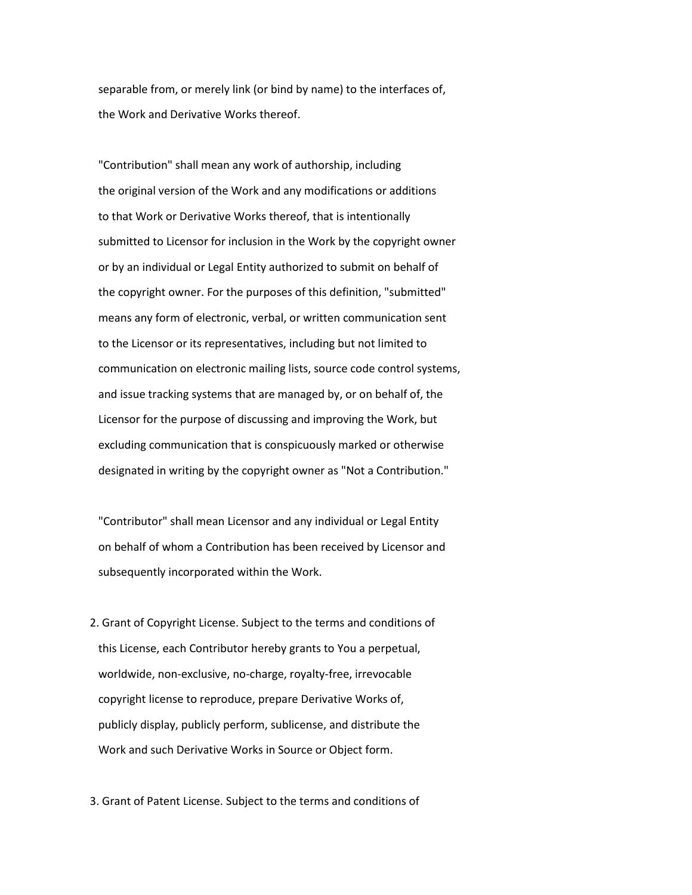separable from, or merely link (or bind by name) to the interfaces of, the Work and Derivative Works thereof.

 "Contribution" shall mean any work of authorship, including the original version of the Work and any modifications or additions to that Work or Derivative Works thereof, that is intentionally submitted to Licensor for inclusion in the Work by the copyright owner or by an individual or Legal Entity authorized to submit on behalf of the copyright owner. For the purposes of this definition, "submitted" means any form of electronic, verbal, or written communication sent to the Licensor or its representatives, including but not limited to communication on electronic mailing lists, source code control systems, and issue tracking systems that are managed by, or on behalf of, the Licensor for the purpose of discussing and improving the Work, but excluding communication that is conspicuously marked or otherwise designated in writing by the copyright owner as "Not a Contribution."

 "Contributor" shall mean Licensor and any individual or Legal Entity on behalf of whom a Contribution has been received by Licensor and subsequently incorporated within the Work.

 2. Grant of Copyright License. Subject to the terms and conditions of this License, each Contributor hereby grants to You a perpetual, worldwide, non-exclusive, no-charge, royalty-free, irrevocable copyright license to reproduce, prepare Derivative Works of, publicly display, publicly perform, sublicense, and distribute the Work and such Derivative Works in Source or Object form.

3. Grant of Patent License. Subject to the terms and conditions of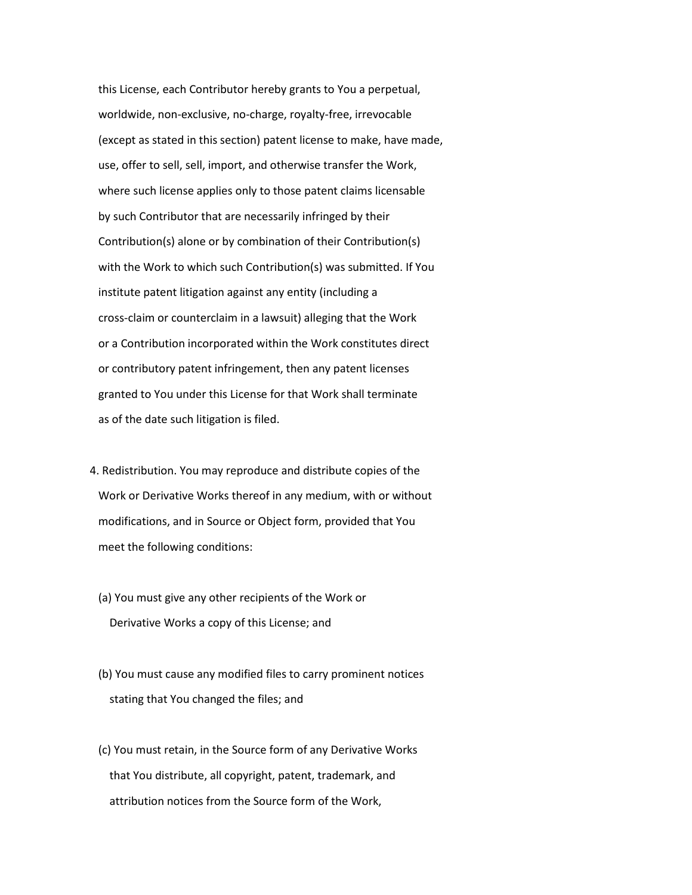this License, each Contributor hereby grants to You a perpetual, worldwide, non-exclusive, no-charge, royalty-free, irrevocable (except as stated in this section) patent license to make, have made, use, offer to sell, sell, import, and otherwise transfer the Work, where such license applies only to those patent claims licensable by such Contributor that are necessarily infringed by their Contribution(s) alone or by combination of their Contribution(s) with the Work to which such Contribution(s) was submitted. If You institute patent litigation against any entity (including a cross-claim or counterclaim in a lawsuit) alleging that the Work or a Contribution incorporated within the Work constitutes direct or contributory patent infringement, then any patent licenses granted to You under this License for that Work shall terminate as of the date such litigation is filed.

- 4. Redistribution. You may reproduce and distribute copies of the Work or Derivative Works thereof in any medium, with or without modifications, and in Source or Object form, provided that You meet the following conditions:
	- (a) You must give any other recipients of the Work or Derivative Works a copy of this License; and
	- (b) You must cause any modified files to carry prominent notices stating that You changed the files; and
	- (c) You must retain, in the Source form of any Derivative Works that You distribute, all copyright, patent, trademark, and attribution notices from the Source form of the Work,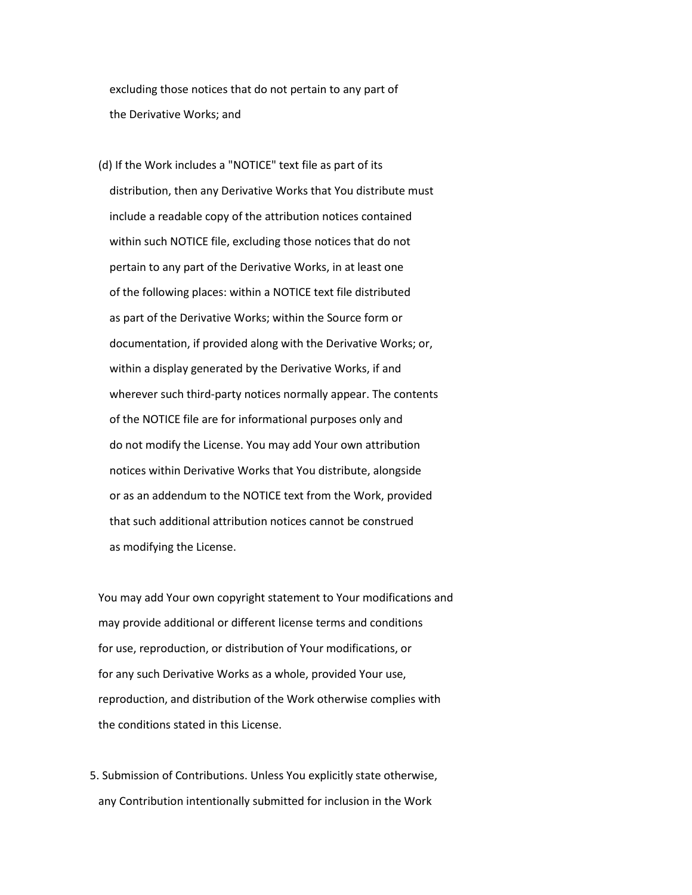excluding those notices that do not pertain to any part of the Derivative Works; and

 (d) If the Work includes a "NOTICE" text file as part of its distribution, then any Derivative Works that You distribute must include a readable copy of the attribution notices contained within such NOTICE file, excluding those notices that do not pertain to any part of the Derivative Works, in at least one of the following places: within a NOTICE text file distributed as part of the Derivative Works; within the Source form or documentation, if provided along with the Derivative Works; or, within a display generated by the Derivative Works, if and wherever such third-party notices normally appear. The contents of the NOTICE file are for informational purposes only and do not modify the License. You may add Your own attribution notices within Derivative Works that You distribute, alongside or as an addendum to the NOTICE text from the Work, provided that such additional attribution notices cannot be construed as modifying the License.

 You may add Your own copyright statement to Your modifications and may provide additional or different license terms and conditions for use, reproduction, or distribution of Your modifications, or for any such Derivative Works as a whole, provided Your use, reproduction, and distribution of the Work otherwise complies with the conditions stated in this License.

 5. Submission of Contributions. Unless You explicitly state otherwise, any Contribution intentionally submitted for inclusion in the Work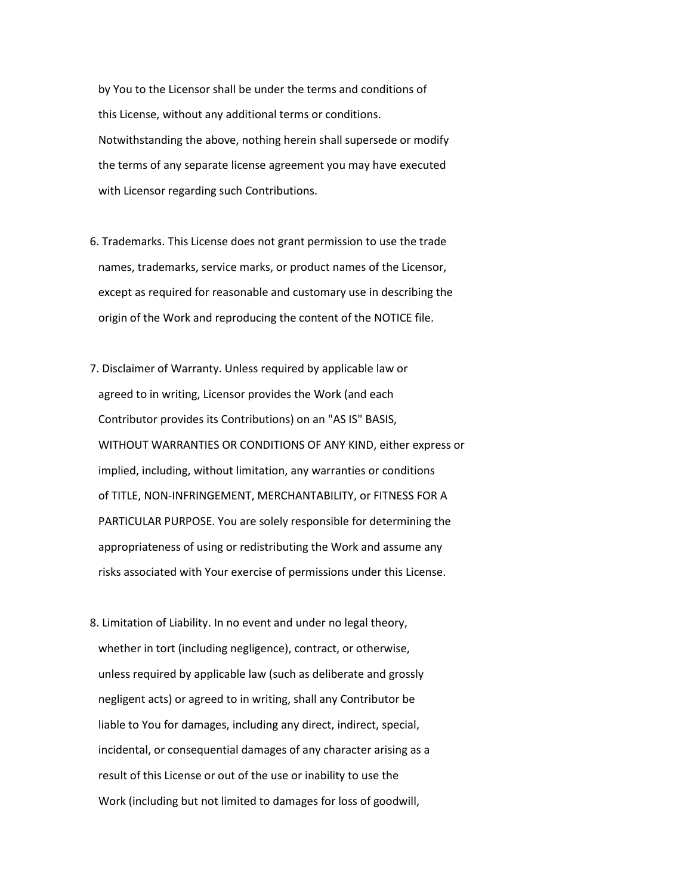by You to the Licensor shall be under the terms and conditions of this License, without any additional terms or conditions. Notwithstanding the above, nothing herein shall supersede or modify the terms of any separate license agreement you may have executed with Licensor regarding such Contributions.

- 6. Trademarks. This License does not grant permission to use the trade names, trademarks, service marks, or product names of the Licensor, except as required for reasonable and customary use in describing the origin of the Work and reproducing the content of the NOTICE file.
- 7. Disclaimer of Warranty. Unless required by applicable law or agreed to in writing, Licensor provides the Work (and each Contributor provides its Contributions) on an "AS IS" BASIS, WITHOUT WARRANTIES OR CONDITIONS OF ANY KIND, either express or implied, including, without limitation, any warranties or conditions of TITLE, NON-INFRINGEMENT, MERCHANTABILITY, or FITNESS FOR A PARTICULAR PURPOSE. You are solely responsible for determining the appropriateness of using or redistributing the Work and assume any risks associated with Your exercise of permissions under this License.
- 8. Limitation of Liability. In no event and under no legal theory, whether in tort (including negligence), contract, or otherwise, unless required by applicable law (such as deliberate and grossly negligent acts) or agreed to in writing, shall any Contributor be liable to You for damages, including any direct, indirect, special, incidental, or consequential damages of any character arising as a result of this License or out of the use or inability to use the Work (including but not limited to damages for loss of goodwill,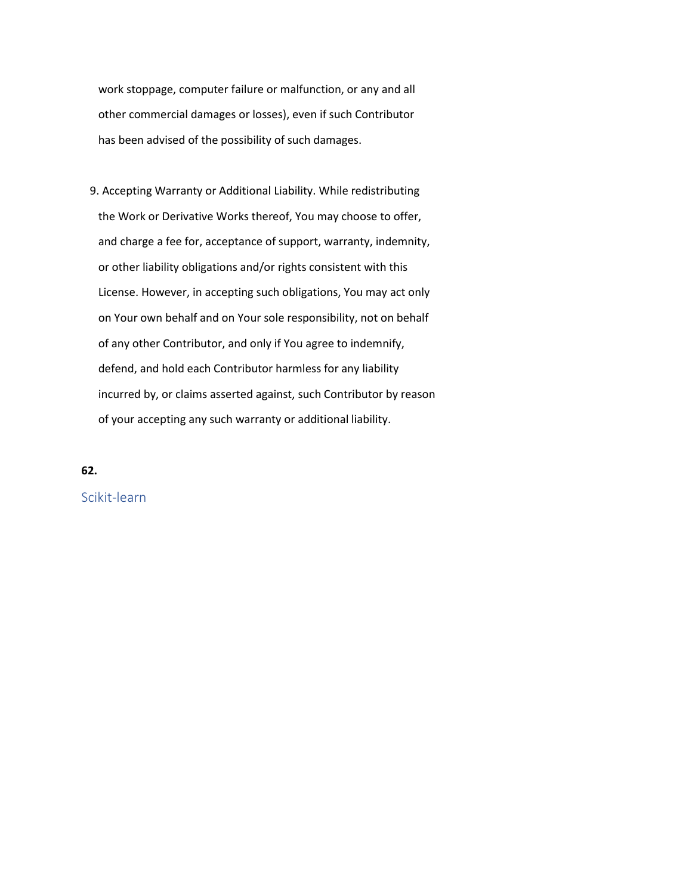work stoppage, computer failure or malfunction, or any and all other commercial damages or losses), even if such Contributor has been advised of the possibility of such damages.

 9. Accepting Warranty or Additional Liability. While redistributing the Work or Derivative Works thereof, You may choose to offer, and charge a fee for, acceptance of support, warranty, indemnity, or other liability obligations and/or rights consistent with this License. However, in accepting such obligations, You may act only on Your own behalf and on Your sole responsibility, not on behalf of any other Contributor, and only if You agree to indemnify, defend, and hold each Contributor harmless for any liability incurred by, or claims asserted against, such Contributor by reason of your accepting any such warranty or additional liability.

# **62.**

Scikit-learn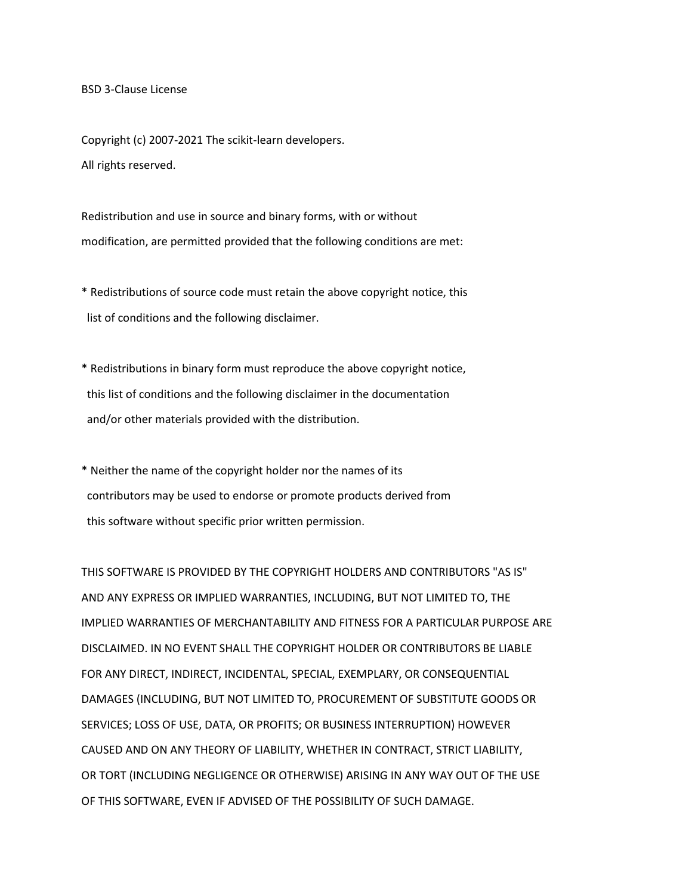BSD 3-Clause License

Copyright (c) 2007-2021 The scikit-learn developers. All rights reserved.

Redistribution and use in source and binary forms, with or without modification, are permitted provided that the following conditions are met:

\* Redistributions of source code must retain the above copyright notice, this list of conditions and the following disclaimer.

\* Redistributions in binary form must reproduce the above copyright notice, this list of conditions and the following disclaimer in the documentation and/or other materials provided with the distribution.

\* Neither the name of the copyright holder nor the names of its contributors may be used to endorse or promote products derived from this software without specific prior written permission.

THIS SOFTWARE IS PROVIDED BY THE COPYRIGHT HOLDERS AND CONTRIBUTORS "AS IS" AND ANY EXPRESS OR IMPLIED WARRANTIES, INCLUDING, BUT NOT LIMITED TO, THE IMPLIED WARRANTIES OF MERCHANTABILITY AND FITNESS FOR A PARTICULAR PURPOSE ARE DISCLAIMED. IN NO EVENT SHALL THE COPYRIGHT HOLDER OR CONTRIBUTORS BE LIABLE FOR ANY DIRECT, INDIRECT, INCIDENTAL, SPECIAL, EXEMPLARY, OR CONSEQUENTIAL DAMAGES (INCLUDING, BUT NOT LIMITED TO, PROCUREMENT OF SUBSTITUTE GOODS OR SERVICES; LOSS OF USE, DATA, OR PROFITS; OR BUSINESS INTERRUPTION) HOWEVER CAUSED AND ON ANY THEORY OF LIABILITY, WHETHER IN CONTRACT, STRICT LIABILITY, OR TORT (INCLUDING NEGLIGENCE OR OTHERWISE) ARISING IN ANY WAY OUT OF THE USE OF THIS SOFTWARE, EVEN IF ADVISED OF THE POSSIBILITY OF SUCH DAMAGE.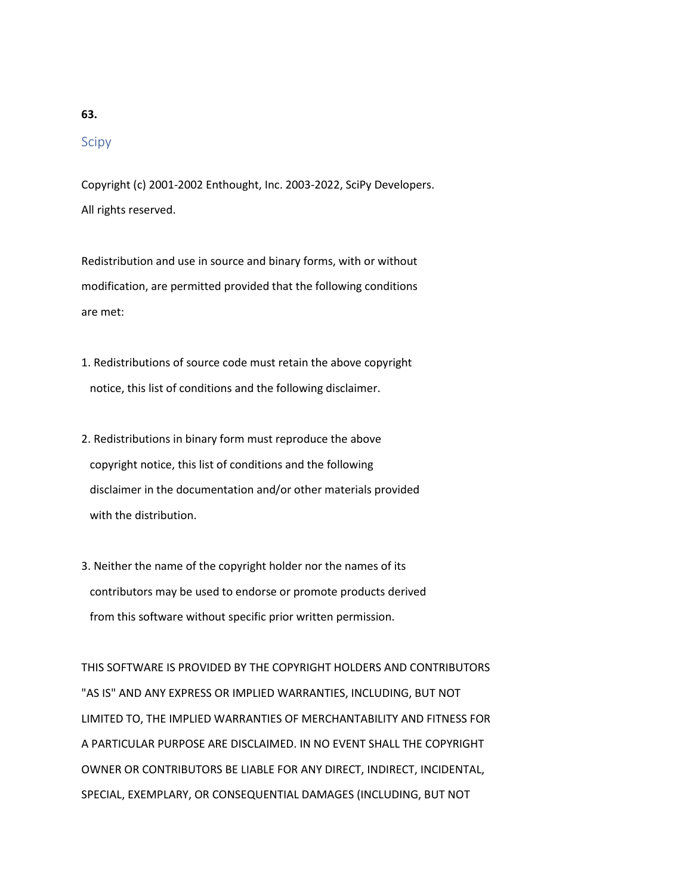# **63.**

# Scipy

Copyright (c) 2001-2002 Enthought, Inc. 2003-2022, SciPy Developers. All rights reserved.

Redistribution and use in source and binary forms, with or without modification, are permitted provided that the following conditions are met:

- 1. Redistributions of source code must retain the above copyright notice, this list of conditions and the following disclaimer.
- 2. Redistributions in binary form must reproduce the above copyright notice, this list of conditions and the following disclaimer in the documentation and/or other materials provided with the distribution.
- 3. Neither the name of the copyright holder nor the names of its contributors may be used to endorse or promote products derived from this software without specific prior written permission.

THIS SOFTWARE IS PROVIDED BY THE COPYRIGHT HOLDERS AND CONTRIBUTORS "AS IS" AND ANY EXPRESS OR IMPLIED WARRANTIES, INCLUDING, BUT NOT LIMITED TO, THE IMPLIED WARRANTIES OF MERCHANTABILITY AND FITNESS FOR A PARTICULAR PURPOSE ARE DISCLAIMED. IN NO EVENT SHALL THE COPYRIGHT OWNER OR CONTRIBUTORS BE LIABLE FOR ANY DIRECT, INDIRECT, INCIDENTAL, SPECIAL, EXEMPLARY, OR CONSEQUENTIAL DAMAGES (INCLUDING, BUT NOT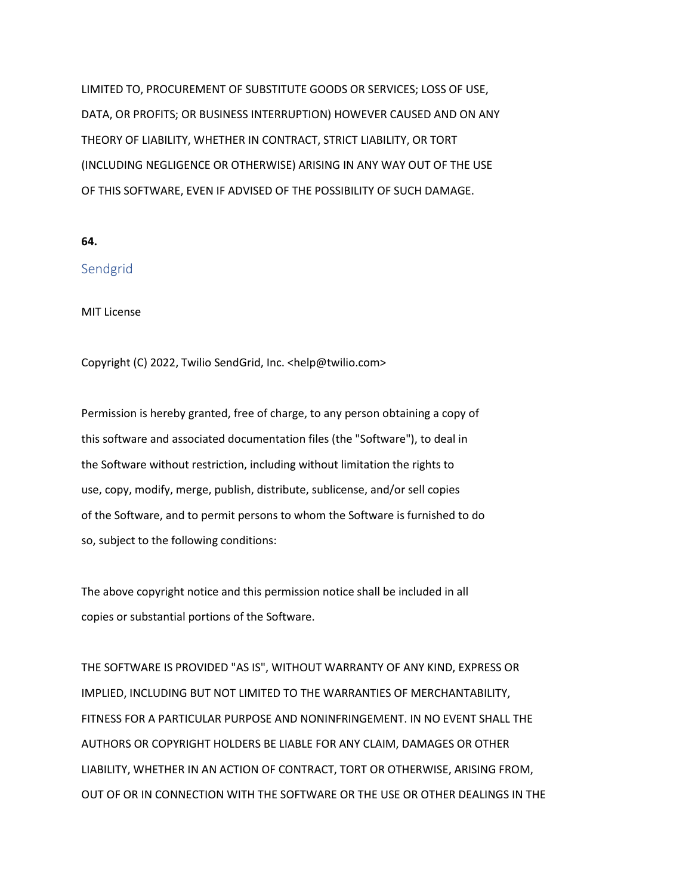LIMITED TO, PROCUREMENT OF SUBSTITUTE GOODS OR SERVICES; LOSS OF USE, DATA, OR PROFITS; OR BUSINESS INTERRUPTION) HOWEVER CAUSED AND ON ANY THEORY OF LIABILITY, WHETHER IN CONTRACT, STRICT LIABILITY, OR TORT (INCLUDING NEGLIGENCE OR OTHERWISE) ARISING IN ANY WAY OUT OF THE USE OF THIS SOFTWARE, EVEN IF ADVISED OF THE POSSIBILITY OF SUCH DAMAGE.

**64.**

# Sendgrid

MIT License

Copyright (C) 2022, Twilio SendGrid, Inc. <help@twilio.com>

Permission is hereby granted, free of charge, to any person obtaining a copy of this software and associated documentation files (the "Software"), to deal in the Software without restriction, including without limitation the rights to use, copy, modify, merge, publish, distribute, sublicense, and/or sell copies of the Software, and to permit persons to whom the Software is furnished to do so, subject to the following conditions:

The above copyright notice and this permission notice shall be included in all copies or substantial portions of the Software.

THE SOFTWARE IS PROVIDED "AS IS", WITHOUT WARRANTY OF ANY KIND, EXPRESS OR IMPLIED, INCLUDING BUT NOT LIMITED TO THE WARRANTIES OF MERCHANTABILITY, FITNESS FOR A PARTICULAR PURPOSE AND NONINFRINGEMENT. IN NO EVENT SHALL THE AUTHORS OR COPYRIGHT HOLDERS BE LIABLE FOR ANY CLAIM, DAMAGES OR OTHER LIABILITY, WHETHER IN AN ACTION OF CONTRACT, TORT OR OTHERWISE, ARISING FROM, OUT OF OR IN CONNECTION WITH THE SOFTWARE OR THE USE OR OTHER DEALINGS IN THE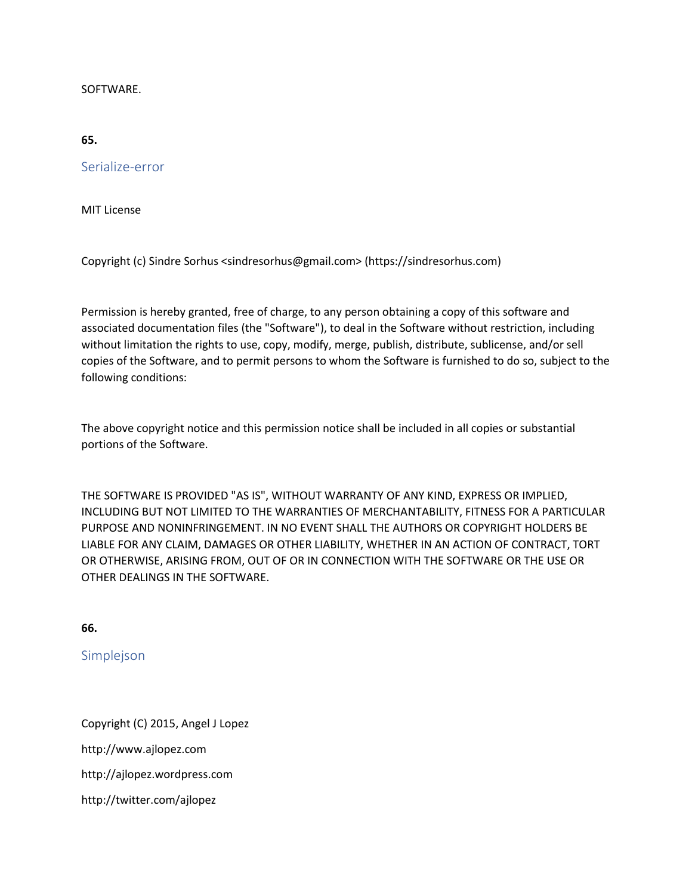### SOFTWARE.

#### **65.**

Serialize-error

MIT License

Copyright (c) Sindre Sorhus <sindresorhus@gmail.com> (https://sindresorhus.com)

Permission is hereby granted, free of charge, to any person obtaining a copy of this software and associated documentation files (the "Software"), to deal in the Software without restriction, including without limitation the rights to use, copy, modify, merge, publish, distribute, sublicense, and/or sell copies of the Software, and to permit persons to whom the Software is furnished to do so, subject to the following conditions:

The above copyright notice and this permission notice shall be included in all copies or substantial portions of the Software.

THE SOFTWARE IS PROVIDED "AS IS", WITHOUT WARRANTY OF ANY KIND, EXPRESS OR IMPLIED, INCLUDING BUT NOT LIMITED TO THE WARRANTIES OF MERCHANTABILITY, FITNESS FOR A PARTICULAR PURPOSE AND NONINFRINGEMENT. IN NO EVENT SHALL THE AUTHORS OR COPYRIGHT HOLDERS BE LIABLE FOR ANY CLAIM, DAMAGES OR OTHER LIABILITY, WHETHER IN AN ACTION OF CONTRACT, TORT OR OTHERWISE, ARISING FROM, OUT OF OR IN CONNECTION WITH THE SOFTWARE OR THE USE OR OTHER DEALINGS IN THE SOFTWARE.

**66.**

Simplejson

Copyright (C) 2015, Angel J Lopez http://www.ajlopez.com http://ajlopez.wordpress.com http://twitter.com/ajlopez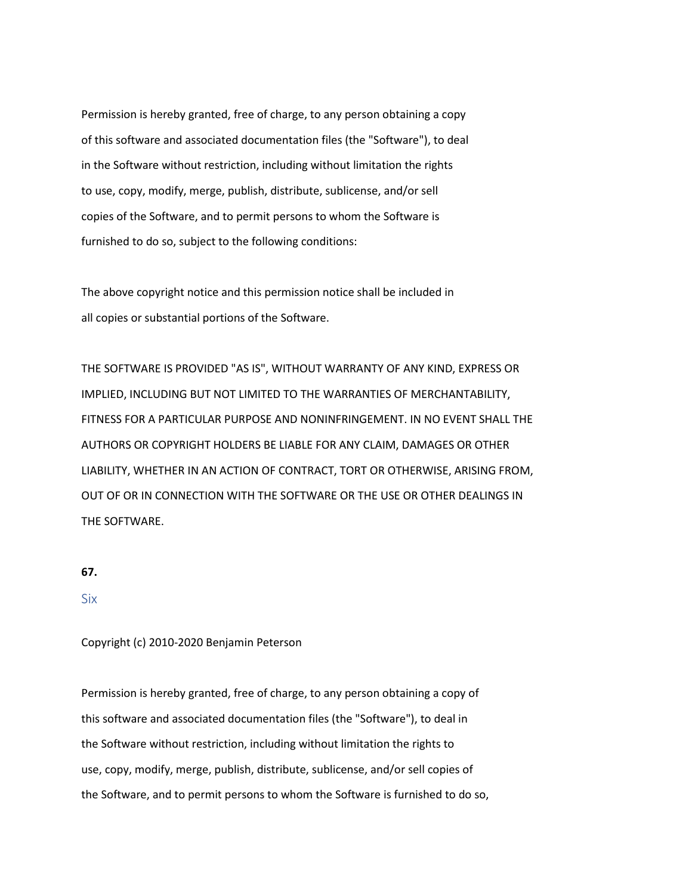Permission is hereby granted, free of charge, to any person obtaining a copy of this software and associated documentation files (the "Software"), to deal in the Software without restriction, including without limitation the rights to use, copy, modify, merge, publish, distribute, sublicense, and/or sell copies of the Software, and to permit persons to whom the Software is furnished to do so, subject to the following conditions:

The above copyright notice and this permission notice shall be included in all copies or substantial portions of the Software.

THE SOFTWARE IS PROVIDED "AS IS", WITHOUT WARRANTY OF ANY KIND, EXPRESS OR IMPLIED, INCLUDING BUT NOT LIMITED TO THE WARRANTIES OF MERCHANTABILITY, FITNESS FOR A PARTICULAR PURPOSE AND NONINFRINGEMENT. IN NO EVENT SHALL THE AUTHORS OR COPYRIGHT HOLDERS BE LIABLE FOR ANY CLAIM, DAMAGES OR OTHER LIABILITY, WHETHER IN AN ACTION OF CONTRACT, TORT OR OTHERWISE, ARISING FROM, OUT OF OR IN CONNECTION WITH THE SOFTWARE OR THE USE OR OTHER DEALINGS IN THE SOFTWARE.

#### **67.**

#### Six

#### Copyright (c) 2010-2020 Benjamin Peterson

Permission is hereby granted, free of charge, to any person obtaining a copy of this software and associated documentation files (the "Software"), to deal in the Software without restriction, including without limitation the rights to use, copy, modify, merge, publish, distribute, sublicense, and/or sell copies of the Software, and to permit persons to whom the Software is furnished to do so,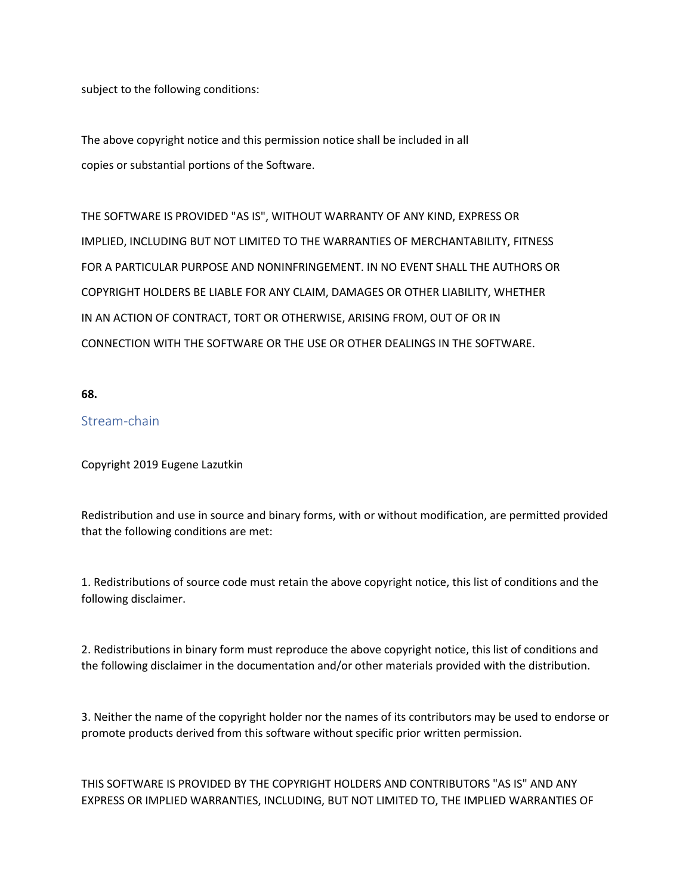subject to the following conditions:

The above copyright notice and this permission notice shall be included in all copies or substantial portions of the Software.

THE SOFTWARE IS PROVIDED "AS IS", WITHOUT WARRANTY OF ANY KIND, EXPRESS OR IMPLIED, INCLUDING BUT NOT LIMITED TO THE WARRANTIES OF MERCHANTABILITY, FITNESS FOR A PARTICULAR PURPOSE AND NONINFRINGEMENT. IN NO EVENT SHALL THE AUTHORS OR COPYRIGHT HOLDERS BE LIABLE FOR ANY CLAIM, DAMAGES OR OTHER LIABILITY, WHETHER IN AN ACTION OF CONTRACT, TORT OR OTHERWISE, ARISING FROM, OUT OF OR IN CONNECTION WITH THE SOFTWARE OR THE USE OR OTHER DEALINGS IN THE SOFTWARE.

### **68.**

# Stream-chain

Copyright 2019 Eugene Lazutkin

Redistribution and use in source and binary forms, with or without modification, are permitted provided that the following conditions are met:

1. Redistributions of source code must retain the above copyright notice, this list of conditions and the following disclaimer.

2. Redistributions in binary form must reproduce the above copyright notice, this list of conditions and the following disclaimer in the documentation and/or other materials provided with the distribution.

3. Neither the name of the copyright holder nor the names of its contributors may be used to endorse or promote products derived from this software without specific prior written permission.

THIS SOFTWARE IS PROVIDED BY THE COPYRIGHT HOLDERS AND CONTRIBUTORS "AS IS" AND ANY EXPRESS OR IMPLIED WARRANTIES, INCLUDING, BUT NOT LIMITED TO, THE IMPLIED WARRANTIES OF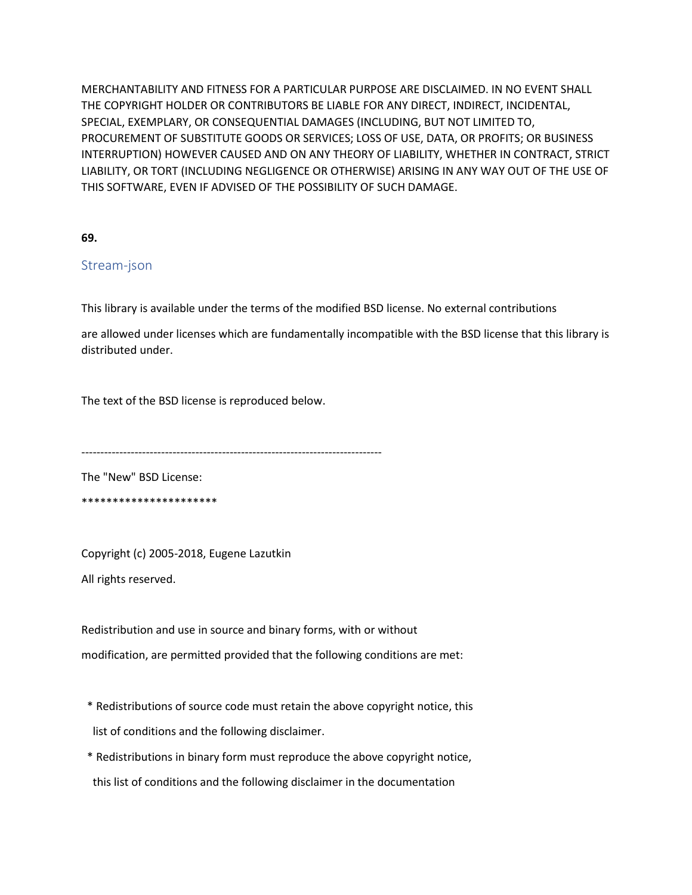MERCHANTABILITY AND FITNESS FOR A PARTICULAR PURPOSE ARE DISCLAIMED. IN NO EVENT SHALL THE COPYRIGHT HOLDER OR CONTRIBUTORS BE LIABLE FOR ANY DIRECT, INDIRECT, INCIDENTAL, SPECIAL, EXEMPLARY, OR CONSEQUENTIAL DAMAGES (INCLUDING, BUT NOT LIMITED TO, PROCUREMENT OF SUBSTITUTE GOODS OR SERVICES; LOSS OF USE, DATA, OR PROFITS; OR BUSINESS INTERRUPTION) HOWEVER CAUSED AND ON ANY THEORY OF LIABILITY, WHETHER IN CONTRACT, STRICT LIABILITY, OR TORT (INCLUDING NEGLIGENCE OR OTHERWISE) ARISING IN ANY WAY OUT OF THE USE OF THIS SOFTWARE, EVEN IF ADVISED OF THE POSSIBILITY OF SUCH DAMAGE.

**69.**

# Stream-json

This library is available under the terms of the modified BSD license. No external contributions

are allowed under licenses which are fundamentally incompatible with the BSD license that this library is distributed under.

The text of the BSD license is reproduced below.

-------------------------------------------------------------------------------

The "New" BSD License: \*\*\*\*\*\*\*\*\*\*\*\*\*\*\*\*\*\*\*\*\*\*

Copyright (c) 2005-2018, Eugene Lazutkin All rights reserved.

Redistribution and use in source and binary forms, with or without modification, are permitted provided that the following conditions are met:

- \* Redistributions of source code must retain the above copyright notice, this list of conditions and the following disclaimer.
- \* Redistributions in binary form must reproduce the above copyright notice, this list of conditions and the following disclaimer in the documentation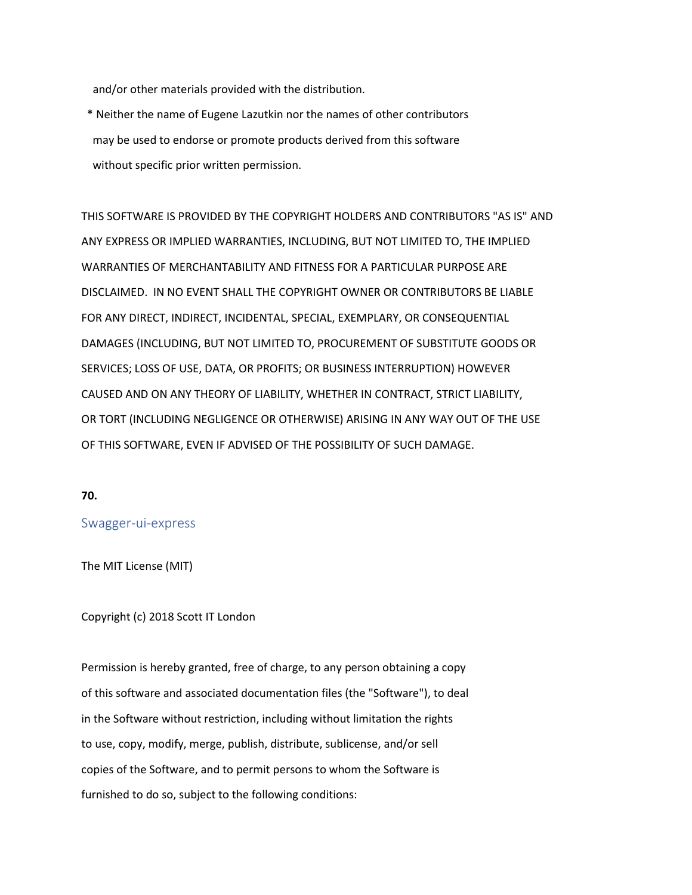and/or other materials provided with the distribution.

 \* Neither the name of Eugene Lazutkin nor the names of other contributors may be used to endorse or promote products derived from this software without specific prior written permission.

THIS SOFTWARE IS PROVIDED BY THE COPYRIGHT HOLDERS AND CONTRIBUTORS "AS IS" AND ANY EXPRESS OR IMPLIED WARRANTIES, INCLUDING, BUT NOT LIMITED TO, THE IMPLIED WARRANTIES OF MERCHANTABILITY AND FITNESS FOR A PARTICULAR PURPOSE ARE DISCLAIMED. IN NO EVENT SHALL THE COPYRIGHT OWNER OR CONTRIBUTORS BE LIABLE FOR ANY DIRECT, INDIRECT, INCIDENTAL, SPECIAL, EXEMPLARY, OR CONSEQUENTIAL DAMAGES (INCLUDING, BUT NOT LIMITED TO, PROCUREMENT OF SUBSTITUTE GOODS OR SERVICES; LOSS OF USE, DATA, OR PROFITS; OR BUSINESS INTERRUPTION) HOWEVER CAUSED AND ON ANY THEORY OF LIABILITY, WHETHER IN CONTRACT, STRICT LIABILITY, OR TORT (INCLUDING NEGLIGENCE OR OTHERWISE) ARISING IN ANY WAY OUT OF THE USE OF THIS SOFTWARE, EVEN IF ADVISED OF THE POSSIBILITY OF SUCH DAMAGE.

#### **70.**

### Swagger-ui-express

The MIT License (MIT)

#### Copyright (c) 2018 Scott IT London

Permission is hereby granted, free of charge, to any person obtaining a copy of this software and associated documentation files (the "Software"), to deal in the Software without restriction, including without limitation the rights to use, copy, modify, merge, publish, distribute, sublicense, and/or sell copies of the Software, and to permit persons to whom the Software is furnished to do so, subject to the following conditions: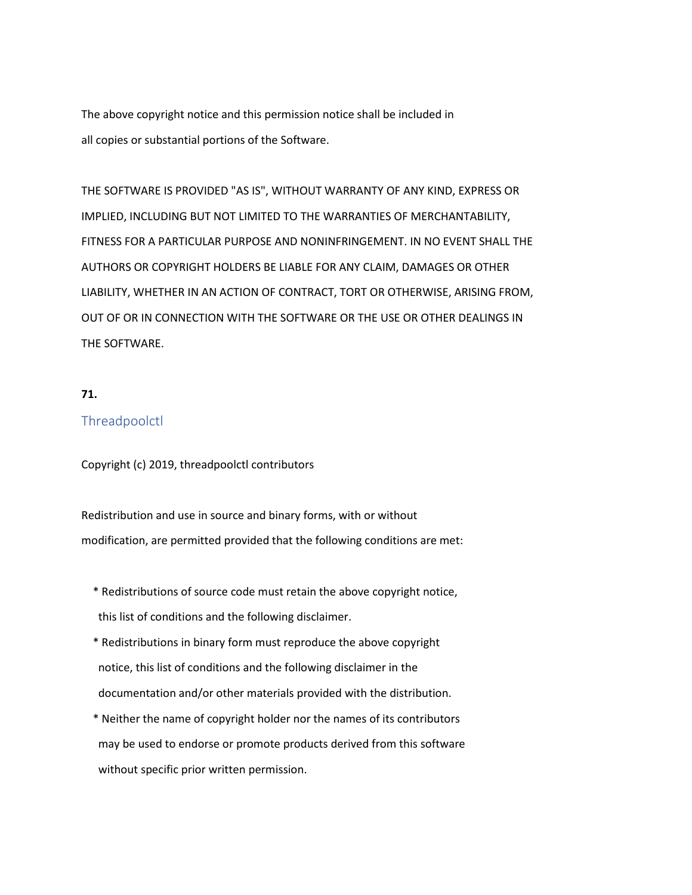The above copyright notice and this permission notice shall be included in all copies or substantial portions of the Software.

THE SOFTWARE IS PROVIDED "AS IS", WITHOUT WARRANTY OF ANY KIND, EXPRESS OR IMPLIED, INCLUDING BUT NOT LIMITED TO THE WARRANTIES OF MERCHANTABILITY, FITNESS FOR A PARTICULAR PURPOSE AND NONINFRINGEMENT. IN NO EVENT SHALL THE AUTHORS OR COPYRIGHT HOLDERS BE LIABLE FOR ANY CLAIM, DAMAGES OR OTHER LIABILITY, WHETHER IN AN ACTION OF CONTRACT, TORT OR OTHERWISE, ARISING FROM, OUT OF OR IN CONNECTION WITH THE SOFTWARE OR THE USE OR OTHER DEALINGS IN THE SOFTWARE.

### **71.**

### **Threadpoolctl**

Copyright (c) 2019, threadpoolctl contributors

Redistribution and use in source and binary forms, with or without modification, are permitted provided that the following conditions are met:

- \* Redistributions of source code must retain the above copyright notice, this list of conditions and the following disclaimer.
- \* Redistributions in binary form must reproduce the above copyright notice, this list of conditions and the following disclaimer in the documentation and/or other materials provided with the distribution.
- \* Neither the name of copyright holder nor the names of its contributors may be used to endorse or promote products derived from this software without specific prior written permission.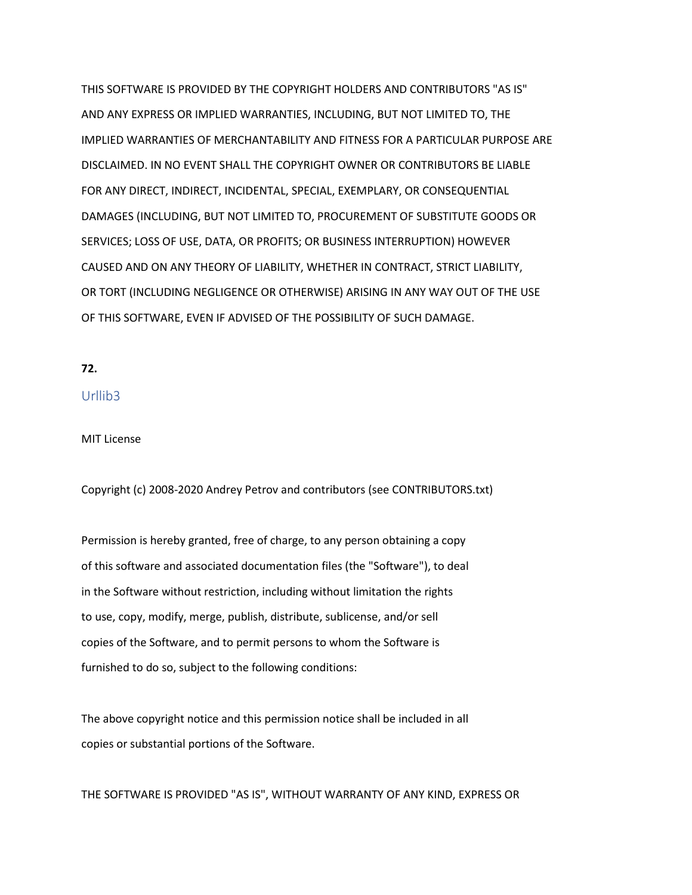THIS SOFTWARE IS PROVIDED BY THE COPYRIGHT HOLDERS AND CONTRIBUTORS "AS IS" AND ANY EXPRESS OR IMPLIED WARRANTIES, INCLUDING, BUT NOT LIMITED TO, THE IMPLIED WARRANTIES OF MERCHANTABILITY AND FITNESS FOR A PARTICULAR PURPOSE ARE DISCLAIMED. IN NO EVENT SHALL THE COPYRIGHT OWNER OR CONTRIBUTORS BE LIABLE FOR ANY DIRECT, INDIRECT, INCIDENTAL, SPECIAL, EXEMPLARY, OR CONSEQUENTIAL DAMAGES (INCLUDING, BUT NOT LIMITED TO, PROCUREMENT OF SUBSTITUTE GOODS OR SERVICES; LOSS OF USE, DATA, OR PROFITS; OR BUSINESS INTERRUPTION) HOWEVER CAUSED AND ON ANY THEORY OF LIABILITY, WHETHER IN CONTRACT, STRICT LIABILITY, OR TORT (INCLUDING NEGLIGENCE OR OTHERWISE) ARISING IN ANY WAY OUT OF THE USE OF THIS SOFTWARE, EVEN IF ADVISED OF THE POSSIBILITY OF SUCH DAMAGE.

### **72.**

### Urllib3

#### MIT License

Copyright (c) 2008-2020 Andrey Petrov and contributors (see CONTRIBUTORS.txt)

Permission is hereby granted, free of charge, to any person obtaining a copy of this software and associated documentation files (the "Software"), to deal in the Software without restriction, including without limitation the rights to use, copy, modify, merge, publish, distribute, sublicense, and/or sell copies of the Software, and to permit persons to whom the Software is furnished to do so, subject to the following conditions:

The above copyright notice and this permission notice shall be included in all copies or substantial portions of the Software.

THE SOFTWARE IS PROVIDED "AS IS", WITHOUT WARRANTY OF ANY KIND, EXPRESS OR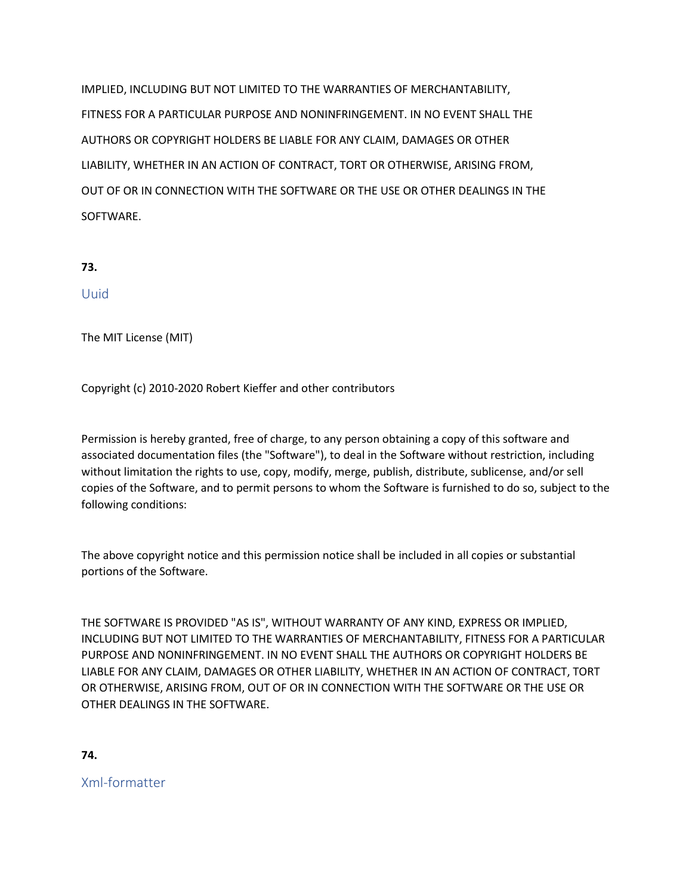IMPLIED, INCLUDING BUT NOT LIMITED TO THE WARRANTIES OF MERCHANTABILITY, FITNESS FOR A PARTICULAR PURPOSE AND NONINFRINGEMENT. IN NO EVENT SHALL THE AUTHORS OR COPYRIGHT HOLDERS BE LIABLE FOR ANY CLAIM, DAMAGES OR OTHER LIABILITY, WHETHER IN AN ACTION OF CONTRACT, TORT OR OTHERWISE, ARISING FROM, OUT OF OR IN CONNECTION WITH THE SOFTWARE OR THE USE OR OTHER DEALINGS IN THE SOFTWARE.

```
73.
```
# Uuid

The MIT License (MIT)

Copyright (c) 2010-2020 Robert Kieffer and other contributors

Permission is hereby granted, free of charge, to any person obtaining a copy of this software and associated documentation files (the "Software"), to deal in the Software without restriction, including without limitation the rights to use, copy, modify, merge, publish, distribute, sublicense, and/or sell copies of the Software, and to permit persons to whom the Software is furnished to do so, subject to the following conditions:

The above copyright notice and this permission notice shall be included in all copies or substantial portions of the Software.

THE SOFTWARE IS PROVIDED "AS IS", WITHOUT WARRANTY OF ANY KIND, EXPRESS OR IMPLIED, INCLUDING BUT NOT LIMITED TO THE WARRANTIES OF MERCHANTABILITY, FITNESS FOR A PARTICULAR PURPOSE AND NONINFRINGEMENT. IN NO EVENT SHALL THE AUTHORS OR COPYRIGHT HOLDERS BE LIABLE FOR ANY CLAIM, DAMAGES OR OTHER LIABILITY, WHETHER IN AN ACTION OF CONTRACT, TORT OR OTHERWISE, ARISING FROM, OUT OF OR IN CONNECTION WITH THE SOFTWARE OR THE USE OR OTHER DEALINGS IN THE SOFTWARE.

**74.**

Xml-formatter